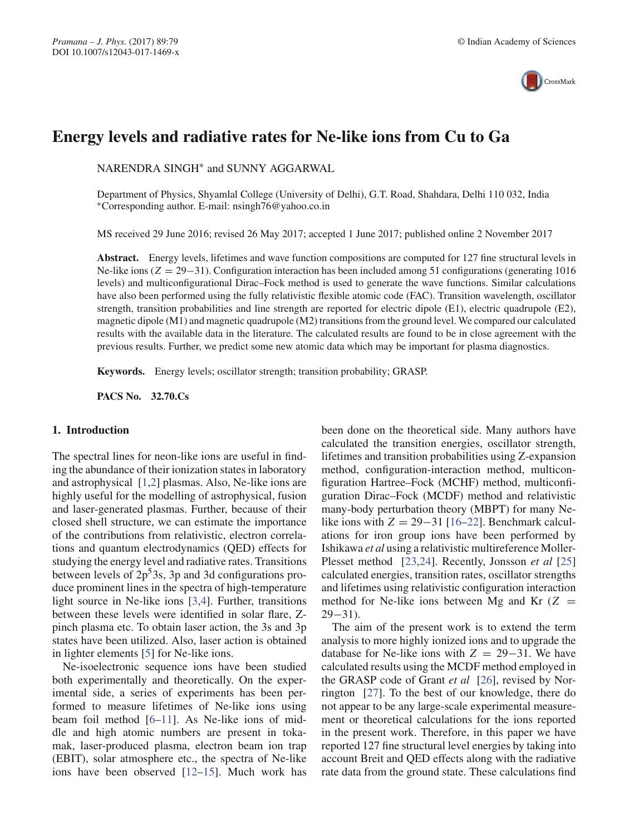

# **Energy levels and radiative rates for Ne-like ions from Cu to Ga**

NARENDRA SINGH∗ and SUNNY AGGARWAL

Department of Physics, Shyamlal College (University of Delhi), G.T. Road, Shahdara, Delhi 110 032, India ∗Corresponding author. E-mail: nsingh76@yahoo.co.in

MS received 29 June 2016; revised 26 May 2017; accepted 1 June 2017; published online 2 November 2017

**Abstract.** Energy levels, lifetimes and wave function compositions are computed for 127 fine structural levels in Ne-like ions (*Z* = 29−31). Configuration interaction has been included among 51 configurations (generating 1016 levels) and multiconfigurational Dirac–Fock method is used to generate the wave functions. Similar calculations have also been performed using the fully relativistic flexible atomic code (FAC). Transition wavelength, oscillator strength, transition probabilities and line strength are reported for electric dipole (E1), electric quadrupole (E2), magnetic dipole (M1) and magnetic quadrupole (M2) transitions from the ground level. We compared our calculated results with the available data in the literature. The calculated results are found to be in close agreement with the previous results. Further, we predict some new atomic data which may be important for plasma diagnostics.

**Keywords.** Energy levels; oscillator strength; transition probability; GRASP.

**PACS No. 32.70.Cs**

### **1. Introduction**

The spectral lines for neon-like ions are useful in finding the abundance of their ionization states in laboratory and astrophysical [1,2] plasmas. Also, Ne-like ions are highly useful for the modelling of astrophysical, fusion and laser-generated plasmas. Further, because of their closed shell structure, we can estimate the importance of the contributions from relativistic, electron correlations and quantum electrodynamics (QED) effects for studying the energy level and radiative rates. Transitions between levels of  $2p^33s$ , 3p and 3d configurations produce prominent lines in the spectra of high-temperature light source in Ne-like ions [3,4]. Further, transitions between these levels were identified in solar flare, Zpinch plasma etc. To obtain laser action, the 3s and 3p states have been utilized. Also, laser action is obtained in lighter elements [5] for Ne-like ions.

Ne-isoelectronic sequence ions have been studied both experimentally and theoretically. On the experimental side, a series of experiments has been performed to measure lifetimes of Ne-like ions using beam foil method [6–11]. As Ne-like ions of middle and high atomic numbers are present in tokamak, laser-produced plasma, electron beam ion trap (EBIT), solar atmosphere etc., the spectra of Ne-like ions have been observed [12–15]. Much work has been done on the theoretical side. Many authors have calculated the transition energies, oscillator strength, lifetimes and transition probabilities using Z-expansion method, configuration-interaction method, multiconfiguration Hartree–Fock (MCHF) method, multiconfiguration Dirac–Fock (MCDF) method and relativistic many-body perturbation theory (MBPT) for many Nelike ions with  $Z = 29-31$  [16–22]. Benchmark calculations for iron group ions have been performed by Ishikawa *et al* using a relativistic multireference Moller-Plesset method [23,24]. Recently, Jonsson *et al* [25] calculated energies, transition rates, oscillator strengths and lifetimes using relativistic configuration interaction method for Ne-like ions between Mg and Kr  $(Z =$ 29−31).

The aim of the present work is to extend the term analysis to more highly ionized ions and to upgrade the database for Ne-like ions with  $Z = 29-31$ . We have calculated results using the MCDF method employed in the GRASP code of Grant *et al* [26], revised by Norrington [27]. To the best of our knowledge, there do not appear to be any large-scale experimental measurement or theoretical calculations for the ions reported in the present work. Therefore, in this paper we have reported 127 fine structural level energies by taking into account Breit and QED effects along with the radiative rate data from the ground state. These calculations find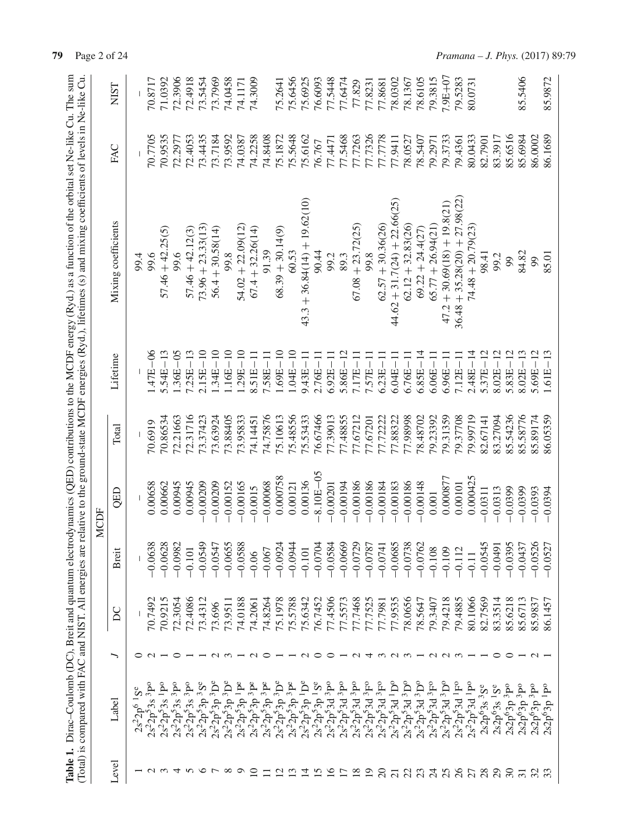|   |                   |                |                        |               |          |              | Table 1. Dirac-Coulomb (DC), Breit and quantum electrodynamics (QED) contributions to the MCDF energy (Ryd.) as a function of the orbital set Ne-like Cu. The sum<br>(Total) is compared with FAC and NIST. All energies are relative to the ground-state MCDF energies (Ryd.), lifetimes (s) and mixing coefficients of levels in Ne-like Cu. |         |             |
|---|-------------------|----------------|------------------------|---------------|----------|--------------|------------------------------------------------------------------------------------------------------------------------------------------------------------------------------------------------------------------------------------------------------------------------------------------------------------------------------------------------|---------|-------------|
|   |                   |                |                        | MCDF          |          |              |                                                                                                                                                                                                                                                                                                                                                |         |             |
| ー |                   | $\overline{D}$ | <b>Breit</b>           | QED           | Total    | Lifetime     | Mixing coefficients                                                                                                                                                                                                                                                                                                                            | FAC     | <b>NIST</b> |
|   |                   |                |                        |               |          |              | 99.4                                                                                                                                                                                                                                                                                                                                           |         |             |
|   |                   | 70.7492        | 0.063                  | 0.00658       | 70.6919  | 1.47E-06     | 9.66                                                                                                                                                                                                                                                                                                                                           | 70.7705 | 70.8717     |
|   |                   | 70.9215        | ထွဲထွ<br>$-0.062$      | 0.00662       | 70.86534 | $5.54E - 13$ | $57.46 + 42.25(5)$                                                                                                                                                                                                                                                                                                                             | 70.9535 | 71.0392     |
|   | $\circ$           | 72.3054        | $-0.0982$              | 0.00945       | 72.21663 | $1.36E - 05$ | 99.6                                                                                                                                                                                                                                                                                                                                           | 72.2977 | 72.3906     |
|   |                   | 72.4086        | $-0.101$               | 0.00945       | 72.31716 | $7.25E - 13$ | $57.46 + 42.12(3)$                                                                                                                                                                                                                                                                                                                             | 72.4053 | 72.4918     |
|   |                   | 73.4312        | $-0.0549$              | $-0.00209$    | 73.37423 | $2.15E - 10$ | $73.96 + 23.33(13)$                                                                                                                                                                                                                                                                                                                            | 73.4435 | 73.5454     |
|   | $\sim$            | 73.696         | $-0.0547$              | $-0.00209$    | 73.63924 | $1.34E - 10$ | $56.4 + 30.58(14)$                                                                                                                                                                                                                                                                                                                             | 73.7184 | 73.7969     |
|   | $\sim$            | 73.9511        | $-0.0655$              | $-0.00152$    | 73.88405 | $1.16E-10$   | 99.8                                                                                                                                                                                                                                                                                                                                           | 73.9592 | 74.0458     |
|   |                   | 74.0188        | $-0.0588$              | $-0.00165$    | 73.95833 | $1.29E - 10$ | $54.02 + 22.09(12)$                                                                                                                                                                                                                                                                                                                            | 74.0387 | 74.1171     |
|   | $\sim$            | 74.2061        | $-0.06$                | $-0.0015$     | 74.14451 | $8.51E-11$   | $67.4 + 32.26(14)$                                                                                                                                                                                                                                                                                                                             | 74.2258 | 74.3009     |
|   | ○                 | 74.8264        | $-0.067$               | $-0.00068$    | 74.75876 | 7.58E-11     | 91.39                                                                                                                                                                                                                                                                                                                                          | 74.8408 |             |
|   |                   | 75.1978        | $-0.0924$              | 0.000758      | 75.10613 | $1.69E - 10$ | $68.39 + 30.14(9)$                                                                                                                                                                                                                                                                                                                             | 75.1872 | 75.2641     |
|   |                   | 75.5788        | $-0.0944$              | 0.00121       | 75.48556 | $1.04E-10$   | 60.53                                                                                                                                                                                                                                                                                                                                          | 75.5648 | 75.6456     |
|   |                   | 75.6342        | $-0.101$               | 0.00136       | 75.53433 | $9.43E - 11$ | $43.3 + 36.84(14) + 19.62(10)$                                                                                                                                                                                                                                                                                                                 | 75.6162 | 75.6925     |
|   |                   | 76.7452        | $-0.0704$              | $-8.10E - 05$ | 76.67466 | $2.76E - 11$ | 90.44                                                                                                                                                                                                                                                                                                                                          | 76.767  | 76.6093     |
|   | ⊂                 | 77.4506        | $-0.0584$              | $-0.00201$    | 77.39013 | $6.92E - 11$ | 99.2                                                                                                                                                                                                                                                                                                                                           | 77.4471 | 77.5448     |
|   |                   | 77.5573        | $-0.0669$              | $-0.00194$    | 77.48855 | $5.86E - 12$ | 89.3                                                                                                                                                                                                                                                                                                                                           | 77.5468 | 77.6474     |
|   | $\sim$            | 77.7468        | $-0.0729$              | $-0.00186$    | 77.67212 | $7.17E - 11$ | $67.08 + 23.72(25)$                                                                                                                                                                                                                                                                                                                            | 77.7263 | 77.829      |
|   | ↴                 | 77.7525        | $-0.0787$              | $-0.00186$    | 77.67201 | $7.57E - 11$ | 99.8                                                                                                                                                                                                                                                                                                                                           | 77.7326 | 77.8231     |
|   |                   | 77.7981        | $-0.0741$              | $-0.00184$    | 77.72222 | $6.23E - 11$ | $62.57 + 30.36(26)$                                                                                                                                                                                                                                                                                                                            | 77.7778 | 77.8681     |
|   | $\omega$ $\omega$ | 77.9535        | $-0.0685$              | $-0.00183$    | 77.88322 | $6.04E - 11$ | $44.62 + 31.7(24) + 22.66(25)$                                                                                                                                                                                                                                                                                                                 | 77.9411 | 78.0302     |
|   |                   | 78.0656        | $-0.0738$              | $-0.00186$    | 77.98998 | $6.76E - 11$ | $62.12 + 32.83(26)$                                                                                                                                                                                                                                                                                                                            | 78.0527 | 78.1367     |
|   |                   | 78.5647        | $-0.0762$              | $-0.00148$    | 78.48702 | $6.85E-$     | $69.22 + 24.4(27)$                                                                                                                                                                                                                                                                                                                             | 78.5407 | 78.6105     |
|   |                   | 79.3407        | $-0.108$               | 0.001         | 79.23392 | $6.06E - 11$ | $65.77 + 26.94(21)$                                                                                                                                                                                                                                                                                                                            | 79.2971 | 79.3815     |
|   | UUU               | 79.4218        | $-0.109$               | 0.000877      | 79.31359 | $6.96E - 11$ | $47.2 + 30.69(18) + 19.8(21)$                                                                                                                                                                                                                                                                                                                  | 79.3733 | 7.9E+07     |
|   |                   | 79.4885        | $-0.112$               | 0.00101       | 79.37708 | $7.12E - 11$ | $36.48 + 35.28(20) + 27.98(22)$                                                                                                                                                                                                                                                                                                                | 79.4361 | 79.5283     |
|   |                   | 80.1066        | $-0.11$                | 0.000425      | 79.99719 | $2.48E - 14$ | $74.48 + 20.79(23)$                                                                                                                                                                                                                                                                                                                            | 80.0433 | 80.0731     |
|   |                   | 82.7569        | 5<br>$-0.054$          | $-0.0311$     | 82.67141 | $5.37E - 12$ | 98.41                                                                                                                                                                                                                                                                                                                                          | 82.7901 |             |
|   | 0                 | 83.3514        | $-0.0491$              | $-0.0313$     | 83.27094 | $8.02E - 12$ | 99.2                                                                                                                                                                                                                                                                                                                                           | 83.3917 |             |
|   | ⊂                 | 85.6218        |                        | $-0.0399$     | 85.54236 | $5.83E - 12$ | 99                                                                                                                                                                                                                                                                                                                                             | 85.6516 |             |
|   |                   | 85.6713        | $-0.0395$<br>$-0.0437$ | $-0.0399$     | 85.58776 | $8.02E - 13$ | 84.82                                                                                                                                                                                                                                                                                                                                          | 85.6984 | 85.5406     |
|   | $\sim$            | 85.9837        | $-0.0526$<br>$-0.0527$ | $-0.0393$     | 85.89174 | $5.69E - 12$ | 99                                                                                                                                                                                                                                                                                                                                             | 86.0002 |             |
|   |                   | 86.1457        |                        | $-0.0394$     | 86.05359 | $1.61E - 13$ | 85.01                                                                                                                                                                                                                                                                                                                                          | 86.1689 | 85.9872     |
|   |                   |                |                        |               |          |              |                                                                                                                                                                                                                                                                                                                                                |         |             |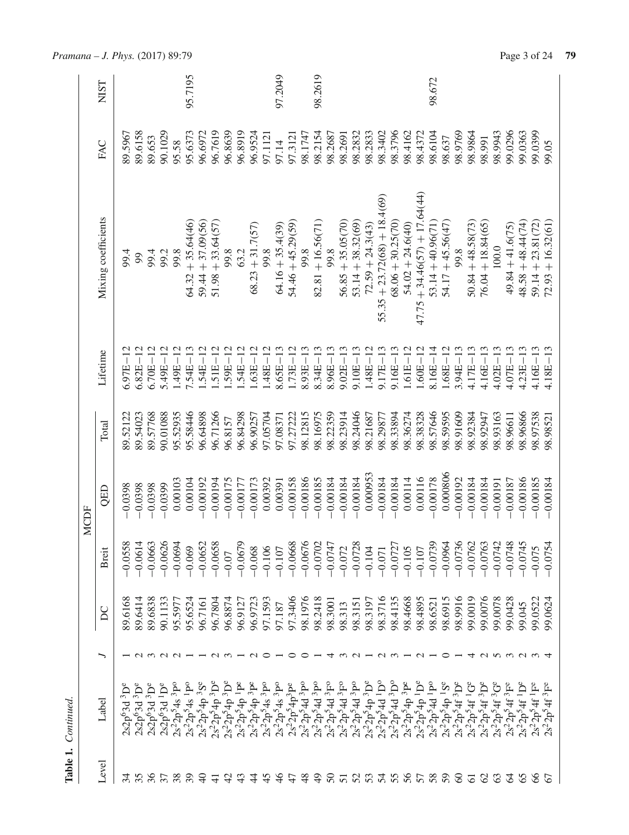|             | <b>NIST</b>         |                                                  |                                      |                                      |                                                  |                                 | 95.7195                                  |                      |                     |            |                                                                                                                                                             |                    |                   | 97.2049                         |                      |                   | 98.2619             |                   |                     |                     |                    |                                |                     |                      |                                 | 98.672              |                      |                      |                     |                     |                   |                    |                     |                     |                     |
|-------------|---------------------|--------------------------------------------------|--------------------------------------|--------------------------------------|--------------------------------------------------|---------------------------------|------------------------------------------|----------------------|---------------------|------------|-------------------------------------------------------------------------------------------------------------------------------------------------------------|--------------------|-------------------|---------------------------------|----------------------|-------------------|---------------------|-------------------|---------------------|---------------------|--------------------|--------------------------------|---------------------|----------------------|---------------------------------|---------------------|----------------------|----------------------|---------------------|---------------------|-------------------|--------------------|---------------------|---------------------|---------------------|
|             | FAC                 | 89.5967                                          | 89.6158                              | 89.653                               | 90.1029                                          | 95.58                           | 95.6373                                  | 96.6972              | 96.7619             | 96.8639    | 96.8919                                                                                                                                                     | 96.9524            | 97.1121           | 97.14                           | 97.3121              | 98.1747           | 98.2154             | 98.2687           | 98.2691             | 98.2832             | 98.2833            | 98.3402                        | 98.3796             | 98.4162              | 98.4372                         | 98.6104             | 98.637               | 98.9769              | 98.9864             | 98.991              | 98.9943           | 99.0296            | 99.0363             | 99.0399             | 99.05               |
|             | Mixing coefficients | 99.4                                             | 99                                   | 99.4                                 | 99.2                                             | 99.8                            | $64.32 + 35.64(46)$                      | $59.44 + 37.09(56)$  | $51.98 + 33.64(57)$ | 99.8       | 63.2                                                                                                                                                        | $68.23 + 31.7(57)$ | 99.8              | $64.16 + 35.4(39)$              | $54.46 + 45.29(59)$  | 99.8              | $82.81 + 16.56(71)$ | 99.8              | $56.85 + 35.05(70)$ | $53.14 + 38.32(69)$ | $72.59 + 24.3(43)$ | $55.35 + 23.72(68) + 18.4(69)$ | $68.06 + 30.25(70)$ | $54.02 + 24.6(40)$   | $47.75 + 34.46(57) + 17.64(44)$ | $53.14 + 40.96(71)$ | $54.17 + 45.56(47)$  | 99.8                 | $50.84 + 48.58(73)$ | $76.04 + 18.84(65)$ | 100.0             | $49.84 + 41.6(75)$ | $48.58 + 48.44(74)$ | $59.14 + 23.81(72)$ | $72.93 + 16.32(61)$ |
|             | Lifetime            | $6.97E - 12$                                     | $6.82E - 12$                         | $6.70E - 12$                         | $5.49E - 12$                                     | $1.49E - 12$                    | $7.54E - 13$                             | $1.54E - 12$         | $51E - 12$          | $59E-12$   | $54E - 12$                                                                                                                                                  | $.63E - 12$        | $1.48E - 12$      | $8.65E - 13$                    | $1.73E - 12$         | $8.93E - 13$      | $8.34E - 13$        | $8.96E - 13$      | $9.02E - 13$        | $9.10E - 13$        | $1.48E - 12$       | $9.17E - 13$                   | $9.16E - 13$        | $1.61E - 12$         | $1.60E - 12$                    | $8.16E - 14$        | $1.68E - 12$         | $3.94E - 13$         | $4.17E - 13$        | $4.16E - 13$        | $4.02E - 13$      | $4.07E - 13$       | $4.23E - 13$        | $4.16E - 13$        | $4.18E - 13$        |
|             | Total               | 89.52122                                         | 89.54023                             | 89.57768                             | 90.01088                                         | 95.52935                        | 95.58446                                 | 96.64898             | 96.71266            | 96.8157    | 96.84298                                                                                                                                                    | 96.90257           | 97.05704          | 97.08371                        | 97.27222             | 98.12815          | 98.16975            | 98.22359          | 98.23914            | 98.24046            | 98.21687           | 98.29877                       | 98.33894            | 98.36274             | 98.38328                        | 98.57646            | 98.59595             | 98.91609             | 98.92384            | 98.92947            | 98.93163          | 98.96611           | 98.96866            | 98.97538            | 98.98521            |
| <b>MCDF</b> | QED                 | $-0.0398$                                        | $-0.0398$                            | $-0.0398$                            | $-0.0399$                                        | 0.00103                         | 0.00104                                  | $-0.00192$           | $-0.00194$          | $-0.00175$ | $-0.0017$                                                                                                                                                   | $-0.00173$         | 0.00392           | 0.00391                         | $-0.00158$           | $-0.00186$        | $-0.00185$          | $-0.00184$        | $-0.00184$          | $-0.00184$          | 0.000953           | $-0.00184$                     | $-0.00184$          | 0.00114              | 0.00116                         | $-0.00178$          | 0.000806             | $-0.00192$           | $-0.00184$          | $-0.00184$          | $-0.00191$        | $-0.00187$         | $-0.00186$          | $-0.00185$          | $-0.00184$          |
|             | Breit               | $-0.0558$                                        | $-0.0614$                            | $-0.0663$                            | $-0.0626$                                        | $-0.0694$                       | $-0.069$                                 | $-0.0652$            | $-0.0658$           | $-0.07$    | $-0.0679$                                                                                                                                                   | $-0.068$           | $-0.106$          | $-0.107$                        | $-0.0668$            | $-0.0676$         | $-0.0702$           | $-0.0747$         | $-0.072$            | $-0.0728$           | $-0.104$           | $-0.071$                       | $-0.0727$           | $-0.105$             | $-0.107$                        | $-0.0739$           | $-0.0964$            | $-0.0736$            | $-0.0762$           | $-0.0763$           | $-0.0742$         | $-0.0748$          | $-0.0745$           | $-0.075$            | $-0.0754$           |
|             | $\sum$              | 89.6168                                          | 89.6414                              | 89,6838                              | 90.1133                                          | 95.5977                         | 95.6524                                  | 96.7161              | 96.7804             | 96.8874    | 96.9127                                                                                                                                                     | 96.9723            | 97.1593           | 97.187                          | 97.3406              | 98.1976           | 98.2418             | 98.3001           | 98.313              | 98.3151             | 98.3197            | 98.3716                        | 98.4135             | 98.4668              | 98.4895                         | 98.6521             | 38.6915              | 9166'86              | 99.0019             | 99.0076             | 99.0078           | 99.0428            | 99.045              | 99.0522             | 99.0624             |
|             |                     |                                                  |                                      |                                      | $\alpha$ $\alpha$ $\alpha$ $\alpha$ $\alpha$     |                                 |                                          |                      |                     |            |                                                                                                                                                             | $\sim$ 0           |                   |                                 | $\circ$              |                   |                     |                   |                     | $\sim$              |                    |                                | $ \sim$ $\sim$      |                      | $\sim$                          |                     | ○                    |                      | ↴                   |                     |                   | anwaan 4           |                     |                     |                     |
|             | Label               | 2s2p <sup>6</sup> 3d <sup>3</sup> D <sup>6</sup> | 2s2p <sup>6</sup> 3d <sup>3</sup> De | 2s2p <sup>6</sup> 3d <sup>3</sup> De | 2s2p <sup>6</sup> 3d <sup>1</sup> D <sup>e</sup> | $2s^22p^54s$ <sup>3</sup> $P^o$ | $2s^22p^54s$ <sup>1</sup> P <sup>o</sup> | $2s^2 2p^5 4p^3 S^e$ | $2s^22p^54p^3D^e$   |            | $\begin{array}{c} 2 s^2 2 \dot{\mathbf{p}}^5 4 \dot{\mathbf{p}}^3 \mathbf{D}^e \\ 2 s^2 2 \dot{\mathbf{p}}^5 4 \dot{\mathbf{p}}^1 \mathbf{P}^e \end{array}$ | $2s^22p^54p^3P^e$  | $2s^22p^54s^3p^0$ | $2s^22p^54s$ <sup>3</sup> $P^o$ | $2s^2 2p^5 4p^3 P^e$ | $2s^22p^54d^3p^0$ | $2s^22p^54d^3P^c$   | $2s^22p^54d^3F^0$ | $2s^22p^54d^3F^6$   | $2s^22p^54d^3P^c$   | $2s^22p^54p^3D^e$  | $2s^2 2p^5 4d^1D^6$            | $2s^2 2p^5 4d^3D^c$ | $2s^2 2p^5 4p^3 P^e$ | $2s^22p^54p^1D^e$               | $2s^22p^54d^1P^c$   | $2s^2 2p^5 4p^1 S^e$ | $2s^2 2p^5 4f^3 D^e$ | $2s^22p^54f^1G^e$   | $2s^22p^54f^3D^e$   | $2s^22p^54f^3G^e$ | $2s^22p^54f^3F^e$  | $2s^22p^54f^1D^e$   | $2s^22p^54f^1F^e$   | $2s^22p^54f^3F^e$   |
|             | Level               |                                                  |                                      |                                      |                                                  |                                 |                                          | ¥                    |                     |            |                                                                                                                                                             |                    |                   |                                 |                      | $\frac{8}{3}$     | $\overline{5}$      | $50\,$            | $\overline{5}$      |                     |                    |                                | 0.02488288          |                      |                                 |                     | 59                   | $\infty$             | $\overline{6}$      | $\mathcal{S}$       | $\mathcal{C}$     | $\mathcal{Z}$      | 65                  | $\delta$            |                     |

*Pramana – J. Phys.* (2017) 89:79 Page 3 of 24 **79** 

**Table 1.** *Continued.*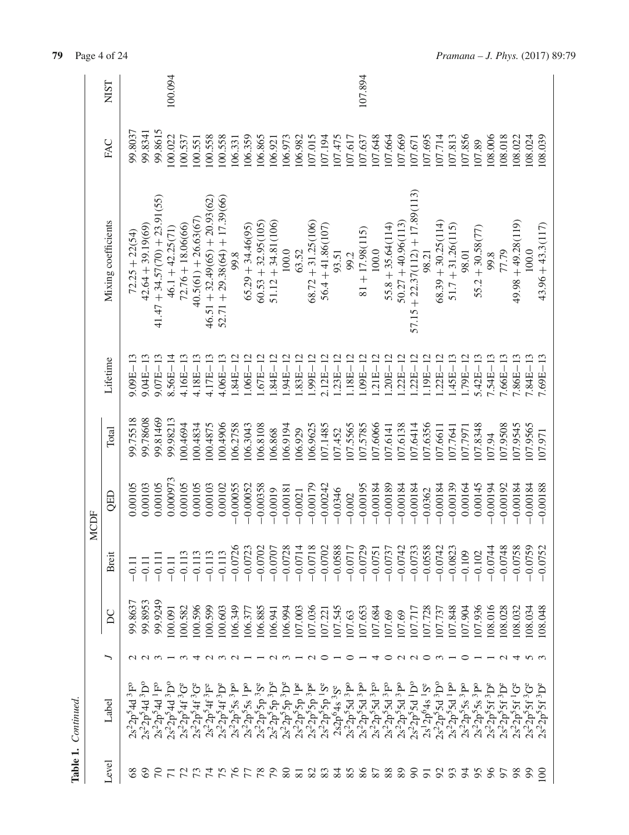|             | <b>NIST</b>         |                              |                     |                                          | 100.094             |                                                                                                         |                        |                                        |                                 |                   |                     |                      |                      |                        |                     |                      |                                                                                                                                                                                                    |                          |                                                   | 107.894           |            |                     |                      |                                                                                                                                                                       |             |                               |                     |              |                                                             |                         |                    |                      |                   |                     |
|-------------|---------------------|------------------------------|---------------------|------------------------------------------|---------------------|---------------------------------------------------------------------------------------------------------|------------------------|----------------------------------------|---------------------------------|-------------------|---------------------|----------------------|----------------------|------------------------|---------------------|----------------------|----------------------------------------------------------------------------------------------------------------------------------------------------------------------------------------------------|--------------------------|---------------------------------------------------|-------------------|------------|---------------------|----------------------|-----------------------------------------------------------------------------------------------------------------------------------------------------------------------|-------------|-------------------------------|---------------------|--------------|-------------------------------------------------------------|-------------------------|--------------------|----------------------|-------------------|---------------------|
|             | FAC                 | 99.8037                      | 99.8341             | 99.8615                                  | 100.022             | 100.537                                                                                                 | 100.551                | .00.558                                | .00.558                         | 106.331           | 106.359             | 106.865              | 106.921              | .06.973                | 106.982             | 107.015              | 107.194                                                                                                                                                                                            | 07.475                   | 107.617                                           | 107.637           | 07.648     | 07.664              | 07.669               | 107.671                                                                                                                                                               | 07.695      | 107.714                       | 07.813              | 07.856       | 107.89                                                      | 08.006                  | 08.018             | 108.022              | 108.024           | 108.039             |
|             | Mixing coefficients | $72.25 + 22(54)$             | $42.64 + 39.19(69)$ | $41.47 + 34.57(70) + 23.91(55)$          | $46.1 + 42.25(71)$  | $72.76 + 18.06(66)$                                                                                     | $40.5(61) + 26.63(67)$ | $46.51 + 32.49(65) + 20.93(62)$        | $52.71 + 29.38(64) + 17.39(66)$ | 99.8              | $65.29 + 34.46(95)$ | $60.53 + 32.95(105)$ | $51.12 + 34.81(106)$ | 100.0                  | 63.52               | $68.72 + 31.25(106)$ | $56.4 + 41.86(107)$                                                                                                                                                                                | 93.51                    | 99.2                                              | $81 + 17.98(115)$ | 100.0      | $55.8 + 35.64(114)$ | $50.27 + 40.96(113)$ | $57.15 + 22.37(112) + 17.89(113)$                                                                                                                                     | 98.21       | $68.39 + 30.25(114)$          | $51.7 + 31.26(115)$ | 98.01        | $55.2 + 30.58(77)$                                          | 99.8                    | 77.79              | $(611)87.6b + 86.6b$ | 100.0             | $43.96 + 43.3(117)$ |
|             | Lifetime            | $9.09E - 13$                 | $9.04E - 13$        | $9.07E - 13$                             | $8.56E - 14$        | $4.16E - 13$                                                                                            | $4.18E - 13$           | $4.17E - 1$                            | $4.06E - 13$                    | $1.84E -$         | $-300$ .            | $-376$ .             | ī<br>.84E            | $\overline{1}$<br>.94E | $.83E-$             | $1.99E-1$            | $2.12E - 12$                                                                                                                                                                                       | $1.23E - 12$             | $1.18E - 12$                                      | $1.09E - 12$      | $21E - 12$ | $.20E - 12$         | $22E - 12$           | $.22E - 12$                                                                                                                                                           | $.19E - 12$ | $.22E - 12$                   | $.45E - 13$         | $1.79E - 12$ | $5.42E - 13$                                                | $7.54E - 1$<br>$\Gamma$ | $7.66E - 13$       | $7.86E - 13$         | 7.84E-13          | 7.69E-              |
|             | Total               | 99.75518                     | 99.78608            | 99.81469                                 | 99.98213            | 100.4694                                                                                                | 100.4834               | 100.4875                               | 100.4906                        | 106.2758          | 106.3043            | 106.8108             | 106.868              | 106.9194               | 106.929             | 106.9625             | 107.1485                                                                                                                                                                                           | 107.452                  | 107.5565                                          | 107.5785          | 07.6066    | 07.6141             | 107.6138             | 07.6414                                                                                                                                                               | 107.6356    | 107.6611                      | 107.7641            | 107.7971     | 107.8348                                                    | 107.94                  | 107.9508           | 107.9545             | 107.9565          | 107.971             |
| <b>MCDF</b> | QED                 | 0.00105                      | 0.00103             | 0.00105                                  | 0.000973            | 0.00105                                                                                                 | 0.00105                | 0.00103                                | 0.00102                         | 0.00055           | $-0.00052$          | $-0.00358$           | $-0.0019$            | $-0.00181$             | $-0.0021$           | $-0.00179$           | $-0.00242$                                                                                                                                                                                         | $-0.0346$                | $-0.002$                                          | $-0.00195$        | $-0.00184$ | $-0.00189$          | $-0.00184$           | $-0.00184$                                                                                                                                                            | $-0.0362$   | $-0.00184$                    | $-0.00139$          | 0.00164      | 0.00145                                                     | $-0.00194$              | $-0.00192$         | $-0.00184$           | $-0.00184$        | $-0.00188$          |
|             | Breit               |                              |                     |                                          | $-0.11$             | $-0.113$                                                                                                | $-0.11$                | $-0.11$                                | $-0.11$                         | $-0.0726$         | $-0.072$            | $-0.0702$            | $-0.0707$            | $-0.0728$              | $-0.0714$           | $-0.0718$            | $-0.0702$                                                                                                                                                                                          | $-0.0588$                | $-0.0717$                                         | $-0.0729$         | $-0.075$   | $-0.073$            | $-0.0742$            | $-0.0733$                                                                                                                                                             | $-0.0558$   | $-0.0742$                     | $-0.0823$           | $-0.109$     | $-0.102$                                                    | $-0.0744$               | $-0.0748$          | $-0.0758$            | $-0.0759$         | 0.0752              |
|             | $\overline{C}$      | 99.8637                      | 99.8953             | 99.9249                                  | 100.091             | 100.582                                                                                                 | 00.596                 | 00.599                                 | 00.603                          | 06.349            | 106.37              | 106.885              | 106.941              | 106.994                | 107.003             | 107.036              | 107.221                                                                                                                                                                                            | 107.545                  | 107.63                                            | 107.653           | 07.684     | .07.69              | 107.69               | 107.717                                                                                                                                                               | 107.728     | 107.737                       | 07.848              | 07.904       | 107.936                                                     | 08.016                  | 08.028             | 08.032               | 08.034            | .08.048             |
|             | ╮                   |                              |                     |                                          |                     |                                                                                                         |                        | 00010101001                            |                                 |                   |                     |                      |                      | $\alpha \omega -$      |                     | $\sim$ $\sim$        |                                                                                                                                                                                                    | $\overline{\phantom{0}}$ | $\circ$                                           |                   | ব          | $\circ$             |                      | $\begin{array}{c} \mathcal{O} & \mathcal{O} \end{array}$                                                                                                              |             | $\omega$ $-$                  |                     | ⊂            |                                                             |                         | $-1$ $\sim$ $\sim$ | $\overline{4}$       | <u> ന ന</u>       |                     |
|             | Label               | $3F^{\circ}$<br>$2s^22p^54d$ | $2s^22p^54d^3D^0$   | $2s^22p^54d$ <sup>1</sup> F <sup>c</sup> |                     | $\begin{array}{c} 2s^22p^54d~^3{\rm D^o}\\ 2s^22p^54f~^3{\rm G^e}\\ 2s^22p^54f~^3{\rm G^e} \end{array}$ |                        | $2s^22p^54f^3F^e$<br>$2s^22p^54f^3D^e$ |                                 | $2s^22p^55s^3P^0$ |                     |                      |                      |                        |                     |                      | $\begin{array}{l} 2s^2 2p^5 5s \\ 2s^2 2p^5 5p^3 3s \\ 2s^2 2p^5 5p^3 5p \\ 2s^2 2p^5 5p^3 5p \\ 2s^2 2p^5 5p^5 p^1 \\ 2s^2 2p^5 5p^5 p^1 \\ 2s^2 2p^5 5p^5 p^1 \\ 2s^2 2p^5 5p^1 s^2 \end{array}$ | $2s2p^64s^3S^e$          | $\frac{2s^22p^55d}{3p^22p^55d} \, \frac{3}{3}p^o$ |                   |            |                     |                      | $\begin{array}{l} 2s^2 D^5 5d \ ^3F^6 \\ 2s^2 D^5 5d \ ^3F^6 \\ 2s^2 D^5 5d \ ^3P^6 \\ 2s^2 D^5 5d \ ^3P^6 \\ 2s^2 D^5 5d \ ^1D^6 \\ 2s^1 D^6 4s \ ^1S^6 \end{array}$ |             | $\frac{2s^22p^55d}{3}^{1}P^o$ |                     |              | $2s^22p^55s^3p^0$<br>$2s^22p^55s^3p^0$<br>$2s^22p^55t^3D^e$ |                         | $2s^22p^55f^3D^e$  | $2s^22p^55f^1G$      | $2s^22p^55f^3G^e$ | $^3D^e$<br>5f<br>5c |
|             | Level               |                              | 3                   |                                          | $\overline{\Gamma}$ |                                                                                                         |                        | 554                                    | 75                              | $\beta$           | $\mathcal{L}$       | 78                   | $\mathcal{E}$        | 80                     | $\overline{\infty}$ | 82                   | 83                                                                                                                                                                                                 | $\frac{84}{3}$           | 85                                                | 86                | 87         | 88                  | 89                   | 8                                                                                                                                                                     | 51          | $\mathfrak{S}$                | 93                  | 54           | 95                                                          | 86                      | 57                 | 98                   | 99                | $\Xi$               |

Table 1. Continued.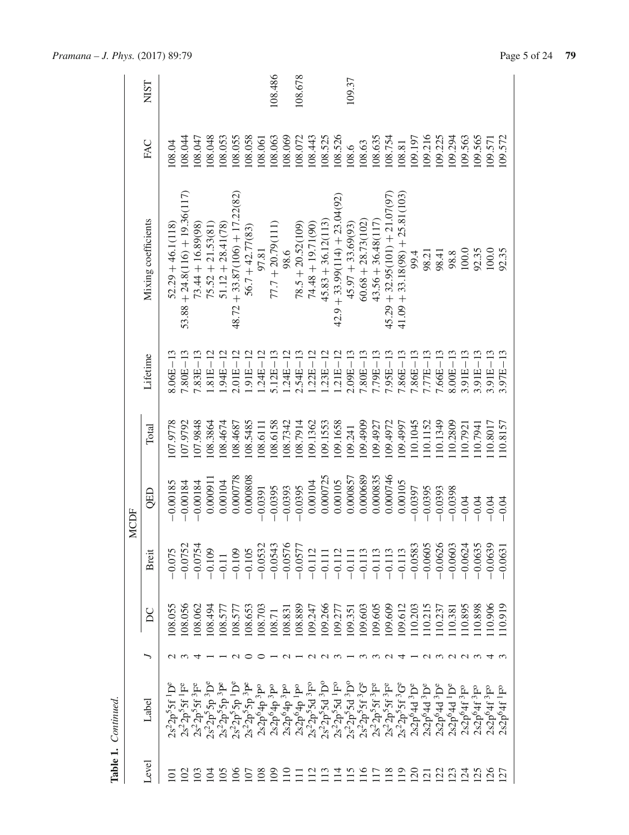|                         | Table 1. Continued.                                                                                                                    |                 |                  |           |             |          |              |                                  |         |             |
|-------------------------|----------------------------------------------------------------------------------------------------------------------------------------|-----------------|------------------|-----------|-------------|----------|--------------|----------------------------------|---------|-------------|
|                         |                                                                                                                                        |                 |                  |           | <b>MCDF</b> |          |              |                                  |         |             |
| Level                   | $_{\rm Label}$                                                                                                                         | ╮               | $\sum_{i=1}^{n}$ | Breit     | QED         | Total    | Lifetime     | Mixing coefficients              | FAC     | <b>NIST</b> |
| ā                       | $2s^22p^55f^1D^e$                                                                                                                      |                 | 08.055           | $-0.075$  | $-0.00185$  | 107.9778 | $8.06E - 13$ | $52.29 + 46.1(118)$              | 108.04  |             |
| $\Xi$                   | $2s^22p^55f^1F^e$                                                                                                                      | $\omega$        | 108.056          | $-0.0752$ | $-0.00184$  | 107.9792 | $7.80E - 13$ | $53.88 + 24.8(116) + 19.36(117)$ | 08.044  |             |
| $\Xi$                   | $2s^22p^55f^3F^e$                                                                                                                      | ↴               | 108.062          | $-0.0754$ | $-0.00184$  | 107.9848 | $7.83E - 13$ | $73.44 + 16.89(98)$              | 108.047 |             |
| $\Xi$                   |                                                                                                                                        |                 | 108.494          | $-0.109$  | 0.00091     | 108.3864 | $1.81E - 12$ | $75.52 + 21.53(81)$              | .08.048 |             |
| $\tilde{5}$             | $\frac{2s^22p^55p}{3}p^8$                                                                                                              |                 | 108.577          |           | 0.00104     | 108.4674 | $1.94E - 12$ | $51.12 + 28.41(78)$              | .08.053 |             |
| $\overline{106}$        | $\begin{array}{c} 2s^2 2p^5 5p^{1} \, \mathrm{D^e} \\ 2s^2 2p^5 5p^{3} \, \mathrm{P^e} \\ 2s 2p^6 4p^{3} \, \mathrm{P^o} \end{array}$  | $\sim$          | .08.57           | $-0.109$  | 0.000778    | 108.4687 | $2.01E - 12$ | $48.72 + 33.87(106) + 17.22(82)$ | 108.055 |             |
| $\overline{107}$        |                                                                                                                                        |                 | .08.653          | $-0.105$  | 0.000808    | 108.5485 | $1.91E - 12$ | $56.7 + 42.77(83)$               | 08.058  |             |
| 108                     |                                                                                                                                        | ⊂               | 108.703          | $-0.0532$ | $-0.0391$   | 1119801  | $1.24E - 12$ | 97.81                            | 108.061 |             |
| $\mathbf{\mathfrak{S}}$ | $2s2p^64p^3P^o$                                                                                                                        |                 | 108.71           | $-0.0543$ | $-0.0395$   | 108.6158 | $5.12E - 13$ | $77.7 + 20.79(111)$              | .08.063 | 108.486     |
| $\Xi$                   |                                                                                                                                        | $\sim$          | 108.831          | $-0.0576$ | $-0.0393$   | 108.7342 | $1.24E - 12$ | 98.6                             | .08.069 |             |
| Ξ                       | $\begin{array}{c} 2s2p^64p^3p^8\\ 2s2p^64p^1p^8\\ 2s^22p^55d^3p^6\\ 2s^22p^55d^3p^6\\ 2s^22p^55d^3p^6\\ 2s^22p^55d^1p^6\\ \end{array}$ |                 | 108.889          | $-0.0577$ | $-0.0395$   | 108.7914 | $2.54E - 13$ | $78.5 + 20.52(109)$              | 108.072 | 108.678     |
| $\overline{112}$        |                                                                                                                                        |                 | .09.247          | $-0.112$  | 0.00104     | .09.1362 | $.22E - 12$  | $74.48 + 19.71(90)$              | 108.443 |             |
| $\Xi$                   |                                                                                                                                        | $\alpha \alpha$ | .09.266          |           | 0.000725    | 109.1553 | $.23E - 12$  | $45.83 + 36.12(113)$             | 108.525 |             |
| $\overline{14}$         |                                                                                                                                        |                 | 109.277          |           | 0.00105     | 09.1658  | $1.21E - 12$ | $42.9 + 33.99(114) + 23.04(92)$  | 108.526 |             |
| $\overline{15}$         | $\frac{2s^22p^55d}{3}^{3}D^o$                                                                                                          |                 | 109.351          |           | 0.000857    | .09.241  | $2.09E - 13$ | $45.97 + 33.69(93)$              | 108.6   | 109.37      |
| $\frac{6}{11}$          |                                                                                                                                        |                 | 109.603          |           | 0.000689    | 09.4909  | $7.80E - 13$ | $60.68 + 28.73(102)$             | 108.63  |             |
| $\Xi$                   | $2s^22p^55f^3F^e$                                                                                                                      |                 | .09.605          |           | 0.000835    | 109.4927 | $7.79E - 13$ | $43.56 + 36.48(117)$             | 108.635 |             |
| $\frac{8}{2}$           | $2s^22p^55f^3F^2$<br>$2s^22p^55f^3G^e$                                                                                                 | $\sim$          | .09.609          |           | 0.000746    | .09.4972 | $7.95E - 13$ | $45.29 + 32.95(101) + 21.07(97)$ | 108.754 |             |
| 119                     |                                                                                                                                        | 4               | 109.612          | $-0.113$  | 0.00105     | 1667.601 | $7.86E - 13$ | $41.09 + 33.18(98) + 25.81(103)$ | 108.81  |             |
| $\overline{20}$         | $2s2p64d3De$                                                                                                                           |                 | 10.203           | $-0.0583$ | $-0.0397$   | 10.1045  | $7.86E - 13$ | 99.4                             | 09.197  |             |
| $\overline{2}$          | $2s2p64d3De$                                                                                                                           |                 | 10.215           | $-0.0605$ | $-0.0395$   | 10.1152  | $7.77E - 13$ |                                  | 09.216  |             |
| 122                     | $2s2p^64d~^3D^e$                                                                                                                       | <b>AWANW</b>    | .10.237          | $-0.0626$ | $-0.0393$   | 10.1349  | $7.66E - 13$ | 98.21<br>98.41                   | 109.225 |             |
| 123                     | 2s2p <sup>6</sup> 4d <sup>1</sup> D <sup>e</sup>                                                                                       |                 | 110.381          | $-0.0603$ | $-0.0398$   | 10.2809  | $8.00E - 13$ | 98.8                             | 109.294 |             |
| $\overline{24}$         | 2s2p <sup>6</sup> 4f <sup>3</sup> F°                                                                                                   |                 | 10.895           | $-0.0624$ | $-0.04$     | 10.7921  | $3.91E - 13$ | 100.0                            | 109.563 |             |
| 125                     | $2s2p^64f~3F^o$                                                                                                                        |                 | 10.898           | $-0.0635$ | $-0.04$     | 10.7941  | $3.91E - 13$ | 92.35                            | 109.565 |             |
| 126                     | 2s2p <sup>6</sup> 4f <sup>3</sup> F°                                                                                                   | 4               | 10.906           | $-0.0639$ | $-0.04$     | 10.8017  | $3.91E - 13$ | 100.0                            | 109.571 |             |
| $\overline{27}$         | 2s2p <sup>6</sup> 4f <sup>1</sup> F°                                                                                                   |                 | 110.919          | $-0.0631$ | $-0.04$     | 110.8157 | $3.97E - 13$ | 92.35                            | 109.572 |             |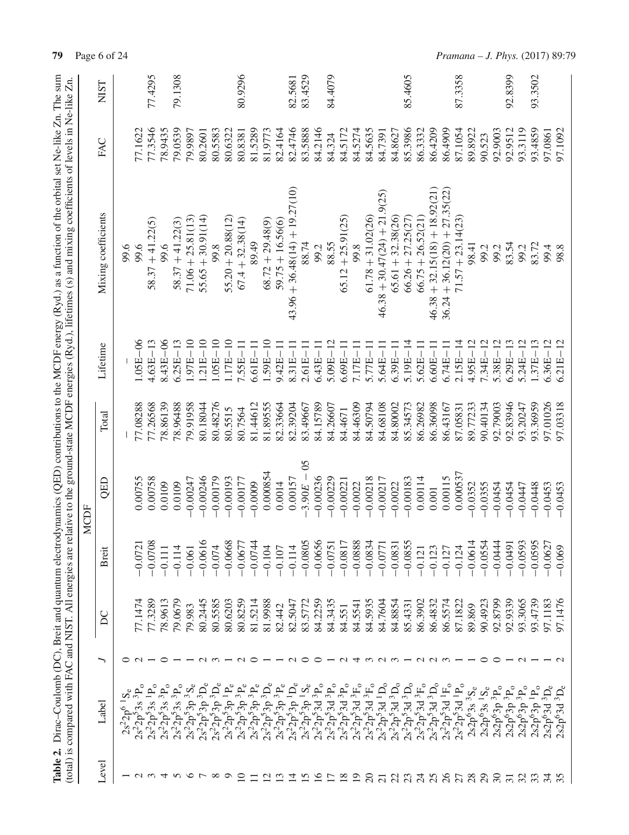|                 |                                                                                                                        |               |         |           |                      |          |                    | Table 2. Dirac-Coulomb (DC), Breit and quantum electrodynamics (QED) contributions to the MCDF energy (Ryd.) as a function of the orbital set Ne-like Zn. The sum<br>(total) is compared with FAC and NIST. All energies are relative to the ground-state MCDF energies (Ryd.), lifetimes (s) and mixing coefficients of levels in Ne-like Zn. |         |             |
|-----------------|------------------------------------------------------------------------------------------------------------------------|---------------|---------|-----------|----------------------|----------|--------------------|------------------------------------------------------------------------------------------------------------------------------------------------------------------------------------------------------------------------------------------------------------------------------------------------------------------------------------------------|---------|-------------|
|                 |                                                                                                                        |               |         |           | <b>MCDF</b>          |          |                    |                                                                                                                                                                                                                                                                                                                                                |         |             |
| Level           | Label                                                                                                                  | ╮             | $\sum$  | Breit     | QED                  | Total    | Lifetime           | Mixing coefficients                                                                                                                                                                                                                                                                                                                            | FAC     | <b>NIST</b> |
|                 | $2s^22p^6$                                                                                                             |               |         |           |                      |          |                    | 9.6                                                                                                                                                                                                                                                                                                                                            |         |             |
|                 | $2s^22p^53s$                                                                                                           |               | 77.1474 | $-0.0721$ | 0.00755              | 77.08288 | $1.05E - 06$       | 99.6                                                                                                                                                                                                                                                                                                                                           | 77.1622 |             |
| $\sim$ $\sim$   | $2s^22p^53s$                                                                                                           |               | 77.3289 | $-0.0708$ | 0.00758              | 77.26568 | $4.63E - 13$       | $58.37 + 41.22(5)$                                                                                                                                                                                                                                                                                                                             | 77.3546 | 77.4295     |
| ব               | $2s^22p^53s~^3P_0$                                                                                                     | ○             | 78.9613 | $-0.111$  | 0.0109               | 78.86139 | $8.43E - 06$       | 99.6                                                                                                                                                                                                                                                                                                                                           | 78.9435 |             |
| n               | $2s^22p^53s~^3P_0$                                                                                                     |               | 79.0679 | $-0.114$  | 0.0109               | 78.96488 | $6.25E - 13$       | $58.37 + 41.22(3)$                                                                                                                                                                                                                                                                                                                             | 79.0539 | 79.1308     |
| $\circ$         | $2s^22p^53p^3S_e$                                                                                                      |               | 79.983  | $-0.061$  | $-0.00247$           | 79.91958 | $1.97E - 10$       | $71.06 + 25.81(13)$                                                                                                                                                                                                                                                                                                                            | 79.9897 |             |
| $\overline{ }$  | $2s^22p^53p^3D_e$                                                                                                      |               | 80.2445 | $-0.0616$ | $-0.00246$           | 80.18044 | $1.21E - 10$       | $55.65 + 30.91(14)$                                                                                                                                                                                                                                                                                                                            | 80.2601 |             |
| $\infty$        | $2s^22p^53p^3D_e$                                                                                                      |               | 80.5585 | $-0.074$  | $-0.00179$           | 80.48276 | $05E-10$           | 99.8                                                                                                                                                                                                                                                                                                                                           | 80.5583 |             |
| $\circ$         | $\begin{array}{c} 2s^22p^53p^{1}P_{e}\\ 2s^22p^53p^{3}P_{e}\\ 2s^22p^53p^{3}P_{e}\\ 2s^22p^53p^{3}P_{e}\\ \end{array}$ |               | 80.6203 | $-0.0668$ | $-0.00193$           | 80.5515  | $1.17E-10$         | $55.20 + 20.88(12)$                                                                                                                                                                                                                                                                                                                            | 80.6322 |             |
| $\Box$          |                                                                                                                        |               | 80.8259 | $-0.0677$ | $-0.00177$           | 80.7564  | $7.55E-11$         | $67.4 + 32.38(14)$                                                                                                                                                                                                                                                                                                                             | 80.8381 | 80.9296     |
|                 |                                                                                                                        | ○             | 81.5214 | $-0.0744$ | $-0.0009$            | 81.44612 | $6.61E-11$         | 89.49                                                                                                                                                                                                                                                                                                                                          | 81.5289 |             |
| 12              | $2s^22p^53p^3D_e$                                                                                                      |               | 81.9988 | $-0.104$  | 0.000854             | 81.89555 | $1.59E-10$         | $68.72 + 29.48(9)$                                                                                                                                                                                                                                                                                                                             | 81.9773 |             |
|                 | $2s^22p^53p^3P_e$                                                                                                      |               | 82.442  | $-0.107$  | 0.0014               | 82.33664 | $9.42E - 11$       | $59.75 + 16.56(6)$                                                                                                                                                                                                                                                                                                                             | 82.4164 |             |
| $\Xi$           |                                                                                                                        | $\sim$        | 82.5047 | $-0.114$  | 0.00157              | 82.39204 | $8.31E - 11$       | $43.96 + 36.48(14) + 19.27(10)$                                                                                                                                                                                                                                                                                                                | 82.4746 | 82.5681     |
| $\overline{5}$  | $\frac{2s^22\bar{p}^53\bar{p}}{2s^22p^53p}\frac{1}{1S_e}$                                                              | ○             | 83.5772 | $-0.0805$ | $\delta$<br>$-3.90E$ | 83.49667 | $2.61E - 11$       | 88.74                                                                                                                                                                                                                                                                                                                                          | 83.5888 | 83.4529     |
| $\overline{16}$ | $2s^22p^53d^3P_0$ $2s^22p^53d^3P_0$                                                                                    | ○             | 84.2259 | $-0.0656$ | $-0.00236$           | 84.15789 | =<br>T<br>$6.43E-$ | 99.2                                                                                                                                                                                                                                                                                                                                           | 84.2146 |             |
|                 |                                                                                                                        |               | 84.3435 | $-0.0751$ | $-0.00229$           | 84.26607 | $5.09E - 12$       | 88.55                                                                                                                                                                                                                                                                                                                                          | 84.324  | 84.4079     |
| $\overline{18}$ | $2s^22p^53d^3P_0$                                                                                                      | $\sim$        | 84.551  | $-0.0817$ | $-0.00221$           | 84.4671  | $6.69E - 11$       | $65.12 + 25.91(25)$                                                                                                                                                                                                                                                                                                                            | 84.5172 |             |
| $\overline{19}$ | $2s^22p^53d^3F_0$                                                                                                      | ↴             | 84.5541 | $-0.0888$ | $-0.0022$            | 84.46309 | $7.17E - 11$       | 99.8                                                                                                                                                                                                                                                                                                                                           | 84.5274 |             |
| $\Omega$        | $2s^22p^53d~^3F_0$                                                                                                     |               | 84.5935 | $-0.0834$ | $-0.00218$           | 84.50794 | $5.77E - 11$       | $61.78 + 31.02(26)$                                                                                                                                                                                                                                                                                                                            | 84.5635 |             |
| $\overline{c}$  | $2s^2 2p^5 3d$ <sup>1</sup> D <sub>o</sub>                                                                             |               | 84.7604 | $-0.0771$ | $-0.00217$           | 84.68108 | $5.64E-1$          | $46.38 + 30.47(24) + 21.9(25)$                                                                                                                                                                                                                                                                                                                 | 84.7391 |             |
| $\mathfrak{L}$  | $\frac{2s^22{\bf \hat{p}}^53{\bf d}}{2s^22{\bf \hat{p}}^53{\bf d}}\frac{3{\bf D_0}}{3{\bf D_0}}$                       |               | 84.8854 | $-0.0831$ | $-0.0022$            | 84.80002 | $6.39E - 11$       | $65.61 + 32.38(26)$                                                                                                                                                                                                                                                                                                                            | 84.8627 |             |
| $\mathfrak{L}$  |                                                                                                                        |               | 85.4331 | $-0.0855$ | $-0.00183$           | 85.34573 | $5.19E - 14$       | $66.26 + 27.25(27)$                                                                                                                                                                                                                                                                                                                            | 85.3986 | 85.4605     |
| $\mathcal{Z}$   | $\frac{2s^22p^53d}{3F_0}^3F_0$                                                                                         | $\sim$        | 86.3902 | $-0.121$  | 0.00114              | 86.26982 | $5.62E - 11$       | $66.75 + 26.52(21)$                                                                                                                                                                                                                                                                                                                            | 86.3332 |             |
| 25              |                                                                                                                        | $\sim$ $\sim$ | 86.4832 | $-0.123$  | $0.001$              | 86.36098 | Ę<br>$6.60E-$      | $46.38 + 32.15(18) + 18.92(21)$                                                                                                                                                                                                                                                                                                                | 86.4209 |             |
| $\infty$        | $2s^22p^53d$ <sup>1</sup> F <sub>o</sub>                                                                               |               | 86.5574 | $-0.127$  | 0.00115              | 86.43167 | $6.74E - 11$       | $36.24 + 36.12(20) + 27.35(22)$                                                                                                                                                                                                                                                                                                                | 86.4909 |             |
| 27              | $2s^22p^53d^1P_0$                                                                                                      |               | 87.1822 | $-0.124$  | 0.000537             | 87.05831 | $2.15E - 14$       | $71.57 + 23.14(23)$                                                                                                                                                                                                                                                                                                                            | 87.1054 | 87.3358     |
| 28              | $2s2p^63s^3S_e$                                                                                                        |               | 89.869  | $-0.0614$ | $-0.0352$            | 89.77233 | 4.95E-             | 98.41                                                                                                                                                                                                                                                                                                                                          | 89.8922 |             |
| $\overline{c}$  | $2s2p^63s$ <sup>1</sup> S <sub>e</sub>                                                                                 | ○             | 90.4923 | $-0.0554$ | $-0.0355$            | 90.40134 | 7.34E-             | 99.2                                                                                                                                                                                                                                                                                                                                           | 90.523  |             |
| $\mathfrak{S}$  | $2s2p^63p^3P_0$                                                                                                        | ○             | 92.8799 | $-0.0444$ | $-0.0454$            | 92.79003 | $5.38E - 12$       | 99.2                                                                                                                                                                                                                                                                                                                                           | 92.9003 |             |
| $\overline{31}$ | $2s2p^63p^3P_0$                                                                                                        |               | 92.9339 | $-0.0491$ | $-0.0454$            | 92.83946 | $-13$<br>$6.29E-$  | 83.54                                                                                                                                                                                                                                                                                                                                          | 92.9512 | 92.8399     |
| 32              | 2s2p <sup>6</sup> 3p <sup>3</sup> P                                                                                    |               | 93.3065 | $-0.0593$ | $-0.0447$            | 93.20247 | $-12$<br>5.24E-    | 99.2                                                                                                                                                                                                                                                                                                                                           | 93.3119 |             |
| 33              | $2s2p^{6}3p^{1}P_{0}$                                                                                                  |               | 93.4739 | $-0.0595$ | $-0.0448$            | 93.36959 | $1.37E - 13$       | 83.72                                                                                                                                                                                                                                                                                                                                          | 93.4859 | 93.3502     |
|                 | $2s2p^63d^3D_e$                                                                                                        |               | 97.1183 | $-0.0627$ | $-0.0453$            | 97.01026 | $6.36E - 12$       | 99.4                                                                                                                                                                                                                                                                                                                                           | 97.0861 |             |
|                 | $2s2p^63d^3D_e$                                                                                                        |               | 97.1476 | $-0.069$  | $-0.0453$            | 97.03318 | $5.21E - 12$       | 98.8                                                                                                                                                                                                                                                                                                                                           | 97.1092 |             |

**79** Page 6 of 24 *Pramana – J. Phys.* (2017) 89:79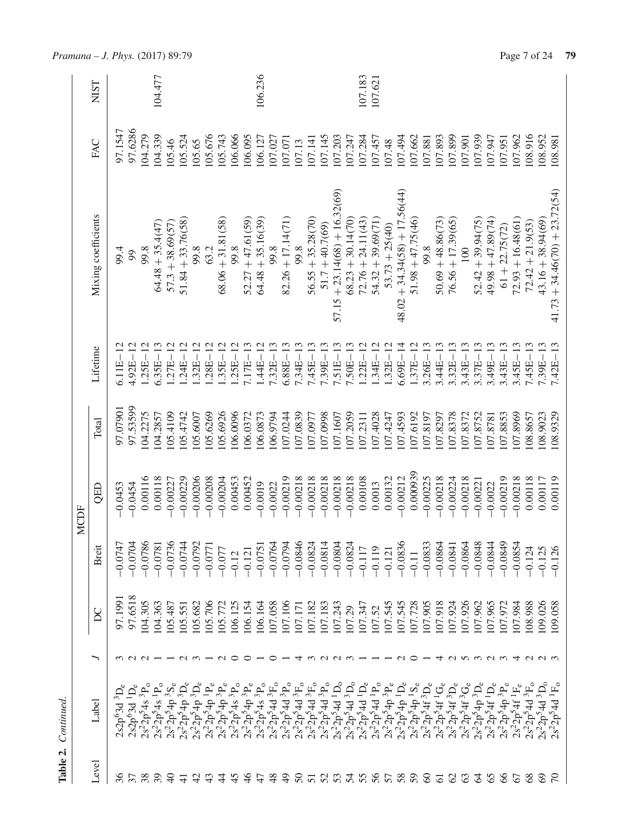|      | <b>NIST</b>         |              |              |                   | 104.477                                  |                    |                      |                      |                   |                     |                   |                     | 106.236             |                   |                     |                    |                     |                   |                                 |                      | 107.183             | 107.621             |                   |                                 |                     |                                                                                                                                                                                         |                     |                     |                   |                      |                     |                   |                     |                    |                     |                                 |
|------|---------------------|--------------|--------------|-------------------|------------------------------------------|--------------------|----------------------|----------------------|-------------------|---------------------|-------------------|---------------------|---------------------|-------------------|---------------------|--------------------|---------------------|-------------------|---------------------------------|----------------------|---------------------|---------------------|-------------------|---------------------------------|---------------------|-----------------------------------------------------------------------------------------------------------------------------------------------------------------------------------------|---------------------|---------------------|-------------------|----------------------|---------------------|-------------------|---------------------|--------------------|---------------------|---------------------------------|
|      | FAC                 | 97.1547      | 97.6286      | 104.279           | 104.339                                  | 105.46             | 105.524              | 105.65               | 05.676            | 105.743             | 106.066           | 106.095             | 106.127             | 107.027           | 107.071             | 107.13             | 107.141             | 107.145           | 107.203                         | 107.247              | 107.284             | 107.457             | 107.48            | 107.494                         | 107.662             | 107.881                                                                                                                                                                                 | 107.893             | 107.899             | 107.901           | 107.939              | 107.947             | 107.951           | 107.962             | 108.916            | 108.952             | 186.801                         |
|      | Mixing coefficients | 99.4         | 99           | 99.8              | $64.48 + 35.4(47)$                       | $57.3 + 38.69(57)$ | $51.84 + 33.76(58)$  | 99.8                 | 63.2              | $68.06 + 31.81(58)$ | 99.8              | $52.27 + 47.61(59)$ | $64.48 + 35.16(39)$ | 99.8              | $82.26 + 17.14(71)$ | 99.8               | $56.55 + 35.28(70)$ | $51.7 + 40.7(69)$ | $57.15 + 23.14(68) + 16.32(69)$ | $68.23 + 30.14(70)$  | $72.76 + 24.11(43)$ | $54.32 + 39.69(71)$ | $53.73 + 25(40)$  | $48.02 + 34.34(58) + 17.56(44)$ | $51.98 + 47.75(46)$ | 99.8                                                                                                                                                                                    | $50.69 + 48.86(73)$ | $76.56 + 17.39(65)$ | $100\,$           | $52.42 + 39.94(75)$  | $49.98 + 47.89(74)$ | $61 + 22.75(72)$  | $72.93 + 16.48(61)$ | $72.42 + 21.9(53)$ | $43.16 + 38.94(69)$ | $41.73 + 34.46(70) + 23.72(54)$ |
|      | Lifetime            | $5.11E - 12$ | $4.92E - 12$ | $1.25E - 12$      | $6.35E - 13$                             | $.27E - 12$        | $.24E - 12$          | $.32E - 12$          | $.28E - 12$       | $.35E - 12$         | $1.25E - 12$      | $7.17E - 13$        | $1.44E - 12$        | $7.32E - 13$      | $6.88E - 13$        | $7.34E - 13$       | 7.45E-13            | $7.39E-13$        | 7.51E-13                        | $7.50E - 13$         | $1.22E - 12$        | $.34E - 12$         | $.32E - 12$       | $6.69E - 14$                    | $1.37E - 12$        | $3.26E - 13$                                                                                                                                                                            | 3.44E-13            | $3.32E - 13$        | $3.43E - 13$      | $3.37E - 13$         | $3.49E - 13$        | $3.43E - 13$      | $3.45E - 13$        | $7.45E - 13$       | $7.39E - 13$        | $7.42E - 13$                    |
|      | Total               | 97.07901     | 97.53599     | 104.2275          | 104.2857                                 | 105.4109           | 105.4742             | .05.6007             | 05.6269           | 05.6926             | 06.0096           | .06.0372            | 06.0873             | 106.9794          | 107.0244            | 07.0839            | 107.0977            | 107.0998          | 107.1607                        | 07.2059              | 07.2311             | 07.4028             | 07.4247           | 07.4593                         | 107.6192            | 107.8197                                                                                                                                                                                | 107.8297            | 07.8378             | 07.8372           | 07.8752              | 07.8781             | 07.8853           | 07.8969             | 08.8657            | 08.9023             | 108.9329                        |
| MCDF | QED                 | $-0.0453$    | $-0.0454$    | 0.00116           | 0.00118                                  | $-0.00227$         | $-0.00229$           | $-0.00206$           | $-0.00208$        | $-0.00204$          | 0.00453           | 0.00452             | $-0.0019$           | $-0.0022$         | $-0.00219$          | $-0.00218$         | $-0.00218$          | $-0.00218$        | $-0.00218$                      | $-0.00218$           | 0.00108             | 0.0013              | 0.00132           | $-0.00212$                      | 0.000939            | $-0.00225$                                                                                                                                                                              | $-0.00218$          | $-0.00224$          | $-0.00218$        | $-0.00221$           | $-0.0022$           | $-0.00219$        | $-0.00218$          | 0.00118            | 0.00117             | 0.00119                         |
|      | Breit               | $-0.0747$    | $-0.0704$    | $-0.0786$         | $-0.0781$                                | $-0.0736$          | $-0.0744$            | $-0.0792$            | $-0.077$          | $-0.077$            | $-0.12$           | $-0.121$            | $-0.075$            | $-0.0764$         | $-0.0794$           | $-0.0846$          | $-0.0824$           | $-0.0814$         | $-0.0804$                       | $-0.0824$            | $-0.117$            | $-0.119$            | $-0.121$          | $-0.0836$                       | $-0.11$             | $-0.0833$                                                                                                                                                                               | $-0.0864$           | $-0.0841$           | $-0.0864$         | $-0.0848$            | $-0.0844$           | 0.0849            | 0.0854              | $-0.124$           | $-0.125$            | $-0.126$                        |
|      | $\sum$              | 97.1991      | 97.6518      | 104.305           | 104.363                                  | 105.487            | 105.551              | 05.682               | 05.706            | 05.772              | 106.125           | 106.154             | 106.164             | 107.058           | 107.106             | 107.171            | 107.182             | 107.183           | 107.243                         | 107.29               | 107.347             | 107.52              | 107.545           | 107.545                         | 107.728             | 107.905                                                                                                                                                                                 | 107.918             | 107.924             | 07.926            | .07.962              | 107.965             | 107.972           | 07.984              | 108.988            | 109.026             | 109.058                         |
|      | ╮                   |              |              |                   |                                          |                    | $\sim$ $\sim$        |                      |                   | $\sim$              | っ                 | ○                   |                     | ○                 |                     | ↴                  |                     | $\sim$            | $\sim$                          | $\epsilon$           |                     |                     |                   |                                 | ○                   |                                                                                                                                                                                         | ↽                   |                     | Q N W Q W 4 Q Q W |                      |                     |                   |                     |                    |                     |                                 |
|      | Label               | $2s2p63d3De$ | $2s2p63d1De$ | $2s^22p^54s^3P_0$ | $2s^22p^54s$ <sup>1</sup> P <sub>o</sub> | $2s^22p^54p^3S_e$  | $2s^2 2p^5 4p^3 D_e$ | $2s^2 2p^5 4p^3 D_e$ | $2s^22p^54p^1P_e$ | $2s^22p^54p^3P_e$   | $2s^22p^54s^3P_0$ | $2s^22p^54p^3P_e$   | $2s^22p^54s^3P_0$   | $2s^22p^54d^3F_0$ | $2s^22p^54d^3P_0$   | $2s^22p^54d~^3F_0$ | $2s^22p^54d~^3F_0$  | $2s^22p^54d^3P_0$ | $2s^2 2p^5 4d^1D_0$             | $2s^2 2p^5 4d^3 D_0$ | $2s^22p^54d^1D_e$   | $2s^22p^54d^1P_0$   | $2s^22p^54p^3P_e$ | $2s^2 2p^5 4p^{1} D_e$          | $2s^22p^54p^1S_e$   | $\begin{array}{c} 2 s^2 2 \mathbf{p}^5 4 \mathbf{f}^3 \mathbf{D_e}\\ 2 s^2 2 \mathbf{p}^5 4 \mathbf{f}^1 \mathbf{G_e}\\ 2 s^2 2 \mathbf{p}^5 4 \mathbf{f}^1 \mathbf{G_e}\\ \end{array}$ |                     |                     | $2s^22p^54f^3G_e$ | $2s^2 2p^5 4p^3 D_e$ | $2s^22p^54f^1D_e$   | $2s^22p^54p^3P_e$ | $2s^22p^54f^1F_e$   | $2s^22p^54d~^3F_0$ | $2s^22p^54d^3D_0$   | $2s^22p^54d$ <sup>1</sup> F     |
|      | Level               |              |              |                   |                                          | ¥                  | $\frac{4}{1}$        |                      |                   |                     |                   |                     | 47                  | $\frac{8}{3}$     | $\frac{6}{7}$       | $\delta$           | $\overline{51}$     | 52                | 53                              | 54                   | 55                  | 56                  | 57                | 58                              | 59                  | 8                                                                                                                                                                                       | $\overline{6}$      | $\mathcal{S}$       | 63                | 2                    | 65                  | 8                 | 67                  | $\frac{8}{6}$      | $\odot$             |                                 |

*Pramana – J. Phys.* (2017) 89:79 Page 7 of 24 **79** 

**Table 2.** *Continued.*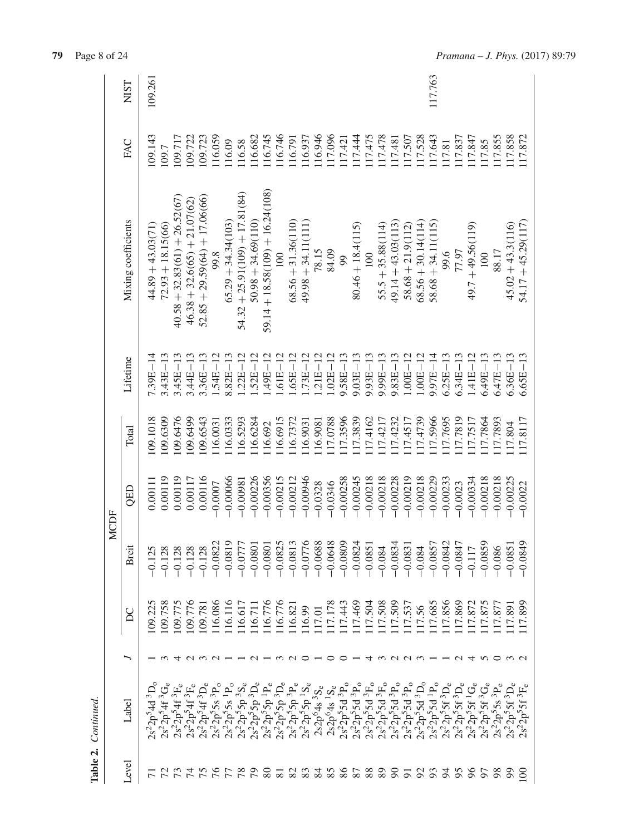|             | <b>NIST</b>         | 109.26                                                       |                     |                                 |                                |                                     |                 |                      |                                                                                                                  |                      |                                   |                 |                                        |                      |                |                                    |            |                     |                                                                                                                             |                     |                      |                                                                                                                          |                      | 117.763              |                   |                                 |                                   |                               |                 |                     |                                             |
|-------------|---------------------|--------------------------------------------------------------|---------------------|---------------------------------|--------------------------------|-------------------------------------|-----------------|----------------------|------------------------------------------------------------------------------------------------------------------|----------------------|-----------------------------------|-----------------|----------------------------------------|----------------------|----------------|------------------------------------|------------|---------------------|-----------------------------------------------------------------------------------------------------------------------------|---------------------|----------------------|--------------------------------------------------------------------------------------------------------------------------|----------------------|----------------------|-------------------|---------------------------------|-----------------------------------|-------------------------------|-----------------|---------------------|---------------------------------------------|
|             | FAC                 | 109.143                                                      | 109.7               | 109.717                         | 109.722                        | 109.723                             | .16.059         | .16.09               | 116.58                                                                                                           | 16.682               | 116.745                           | 116.746         | 16.791                                 | 16.937               | 16.946         | 117.096                            | 17.421     | 17.444              | 117.475                                                                                                                     | 17.478              | 17.481               | 17.507                                                                                                                   | 17.528               | 117.643              | 117.81            | 17.837                          | 117.847                           | 117.85                        | 17.855          | 17.858              | 17.872                                      |
|             | Mixing coefficients | $44.89 + 43.03(71)$                                          | $72.93 + 18.15(66)$ | $40.58 + 32.83(61) + 26.52(67)$ | $46.38 + 32.6(65) + 21.07(62)$ | $52.85 + 29.59(64) + 17.06(66)$     | 99.8            | $65.29 + 34.34(103)$ | $54.32 + 25.91(109) + 17.81(84)$                                                                                 | $50.98 + 34.69(110)$ | $59.14 + 18.58(109) + 16.24(108)$ | $\overline{5}$  | $68.56 + 31.36(110)$                   | $49.98 + 34.11(111)$ | 78.15          | 84.09                              | 99         | $80.46 + 18.4(115)$ | 100                                                                                                                         | $55.5 + 35.88(114)$ | $49.14 + 43.03(113)$ | $58.68 + 21.9(112)$                                                                                                      | $68.56 + 30.14(114)$ | $58.68 + 34.11(115)$ | 99.6              | 77.97                           | $49.7 + 49.56(119)$               | 100                           | 88.17           | $45.02 + 43.3(116)$ | $54.17 + 45.29(117)$                        |
|             | Lifetime            | $7.39E - 14$                                                 | $3.43E - 13$        | $3.45E - 13$                    | $3.44E - 13$                   | $3.36E - 13$                        | $1.54E - 12$    | $8.82E - 13$         | $1.22E - 12$                                                                                                     | $52E-12$             | $.49E - 12$                       | $.61E - 12$     | $.65E - 12$                            | $.73E - 12$          | $.21E - 12$    | $1.02E - 12$                       | 9.58E-13   | $9.03E - 13$        | $9.93E - 13$                                                                                                                | $9.99E - 13$        | $9.83E - 13$         | $1.00E - 12$                                                                                                             | $1.00E - 12$         | $9.97E - 14$         | $6.25E - 13$      | $6.34E - 13$                    | $1.41E - 12$                      | $6.49E - 13$                  | $6.47E - 13$    | $6.36E - 13$        | $6.65E - 13$                                |
|             | Total               | 09.1018                                                      | 09.6309             | 09.6476                         | 09.6499                        | 09.6543                             | 16.0031         | 16.0333              | 16.5293                                                                                                          | 16.6284              | 16.692                            | 16.6915         | 16.7372                                | 16.9031              | 16.9081        | 17.0788                            | 17.3596    | 17.3839             | 17.4162                                                                                                                     | 17.4217             | 17.4232              | 17.4517                                                                                                                  | 17.4739              | 17.5966              | 17.7695           | 17.7819                         | 17.7517                           | 17.7864                       | 17.7893         | 17.804              | 17.8117                                     |
| <b>MCDF</b> | QED                 | 0.00111                                                      | 0.00119             | 0.00119                         | 0.00117                        | 0.00116                             | $-0.0007$       | $-0.00066$           | $-0.00981$                                                                                                       | $-0.00226$           | $-0.00356$                        | $-0.00215$      | $-0.00212$                             | $-0.00946$           | $-0.0328$      | $-0.0346$                          | $-0.00258$ | $-0.00245$          | $-0.00218$                                                                                                                  | $-0.00218$          | $-0.00228$           | $-0.00219$                                                                                                               | $-0.00218$           | $-0.00229$           | $-0.00233$        | $-0.0023$                       | $-0.00334$                        | $-0.00218$                    | $-0.00218$      | $-0.00225$          | $-0.0022$                                   |
|             | Breit               | 0.12                                                         | $-0.128$            | $-0.128$                        | $-0.128$                       | $-0.128$                            | $-0.0822$       | $-0.0819$            | $-0.077$                                                                                                         | $-0.080$             | $-0.080$                          | $-0.0825$       | $-0.0813$                              | $-0.0776$            | $-0.0688$      | $-0.0648$                          | $-0.0809$  | $-0.0824$           | $-0.085$                                                                                                                    | $-0.084$            | $-0.0834$            | $-0.083$                                                                                                                 | $-0.084$             | $-0.0857$            | $-0.0842$         | $-0.0847$                       | $-0.117$                          | $-0.0859$                     | $-0.086$        | $-0.0851$           | 0.0849                                      |
|             | SC                  | 109.22                                                       | 109.758             | .09.775                         | .09.776                        | 109.781                             | 16.086          | 16.116               | 16.617                                                                                                           | 16.71                | 16.776                            | 16.776          | 116.821                                | 116.99               | 117.01         | 117.178                            | 17.443     | 117.469             | 117.504                                                                                                                     | 117.508             | 117.509              | 117.537                                                                                                                  | 117.56               | 117.685              | 17.856            | 117.869                         | 17.872                            | 17.875                        | 117.877         | 17.89               | 899                                         |
|             |                     |                                                              |                     |                                 |                                | $\alpha$ $\alpha$ $\alpha$ $\alpha$ |                 |                      |                                                                                                                  | $\sim$               |                                   |                 | n u o                                  |                      |                | ○                                  | ○          |                     |                                                                                                                             |                     |                      | maam                                                                                                                     |                      |                      |                   | $\sim$                          | $\overline{4}$                    | <b>S</b>                      | $\circ$         | $\omega$ $\omega$   |                                             |
|             | Label               | ${}^3\mathrm{D}_\mathrm{o}$<br>$^{2}2p^{5}4d$<br>$\dot{S}$ . | $2s^22p^54f^3G_e$   | $2s^22p^54f^3F_e$               | $2s^22p^54f^3F_e$              | $2s^22p^54f$                        | $2s^22p^55s^3P$ | $2s^22p^55s^1P$      | $\begin{array}{l} 2s^22p^55p^38 \\ 2s^22p^55p^3D \\ 2s^22p^55p^1P \\ 2s^22p^55p^1P \\ 2s^22p^55p^3D \end{array}$ |                      |                                   |                 | $2s^22p^55p^3P_e$<br>$2s^22p^55p^1S_e$ |                      |                | $2s2p^64s^3S_e$<br>$2s2p^64s^1S_e$ |            |                     | $\begin{array}{l} 2s^22p^55d~^3P_0\\ 2s^22p^55d~^3P_0\\ 2s^22p^55d~^3P_0\\ 2s^22p^55d~^3F_0\\ 2s^22p^55d~^3F_0 \end{array}$ |                     |                      | $\begin{array}{c} 2 s^2 2 \dot{p}^5 5 d^3 P_o \\ 2 s^2 2 \dot{p}^5 5 d^3 P_o \\ 2 s^2 2 \dot{p}^5 5 d^3 D_o \end{array}$ |                      | $2s^2 2p^5 5d^1P$    | $2s^22p^55f^3D_e$ | $2s^22p^55f^3D_6s^22p^55f^1G_6$ | $55f$ <sup>1</sup> G <sub>e</sub> | $^3{\rm G}_e$<br>$2s^22p^55f$ | $2s^22p^55s^3P$ | $2s^22p^55f^3D$     | .3 <sub>F</sub><br>$^{22}p^{5}5f$<br>$2s^2$ |
|             | Level               |                                                              |                     |                                 |                                | 75                                  |                 |                      | 78                                                                                                               | $\mathcal{E}$        | 80                                | $\overline{81}$ | 82                                     | 83                   | $\frac{84}{3}$ | 85                                 | 86         | 87                  | 88                                                                                                                          | 89                  | $8^{\circ}$          | $\overline{5}$                                                                                                           | $\mathfrak{S}$       | 93                   | 54                | 95                              |                                   |                               | 86              | 8                   | g                                           |

**79** Page 8 of 24

Table 2. Continued.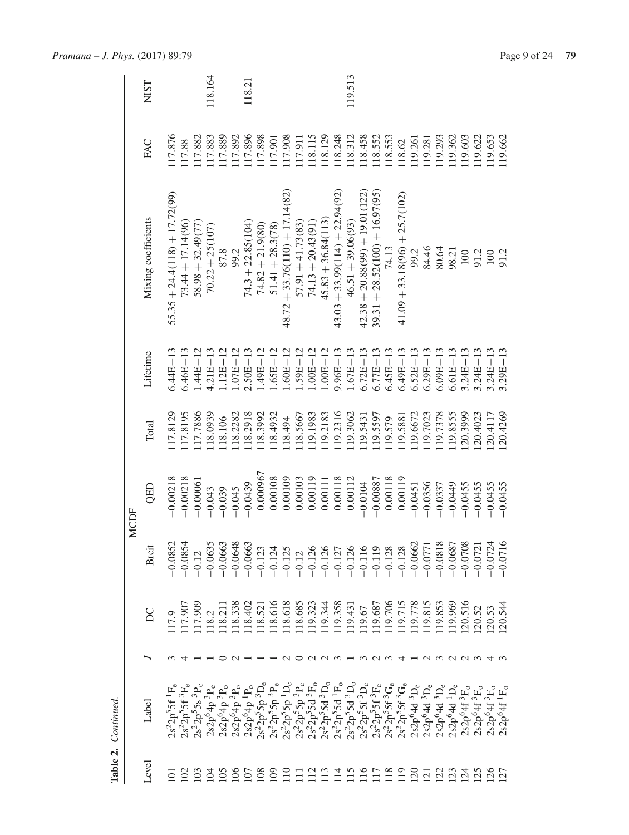|             | NIST                |                                 |                     |                                        | 118.164                               |                  |                   | 118.21              |                                                                                                                                                                                                                                                                                                                                                                                                         |                    |                                  |                     |                     |                      |                                  | 119.513             |                                  |                                  |                |                                 |                 |                |                                     |                 |                                                  |                                                  |                                                  |                                          |
|-------------|---------------------|---------------------------------|---------------------|----------------------------------------|---------------------------------------|------------------|-------------------|---------------------|---------------------------------------------------------------------------------------------------------------------------------------------------------------------------------------------------------------------------------------------------------------------------------------------------------------------------------------------------------------------------------------------------------|--------------------|----------------------------------|---------------------|---------------------|----------------------|----------------------------------|---------------------|----------------------------------|----------------------------------|----------------|---------------------------------|-----------------|----------------|-------------------------------------|-----------------|--------------------------------------------------|--------------------------------------------------|--------------------------------------------------|------------------------------------------|
|             | FAC                 | 17.876                          | 117.88              | 17.882                                 | 17.883                                | 17.889           | 17.892            | 117.896             | 17.898                                                                                                                                                                                                                                                                                                                                                                                                  | 17.901             | 117.908                          | 117.911             | 118.115             | .18.129              | .18.248                          | 18.312              | 118.458                          | 18.552                           | .18.553        | 118.62                          | 119.261         | 119.281        | 19.293                              | 19.362          | 19,603                                           | .19.622                                          | .19.653                                          | 119.662                                  |
|             | Mixing coefficients | $55.35 + 24.4(118) + 17.72(99)$ | $73.44 + 17.14(96)$ | $58.98 + 32.49(77)$                    | $70.22 + 25(107)$                     | 87.8             | 99.2              | $74.3 + 22.85(104)$ | $74.82 + 21.9(80)$                                                                                                                                                                                                                                                                                                                                                                                      | $51.41 + 28.3(78)$ | $48.72 + 33.76(110) + 17.14(82)$ | $57.91 + 41.73(83)$ | $74.13 + 20.43(91)$ | $45.83 + 36.84(113)$ | $43.03 + 33.99(114) + 22.94(92)$ | $46.51 + 39.06(93)$ | $42.38 + 20.88(99) + 19.01(122)$ | $39.31 + 28.52(100) + 16.97(95)$ | 74.13          | $41.09 + 33.18(96) + 25.7(102)$ | 99.2            | 84.46          | 80.64                               | 98.21           | 100                                              | 91.2                                             | 100                                              | 91.2                                     |
|             | Lifetime            | $6.44E - 13$                    | $6.46E - 13$        | $.44E - 12$                            | $4.21E - 13$                          | $1.12E - 12$     | $1.07E - 12$      | $2.50E - 13$        | $.49E - 12$                                                                                                                                                                                                                                                                                                                                                                                             | $.65E - 12$        | $.60E - 12$                      | $.59E-12$           | $.00E - 12$         | $.00E - 12$          | $9.96E - 13$                     | $.67E - 13$         | $6.72E - 13$                     | $6.77E - 13$                     | $6.45E - 13$   | $6.49E - 13$                    | $6.52E - 13$    | $6.29E - 13$   | $6.09E - 13$                        | $5.61E - 13$    | $3.24E - 13$                                     | $3.24E - 13$                                     | $3.24E - 13$                                     | $3.29E - 13$                             |
|             | Total               | 17.8129                         | 117.8195            | 117.7886                               | 18.0939                               | 118.106          | 18.2282           | 118.2918            | 18.3992                                                                                                                                                                                                                                                                                                                                                                                                 | 18.4932            | 18.494                           | 118.5667            | 19.1983             | 19.2183              | .19.2316                         | 19.3062             | 19.5431                          | 19.5597                          | 119.579        | 19.5881                         | 119.6672        | 19.7023        | 19.7378                             | 19.8555         | 20.3999                                          | 20.4023                                          | 20.4117                                          | 120.4269                                 |
| <b>MCDF</b> | QED                 | $-0.00218$                      | $-0.00218$          | $-0.00061$                             | $-0.043$                              | $-0.039$         | $-0.045$          | $-0.0439$           | 0.000967                                                                                                                                                                                                                                                                                                                                                                                                | 0.00108            | 0.00109                          | 0.00103             | 0.00119             | 0.00111              | 0.00118                          | 0.00112             | $-0.0104$                        | $-0.00887$                       | 0.00118        | 0.00119                         | $-0.0451$       | $-0.0356$      | $-0.0337$                           | $-0.0449$       | $-0.0455$                                        | $-0.0455$                                        | $-0.0455$                                        | $-0.0455$                                |
|             | Breit               | $-0.0852$                       | $-0.0854$           | $-0.12$                                | $-0.0635$                             | $-0.0663$        | $-0.0648$         | $-0.0663$           | $-0.123$                                                                                                                                                                                                                                                                                                                                                                                                | $-0.124$           | $-0.125$                         | $-0.12$             | $-0.126$            | $-0.126$             | $-0.127$                         | $-0.126$            | $-0.116$                         | $-0.119$                         | $-0.128$       | $-0.128$                        | $-0.0662$       | $-0.077$       | $-0.0818$                           | $-0.0687$       | $-0.0708$                                        | $-0.072$                                         | $-0.0724$                                        | 0.0716                                   |
|             | S                   | 17.9                            | 17.907              | 17.909                                 | 18.2                                  | 118.211          | 18.338            | 18.402              | 18.521                                                                                                                                                                                                                                                                                                                                                                                                  | 18.616             | 18.618                           | 18.685              | 19.323              | 19.344               | 119.358                          | 19.43               | 19.67                            | 19.687                           | 19.706         | 19.715                          | 19.778          | .19.815        | 19.853                              | 19.969          | 20.516                                           | .20.52                                           | .20.53                                           | $-20.544$                                |
|             |                     |                                 |                     |                                        |                                       |                  |                   |                     |                                                                                                                                                                                                                                                                                                                                                                                                         |                    |                                  | ○                   |                     | UUU                  |                                  |                     | $\omega$                         | $\omega$ $\omega$                |                | 4                               |                 |                | _ന                                  |                 |                                                  |                                                  |                                                  |                                          |
|             | $_{\rm Label}$      | $2s^22p^55f^1F_e$               |                     | $2s^22p^55f^3F_e$<br>$2s^22p^55s^3P_e$ | $\frac{2s2p^64p^3P_e}{2s2p^64p^3P_o}$ |                  | $2s2p^64p^3P_0$   |                     | $\begin{array}{l} \mathcal{L}_2^{\infty}(A_1^2) \\ \mathcal{L}_3^{\infty}(A_2^2) \\ \mathcal{L}_4^{\infty}(A_1^2) \\ \mathcal{L}_5^{\infty}(A_2^2) \\ \mathcal{L}_5^{\infty}(A_2^2) \\ \mathcal{L}_6^{\infty}(A_1^2) \\ \mathcal{L}_7^{\infty}(A_2^2) \\ \mathcal{L}_8^{\infty}(A_2^2) \\ \mathcal{L}_9^{\infty}(A_1^2) \\ \mathcal{L}_9^{\infty}(A_2^2) \\ \mathcal{L}_9^{\infty}(A_2^2) \\ \mathcal{$ |                    |                                  |                     |                     |                      |                                  |                     |                                  |                                  |                | $2s^22p^55f^3G_e$               | $2s2p64d3De$    | $2s2p64d3$ L   | 2s2p <sup>6</sup> 4d <sup>3</sup> L | $2s2p64d1$ L    | 2s2p <sup>6</sup> 4f <sup>3</sup> F <sub>o</sub> | 2s2p <sup>6</sup> 4f <sup>3</sup> F <sub>o</sub> | 2s2p <sup>6</sup> 4f <sup>3</sup> F <sub>o</sub> | $2s2p^{6}4f$ <sup>1</sup> F <sub>o</sub> |
|             | <b>Level</b>        | $\overline{\circ}$              | $\Xi$               | $\Xi$                                  | $\overline{S}$                        | $\overline{105}$ | $\widetilde{\Xi}$ | $\Xi$               | $\approx$                                                                                                                                                                                                                                                                                                                                                                                               | $\overline{5}$     | $\Xi$                            |                     |                     | $\Xi$                | $\Xi$                            | $\Xi$               | $\approx$                        | E                                | $\frac{8}{18}$ | $\Xi$                           | $\overline{20}$ | $\overline{2}$ | $\overline{2}$                      | $\overline{23}$ | $\overline{24}$                                  | 125                                              | 126                                              | $\overline{27}$                          |

**Table 2.** *Continued.*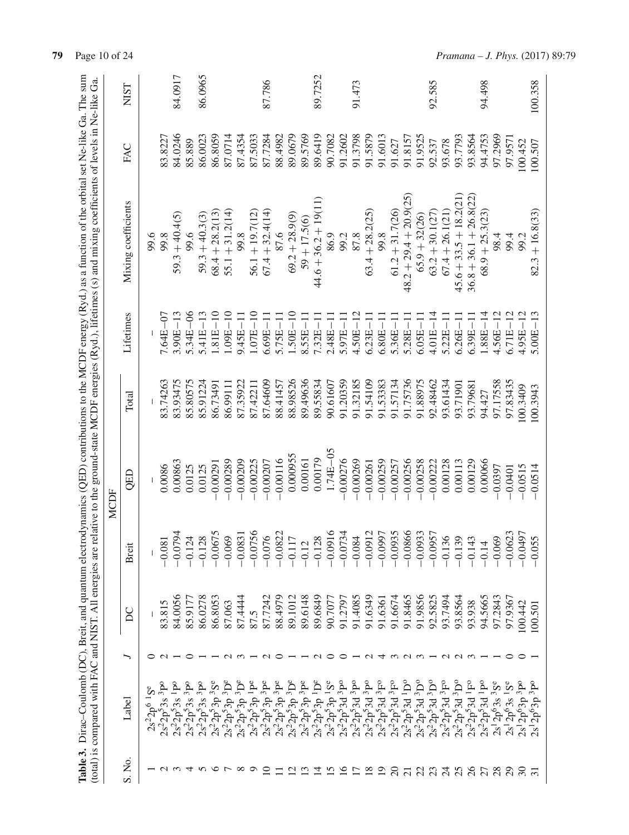|                                                                                                                                                                                                                                                                                         |             | <b>NIST</b>         |                     |                                          | 84.0917                                  |              | 86.0965                                                      |                   |                                                                |              |                       | 87.786            |                       |                               |                | 89.7252                                                                                                                                                                                                                                              |              |              | 91.473         |                                                                                      |                      |                   |                                        |                   | 92.585             |                   |                                                                                                                                                                                   |                          | 94.498            |                           |                           |                          | 100.358           |
|-----------------------------------------------------------------------------------------------------------------------------------------------------------------------------------------------------------------------------------------------------------------------------------------|-------------|---------------------|---------------------|------------------------------------------|------------------------------------------|--------------|--------------------------------------------------------------|-------------------|----------------------------------------------------------------|--------------|-----------------------|-------------------|-----------------------|-------------------------------|----------------|------------------------------------------------------------------------------------------------------------------------------------------------------------------------------------------------------------------------------------------------------|--------------|--------------|----------------|--------------------------------------------------------------------------------------|----------------------|-------------------|----------------------------------------|-------------------|--------------------|-------------------|-----------------------------------------------------------------------------------------------------------------------------------------------------------------------------------|--------------------------|-------------------|---------------------------|---------------------------|--------------------------|-------------------|
|                                                                                                                                                                                                                                                                                         |             | FAC                 |                     | 83.8227                                  | 84.0246                                  | 85.889       | 86.0023                                                      | 86.8059           | 87.0714                                                        | 87.4354      | 87.5033               | 87.7284           | 88.4982               | 89.0679                       | 89.5769        | 89.6419                                                                                                                                                                                                                                              | 90.7082      | 91.2602      | 91.3798        | 91.5879                                                                              | 91.6013              | 91.627            | 91.8157                                | 91.9525           | 92.537             | 93.678            | 93.7793                                                                                                                                                                           | 93.8564                  | 94.4753           | 97.2969                   | 97.9571                   | 100.452                  | 100.507           |
| Table 3. Dirac-Coulomb (DC), Breit, and quantum electrodynamics (QED) contributions to the MCDF energy (Ryd.) as a function of the orbital set Ne-like Ga. The sum<br>relative to the ground-state MCDF energies (Ryd.), lifetimes (s) and mixing coefficients of levels in Ne-like Ga. |             | Mixing coefficients | 99.6                | 99.8                                     | $59.3 + 40.4(5)$                         | 9.6          | $59.3 + 40.3(3)$                                             | $68.4 + 28.2(13)$ | $55.1 + 31.2(14)$                                              | 99.8         | $56.1 + 19.7(12)$     | $67.4 + 32.4(14)$ | 87.6                  | $69.2 + 28.9(9)$              | $59 + 17.5(6)$ | $44.6 + 36.2 + 19(11)$                                                                                                                                                                                                                               | 86.9         | 99.2         | 87.8           | $63.4 + 28.2(25)$                                                                    | 99.8                 | $61.2 + 31.7(26)$ | (25)<br>$48.2 + 29.4 + 20.9$           | $65.9 + 32(26)$   | $63.2 + 30.1 (27)$ | $67.4 + 26.1(21)$ | $45.6 + 33.5 + 18.2(21)$                                                                                                                                                          | $36.8 + 36.1 + 26.8(22)$ | $68.9 + 25.3(23)$ | 98.4                      | 99.4                      | 99.2                     | $82.3 + 16.8(33)$ |
|                                                                                                                                                                                                                                                                                         |             | Lifetimes           |                     | 7.64E-07                                 | $3.90E - 13$                             | $5.34E - 06$ | 5.41E                                                        | $0.81E - 10$      | $1.09E - 10$                                                   | $9.45E - 11$ | $1.07E - 10$          | $6.69E-11$        | $5.75E - 11$          | $1.50E-10$                    | $8.55E - 11$   | $7.32E - 11$                                                                                                                                                                                                                                         | $2.48E - 11$ | $5.97E - 11$ | $4.50E - 12$   | $6.23E-$                                                                             | $6.80E-$             | 5.36E-            | 5.28E-                                 | $6.05E-$          | $4.01E-$           | 5.22E-            | $6.26E-$                                                                                                                                                                          | $6.39E-1$                | $1.88E-$          | $4.56E - 12$              | $6.71E - 12$              | $4.95E - 12$             | $5.00E - 13$      |
|                                                                                                                                                                                                                                                                                         |             | Total               |                     | 83.74263                                 | 83.93475                                 | 85.80575     | 85.91224                                                     | 86.73491          | 86.99111                                                       | 87.35922     | 87.42211              | 87.64609          | 88.41457              | 88.98526                      | 89.49636       | 89.55834                                                                                                                                                                                                                                             | 90.61607     | 91.20359     | 91.32185       | 91.54109                                                                             | 91.53383             | 91.57134          | 91.75736                               | 91.88975          | 92.48462           | 93.61434          | 93.71901                                                                                                                                                                          | 93.79681                 | 94.427            | 97.17558                  | 97.83435                  | 00.3409                  | 100.3943          |
|                                                                                                                                                                                                                                                                                         | <b>MCDF</b> | QED                 |                     | 0.0086                                   | 0.00863                                  | 0.0125       | 0.0125                                                       | $-0.00291$        | $-0.00289$                                                     | $-0.00209$   | $-0.00225$            | $-0.00207$        | $-0.00116$            | 0.000955                      | 0.00161        | 0.00179                                                                                                                                                                                                                                              | $1.74E - 05$ | $-0.00276$   | $-0.00269$     | $-0.00261$                                                                           | $-0.00259$           | $-0.00257$        | $-0.00256$                             | $-0.00258$        | $-0.00222$         | 0.00128           | 0.00113                                                                                                                                                                           | 0.00129                  | 0.00066           | $-0.0397$                 | $-0.0401$                 | $-0.0515$                | $-0.0514$         |
|                                                                                                                                                                                                                                                                                         |             | <b>Breit</b>        |                     | $-0.081$                                 | $-0.0794$                                | $-0.124$     | $-0.128$                                                     | $-0.0675$         | $-0.069$                                                       | $-0.0831$    | $-0.0756$<br>$-0.076$ |                   | $-0.0822$<br>$-0.117$ |                               | $-0.12$        | $-0.128$                                                                                                                                                                                                                                             | $-0.0916$    | $-0.0734$    | $-0.084$       | $-0.0912$                                                                            | $-0.0997$<br>-0.0935 |                   | $-0.0866$                              | $-0.0933$         | $-0.0957$          | $-0.136$          | $-0.139$                                                                                                                                                                          | $-0.143$                 | $-0.14$           | $-0.069$                  | $-0.0623$                 | $-0.0497$                | $-0.055$          |
|                                                                                                                                                                                                                                                                                         |             | DC                  |                     | 83.815                                   | 84.0056                                  | 85.917       | 86.0278                                                      | 86.8053           | 87.063                                                         | 87.4444      | 87.5                  | 87.7242           | 88.4979               | 89.1012                       | 89.6148        | 89.6849                                                                                                                                                                                                                                              | 90.707       | 91.2797      | 91.4085        | 91.6349                                                                              | 91.6361              | 91.6674           | 91.8465                                | 91.9856           | 92.5825            | 93.7494           | 93.8564                                                                                                                                                                           | 93.938                   | 94.5665           | 97.2843                   | 97.9367                   | 100.442                  | 100.501           |
|                                                                                                                                                                                                                                                                                         |             |                     |                     |                                          |                                          |              |                                                              |                   |                                                                |              |                       | $\sim$            |                       |                               |                | $\sim$ $\sim$                                                                                                                                                                                                                                        |              | ○            |                | $\sim$                                                                               | 4                    |                   | mam — ann                              |                   |                    |                   |                                                                                                                                                                                   |                          |                   |                           | っ                         | ○                        |                   |
| (total) is compared with FAC and NIST. All energies are                                                                                                                                                                                                                                 |             | Label               | $S^e$<br>$2s^22p^6$ | $2s^22p^53s$ <sup>3</sup> P <sup>o</sup> | $2s^22p^53s$ <sup>1</sup> P <sup>o</sup> |              | $2s^22p^53s$ <sup>3</sup> po<br>$2s^22p^53s$ <sup>3</sup> po | $2s^22p^53p^3S^e$ | $\frac{2s^22p^53p}{3}$ $\frac{3}{2}s^22p^53p$ $\frac{3}{2}p^e$ |              |                       |                   |                       |                               |                | $\begin{array}{l} 2s^2p^53p^1\\ 2s^2p^53p^3p^8\\ 2s^2p^53p^3p^3p^6\\ 2s^2p^53p^3p^3p^6\\ 2s^2p^53p^3p^6\\ 2s^2p^53p^5p^6\\ 2s^2p^53p^1p^6\\ 2s^2p^53p^1p^6\\ 2s^2p^53p^1p^6\\ 2s^2p^53q^5p^6\\ 2s^2p^53q^5p^6\\ 2s^2p^5q^5q^5\\ 2s^2p^5q^5q^5\\ 2s^$ |              |              |                | $\begin{array}{c} 2s^22p^53d^3P^9\\ 2s^22p^53d^3P^9\\ 2s^22p^53d^3P^9\\ \end{array}$ |                      |                   | $2s^22p^53d^3F^0$<br>$2s^22p^53d^1D^0$ | $2s^22p^53d^3D^0$ | $2s^22p^53d^3D^o$  |                   | $\begin{array}{c} 2 s^2 2 \dot{\bar{p}}^5 3 d \ ^3 \text{F}^\text{o} \\ 2 s^2 2 \bar{p}^5 3 d \ ^3 \text{D}^\text{o} \\ 2 s^2 2 \bar{p}^5 3 d \ ^1 \text{F}^\text{o} \end{array}$ |                          | $2s^22p^53d^1P^0$ | $2s^{1}2p^{6}3s^{3}S^{e}$ | $2s^{1}2p^{6}3s^{1}S^{e}$ | $2s^12p^63p^3p^9$        | $2s^12p^63p^3p^9$ |
|                                                                                                                                                                                                                                                                                         |             | S. No.              |                     |                                          | $U \omega 4$                             |              | $\sigma$                                                     |                   | $\overline{ }$                                                 | $\infty$     | $\circ$               | $\cup$            | −                     | $\overline{a}$ $\overline{a}$ |                | $\overline{4}$                                                                                                                                                                                                                                       | $\sim$       |              | $\overline{C}$ | $\frac{8}{18}$                                                                       | $\overline{5}$       | $\Omega$          | $\overline{c}$                         | $\overline{c}$    |                    |                   | 2328                                                                                                                                                                              |                          | 27                | 28                        | $\overline{c}$            | $\overline{\mathcal{E}}$ | $\infty$          |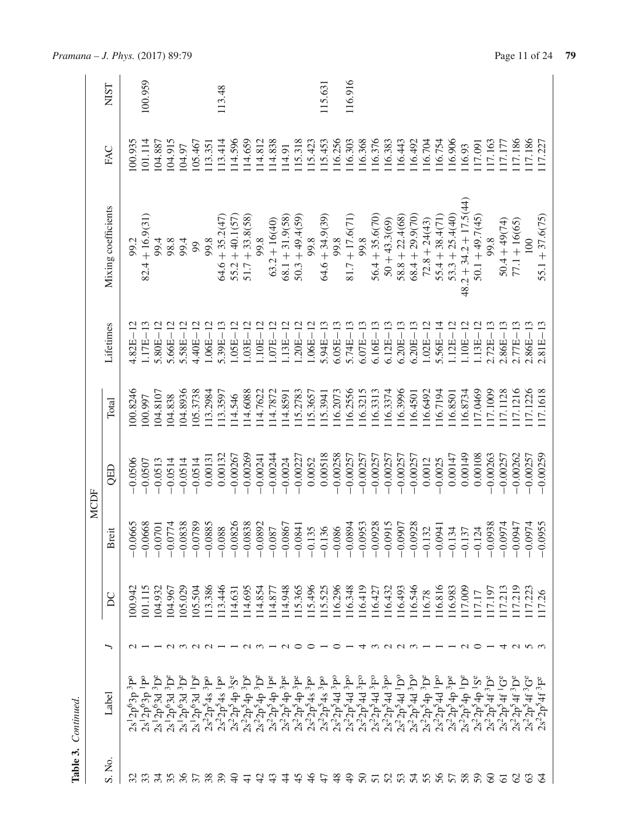| Ź      |  |
|--------|--|
| ₫<br>É |  |

|                             |                                                                                                                                                                                                                                                                                        |                                                                                                                                                                   |                           |                                                   | <b>MCDF</b> |          |              |                          |         |             |
|-----------------------------|----------------------------------------------------------------------------------------------------------------------------------------------------------------------------------------------------------------------------------------------------------------------------------------|-------------------------------------------------------------------------------------------------------------------------------------------------------------------|---------------------------|---------------------------------------------------|-------------|----------|--------------|--------------------------|---------|-------------|
| S. No.                      | Label                                                                                                                                                                                                                                                                                  |                                                                                                                                                                   | $\overline{D}C$           | ië.<br>$\overline{\mathbf{c}}$                    | QED         | Total    | Lifetimes    | Mixing coefficients      | FAC     | <b>NIST</b> |
|                             | 3p <sub>0</sub><br>$2p^63p$                                                                                                                                                                                                                                                            |                                                                                                                                                                   | 00.942                    | )665<br>$\overline{Q}$                            | $-0.0506$   | .00.8246 | 4.82E-       | 99.2                     | 100.935 |             |
|                             | $1\mathrm{p}^{\mathrm{o}}$<br>$2p^63p$                                                                                                                                                                                                                                                 |                                                                                                                                                                   | 101.115                   | )668<br>$\overline{Q}$                            | $-0.0507$   | .00.997  | $1.17E-1$    | $82.4 + 16.9(31)$        | 101.114 | 100.959     |
|                             | $3D^e$<br>$2p^{6}3d$                                                                                                                                                                                                                                                                   |                                                                                                                                                                   | 104.932                   | 0701<br>$\overline{Q}$                            | $-0.0513$   | 04.8107  | $5.80E - 1$  | 99.4                     | 104.887 |             |
| 3.58                        | $^3D^e$<br>2p <sup>6</sup> 3d<br>$2s1$ .                                                                                                                                                                                                                                               |                                                                                                                                                                   | 104.967                   | 0774<br>$\overline{Q}$                            | $-0.0514$   | 04.838   | $5.66E - 12$ | 98.8                     | 104.915 |             |
|                             |                                                                                                                                                                                                                                                                                        |                                                                                                                                                                   | .05.029                   | )838                                              | $-0.0514$   | .04.8936 | $5.58E - 1$  | 99.4                     | 104.97  |             |
| 38                          |                                                                                                                                                                                                                                                                                        | $ \sim$ $\sim$ $\sim$ $\sim$ $ -$                                                                                                                                 | .05.504                   | )789<br>$\overline{O}$ $\overline{O}$             | $-0.0514$   | 105.3738 | $4.40E - 12$ | 99                       | 105.467 |             |
|                             |                                                                                                                                                                                                                                                                                        |                                                                                                                                                                   | 113.386                   | 1885<br>$\overline{Q}$                            | 0.00131     | 13.2984  | $1.06E - 12$ | 99.8                     | 113.351 |             |
| $\mathcal{S}^{\mathcal{S}}$ |                                                                                                                                                                                                                                                                                        |                                                                                                                                                                   | 13.446                    | 88                                                | 0.00132     | 13.3597  | $5.39E - 13$ | $54.6 + 35.2(47)$        | 113.414 | 113.48      |
| $\triangleleft$             | $\begin{array}{l} 2s\cdot 12p^63d^3p^2\\ 2s\cdot 12p^63d^3p^2\\ 2s\cdot 12p^63d^3p^3\\ 2s\cdot 2p^54s^3p^3\\ 2s\cdot 2p^54p^3p^3\\ 2s\cdot 2p^54p^3p^3\\ 2s\cdot 2p^54p^3p^3\\ 2s\cdot 2p^54p^3p^3\\ 2s\cdot 2p^54p^3p^3\\ 2s\cdot 2p^54p^3p^3\\ 2s\cdot 2p^54p^3p^3\\ 2s\cdot 2p^54p$ |                                                                                                                                                                   | 14.631                    | 0826<br>$\overline{O}$ $\overline{O}$             | $-0.00267$  | 114.546  | $1.05E - 12$ | $55.2 + 40.1(57)$        | 14.596  |             |
| 두                           |                                                                                                                                                                                                                                                                                        | $\sim$ $\sim$                                                                                                                                                     | 14.695                    | 0838<br>$\overline{Q}$                            | $-0.00269$  | 14,6088  | $.03E - 12$  | $51.7 + 33.8(58)$        | 14,659  |             |
|                             |                                                                                                                                                                                                                                                                                        |                                                                                                                                                                   | .14.854                   | 1892                                              | $-0.00241$  | 14.7622  | $1.10E - 12$ | 99.8                     | 114.812 |             |
|                             |                                                                                                                                                                                                                                                                                        |                                                                                                                                                                   | 114.877                   | 187<br>$\frac{5}{1}$ $\frac{5}{1}$                | $-0.00244$  | 14.7872  | $.07E - 12$  | $63.2 + 16(40)$          | 14.838  |             |
| 4                           |                                                                                                                                                                                                                                                                                        | $\sim$                                                                                                                                                            | 14.948                    | 1986<br>$\frac{5}{1}$                             | $-0.0024$   | 14.8591  | $1.13E - 12$ | $68.1 + 31.9(58)$        | 114.91  |             |
| $\frac{45}{5}$              |                                                                                                                                                                                                                                                                                        | $\circ$                                                                                                                                                           | 115.365                   | 1841<br>$\sum_{i=1}^{n}$                          | $-0.00227$  | 115.2783 | $1.20E - 12$ | $50.3 + 49.4(59)$        | 115.318 |             |
| $\frac{6}{5}$               |                                                                                                                                                                                                                                                                                        | $\circ$ $\sim$ $\circ$                                                                                                                                            | 115.496                   | 135<br>$-0.1$                                     | 0.0052      | 115.3657 | $1.06E - 12$ | 99.8                     | 115.423 |             |
| $\ddot{t}$                  |                                                                                                                                                                                                                                                                                        |                                                                                                                                                                   | 115.525                   | 136                                               | 0.00518     | 115.3941 | $5.94E-1$    | $64.6 + 34.9(39)$        | 115.453 | 115.63      |
| 48                          |                                                                                                                                                                                                                                                                                        |                                                                                                                                                                   | 116.296                   | )86                                               | $-0.00258$  | 116.2073 | $6.05E - 1$  | 99.8                     | .16.256 |             |
| $\Theta$                    |                                                                                                                                                                                                                                                                                        |                                                                                                                                                                   | 16.348                    | 1894                                              | $-0.00257$  | 116.2556 | $5.74E - 13$ | $81.7 + 17.6(71)$        | 116.303 | 116.916     |
|                             |                                                                                                                                                                                                                                                                                        | $\overline{4}$                                                                                                                                                    | 16.419                    | 0953                                              | $-0.00257$  | 116.3215 | $6.07E - 13$ | 99.8                     | 116.368 |             |
|                             |                                                                                                                                                                                                                                                                                        |                                                                                                                                                                   | 16.427                    | 0928                                              | $-0.00257$  | 116.3313 | $6.16E - 13$ | $56.4 + 35.6(70)$        | 116.376 |             |
|                             |                                                                                                                                                                                                                                                                                        | $\begin{array}{c} \hline \mathcal{O} & \mathcal{O} & \mathcal{O} & \mathcal{O} & \mathcal{O} & \mathcal{O} & \mathcal{O} & \mathcal{O} & \mathcal{O} \end{array}$ | .16.432                   | 2160                                              | $-0.00257$  | 16.3374  | $6.12E - 13$ | $50 + 43.3(69)$          | .16.383 |             |
|                             |                                                                                                                                                                                                                                                                                        |                                                                                                                                                                   | 16.493                    | 1060                                              | $-0.00257$  | 116.3996 | $6.20E - 13$ | $58.8 + 22.4(68)$        | 116.443 |             |
|                             |                                                                                                                                                                                                                                                                                        |                                                                                                                                                                   | 16.546                    | 0928                                              | $-0.00257$  | 116.4501 | $6.20E - 13$ | $68.4 + 29.9(70)$        | 116.492 |             |
|                             |                                                                                                                                                                                                                                                                                        |                                                                                                                                                                   | 116.78                    | 132                                               | 0.0012      | 16.6492  | $1.02E - 1$  | $72.8 + 24(43)$          | 116.704 |             |
|                             |                                                                                                                                                                                                                                                                                        |                                                                                                                                                                   | 16.816                    | )941                                              | $-0.0025$   | 116.7194 | $5.56E - 14$ | $55.4 + 38.4(71)$        | 116.754 |             |
|                             | $2s^22p^54p^3P$                                                                                                                                                                                                                                                                        |                                                                                                                                                                   | 16.983                    | 34<br>$\overline{0}$ .                            | 0.00147     | 116.8501 | $1.12E-1$    | $53.3 + 25.4(40)$        | .16.906 |             |
|                             | $2s^2 2p^5 4p^1 D^e$                                                                                                                                                                                                                                                                   |                                                                                                                                                                   | 17.009                    | 37<br>$\overline{0}$ .                            | 0.00149     | 16.8734  | $-10E-1$     | $48.2 + 34.2 + 17.5(44)$ | 116.93  |             |
|                             | $\mathbf{S}^e$<br>$2s^22p^54p$<br>$\sim$                                                                                                                                                                                                                                               |                                                                                                                                                                   | 17.17                     | 24<br>$\overline{0}$ .                            | 0.00108     | 17.0469  | $1.13E-1$    | $50.1 + 49.7(45)$        | 117.091 |             |
|                             | $2s^22p^54f^3D^e$                                                                                                                                                                                                                                                                      |                                                                                                                                                                   | 17.197                    | 0938                                              | $-0.00263$  | 117.1009 | $2.72E-1$    | 99.8                     | 117.163 |             |
|                             | $2s^22p^54f^1G^e$                                                                                                                                                                                                                                                                      |                                                                                                                                                                   | 17.213                    | )974<br>$\frac{0}{6}$ $\frac{0}{6}$ $\frac{0}{6}$ | $-0.00257$  | 117.1128 | $2.86E - 13$ | $50.4 + 49(74)$          | 117.177 |             |
|                             | $s^22p^54f^3D^e$<br>$\sim$                                                                                                                                                                                                                                                             | $\cup$                                                                                                                                                            | 17.219                    | <b>DP60</b>                                       | $-0.00262$  | 17.1216  | $2.77E - 13$ | $77.1 + 16(65)$          | 117.186 |             |
|                             | $s^22p^54f^3G^e$<br>$\mathbf{C}$                                                                                                                                                                                                                                                       |                                                                                                                                                                   | 223                       | )974                                              | $-0.00257$  | 17.1226  | $2.86E - 13$ | 100                      | 117.186 |             |
| $\mathcal{R}$               | 3F <sub>e</sub><br>$2p^54f$<br>$2s^2$                                                                                                                                                                                                                                                  |                                                                                                                                                                   | $\sim$<br>$\overline{17}$ | 0955<br>$\overline{O}$ $\overline{O}$             | $-0.00259$  | 17.1618  | $2.81E - 13$ | $55.1 + 37.6(75)$        | 117.227 |             |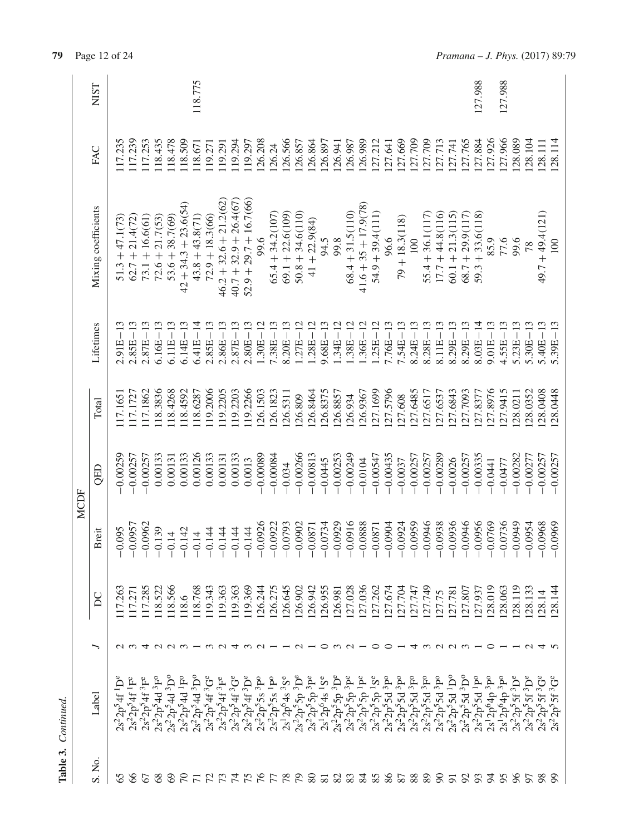| Table 3.       | Continued.                                                                                                                     |                   |         |                                           |            |          |              |                          |         |             |
|----------------|--------------------------------------------------------------------------------------------------------------------------------|-------------------|---------|-------------------------------------------|------------|----------|--------------|--------------------------|---------|-------------|
|                |                                                                                                                                |                   |         | <b>MCDF</b>                               |            |          |              |                          |         |             |
| S. No.         | Label                                                                                                                          | ╮                 | DC      | reit<br>≏                                 | QED        | Total    | Lifetimes    | Mixing coefficients      | FAC     | <b>NIST</b> |
| 65             | $2s^22p^54f$                                                                                                                   |                   | 17.263  | 095<br>$\bar{\vec{\circ}}$                | $-0.00259$ | 17.165   | 2.91E        | $51.3 + 47.1(73)$        | 17.235  |             |
| 8              | $2s^2 2p^5 4f^1 F^e$                                                                                                           |                   | 17.271  | 0957<br>$\overline{O}$                    | $-0.00257$ | 117.1727 | $2.85E - 13$ | $62.7 + 21.4(72)$        | 117.239 |             |
| 67             | $2s^22p^54f^3F^e$                                                                                                              | 4                 | 117.285 | $-0.0962$                                 | $-0.00257$ | 117.1862 | $2.87E - 13$ | $73.1 + 16.6(61)$        | 117.253 |             |
| $\frac{8}{3}$  | $2s^22p^54d^3F^0$                                                                                                              |                   | 118.522 | 139<br>$\overline{C}$                     | 0.00133    | 118.3836 | $6.16E - 13$ | $72.6 + 21.7(53)$        | 118.435 |             |
| ල              | $2s^22p^54d^3D^c$                                                                                                              |                   | 118.566 | $\overline{1}$<br>$\overrightarrow{C}$    | 0.00131    | 118.4268 | $6.11E - 13$ | $53.6 + 38.7(69)$        | 118.478 |             |
| $\beta$        | $2s^22p^54d \, {}^1F^0$                                                                                                        |                   | 118.6   | 142<br>$\overline{P}$                     | 0.00133    | 118.4592 | $6.14E - 13$ | $42 + 34.3 + 23.6(54)$   | 118.509 |             |
| $\overline{r}$ | $2s^2 2p^5 4d^3D^0$                                                                                                            | 223 - 23          | 118.768 | $\overline{14}$<br>$\overline{P}$         | 0.00126    | 118.6287 | $6.41E - 14$ | $43.8 + 43.8(71)$        | 118.671 | 118.775     |
|                | $2s^2 2p^5 4f^3 G^e$<br>$2s^2 2p^5 4f^3 F^e$                                                                                   |                   | 119.343 | 144<br>$\overline{P}$                     | 0.00133    | 119.2006 | $2.85E - 13$ | $72.9 + 18.3(66)$        | 119.271 |             |
|                |                                                                                                                                |                   | 19.363  | 144<br>$\overline{P}$                     | 0.00131    | 19.2205  | $2.86E - 13$ | $46.2 + 32.6 + 21.2(62)$ | 119.291 |             |
| ひにはた           | $2s^22p^54f^3G^e$                                                                                                              |                   | 19.363  | 144<br>$\overline{C}$                     | 0.00133    | 119.2203 | $2.87E - 13$ | $40.7 + 32.9 + 26.4(67)$ | 119.294 |             |
|                | $2s^22p^54f^3D^e$                                                                                                              |                   | 119.369 | $\frac{4}{4}$<br>$\overline{\phantom{0}}$ | 0.0013     | 119.2266 | $2.80E - 13$ | $52.9 + 29.7 + 16.7(66)$ | 119.297 |             |
| $\frac{5}{16}$ | $2s^22p^55s$ 3po                                                                                                               | $\sim$ $-$        | 26.244  | 0926<br>$\overline{q}$                    | $-0.00089$ | 126.1503 | $1.30E - 12$ | 9.6                      | 126.208 |             |
| 77             | $2s^22p^55s$ <sup>1</sup> P <sup>o</sup>                                                                                       |                   | 26.275  | 0922<br>$\frac{1}{2}$                     | $-0.00084$ | 126.1823 | $7.38E - 13$ | $65.4 + 34.2(107)$       | 126.24  |             |
| 78             | $2s^12p^64s^3S^e$                                                                                                              |                   | 26.645  | 0793<br>$\sum_{i=1}^{n}$                  | $-0.034$   | 126.5311 | $8.20E - 13$ | $69.1 + 22.6(109)$       | 126.566 |             |
| 64             |                                                                                                                                | $ \sim$           | 26.902  | 0902<br>$\overline{O}$                    | $-0.00266$ | 126.809  | $1.27E - 12$ | $50.8 + 34.6(110)$       | 126.857 |             |
| $\frac{8}{8}$  |                                                                                                                                |                   | 26.942  | 0871<br>$\overline{O}$                    | $-0.00813$ | 126.8464 | $1.28E - 12$ | $41 + 22.9(84)$          | 126.864 |             |
|                | $2s^22p^55p^3D^e$<br>$2s^22p^55p^3p^e$<br>$2s^12p^64s$ <sup>1</sup> S <sup>e</sup>                                             | ⊂                 | 26.955  | 0734<br>$\frac{1}{2}$                     | $-0.0445$  | 126.8375 | $9.68E - 13$ | 94.5                     | 126.897 |             |
| 23             |                                                                                                                                | $\omega \omega -$ | 26.981  | 0929<br>$\overline{O}$                    | $-0.00253$ | 126.8857 | $1.34E - 12$ | 99.8                     | 126.941 |             |
|                |                                                                                                                                |                   | 27.028  | 0916<br>$\frac{1}{2}$                     | $-0.00249$ | 126.934  | $1.38E - 12$ | $68.4 + 31.5(110)$       | 126.987 |             |
| $\frac{8}{4}$  | $\begin{array}{c} 2s^22p^55p~^3D^e\\ 2s^22p^55p~^3P^e\\ 2s^22p^55p~^1P^e\\ 2s^22p^55p~^1P^e\\ 2s^22p^55p~^1S^e \end{array}$    |                   | 27.036  | 0888<br>$\frac{1}{2}$                     | $-0.0104$  | 126.9367 | $1.36E - 12$ | $41.6 + 35 + 17.9(78)$   | 126.989 |             |
| 85             |                                                                                                                                | ○                 | 27.262  | $-0.0871$                                 | $-0.00547$ | 27.1699  | $1.25E - 12$ | $54.9 + 39.4(111)$       | 127.212 |             |
| 86             |                                                                                                                                | $\circ$           | 27.674  | <b>PO60</b><br>$-0.0$                     | $-0.00435$ | 127.5796 | $7.76E - 13$ | 96.6                     | 127.641 |             |
| 87             |                                                                                                                                |                   | 27.704  | 0924<br>$\frac{1}{2}$                     | $-0.0037$  | 27.608   | $7.54E - 13$ | $79 + 18.3(118)$         | 127.669 |             |
| 88             |                                                                                                                                | 4                 | 27.747  | 0959<br>$\frac{1}{2}$                     | $-0.00257$ | 27.6485  | $8.24E - 13$ | 100                      | 127.709 |             |
| 89             | $\begin{array}{l} 2s^22p^55d^3p\\ 2s^22p^55d^3p\\ 2s^22p^55d^3p\\ 2s^22p^55d^3p\\ 2s^22p^55d^3p\\ 2s^22p^55d^3p\\ \end{array}$ |                   | 27.749  | 0946<br>$\frac{1}{2}$                     | $-0.00257$ | 27.6517  | $8.28E - 13$ | $55.4 + 36.1(117)$       | 127.709 |             |
| $\infty$       |                                                                                                                                |                   | 27.75   | 0938<br>$\tilde{\rho}$                    | $-0.00289$ | 27.6537  | $8.11E - 13$ | $17.7 + 44.8(116)$       | 127.713 |             |
| $\overline{5}$ | $2s^2 2p^5 5d^1 D^0$                                                                                                           | $Q \cap Q$        | 27.781  | 0936<br>$\frac{1}{2}$                     | $-0.0026$  | 27.6843  | $8.29E - 13$ | $60.1 + 21.3(115)$       | 127.741 |             |
| $\mathfrak{S}$ | $2s^22p^55d^3D^0$                                                                                                              |                   | 27.807  | 0946<br>$\frac{1}{2}$                     | $-0.00257$ | 27.7093  | $8.29E - 13$ | $68.7 + 29.9(117)$       | 127.765 |             |
| 93             | $2s^22p^55d^1p^0$                                                                                                              |                   | 27.937  | $-0.0956$                                 | $-0.00335$ | 27.8377  | $8.03E - 14$ | $59.3 + 33.6(118)$       | 127.884 | 127.988     |
| 54             | $2s^12p^64p^3P^0$                                                                                                              | $\circ$           | 28.019  | 0769<br>$\frac{5}{1}$                     | $-0.0441$  | 27.8976  | $9.01E - 13$ | 85.9                     | 127.926 |             |
| 65             | $2s^12p^64p^3P^0$                                                                                                              |                   | 28.063  | 0736<br>$\overline{O}$                    | $-0.0477$  | 27.9415  | $4.55E - 13$ | 77.6                     | 127.966 | 127.988     |
| $\%$           | $2s^22p^55f^3D^e$                                                                                                              |                   | 28.119  | 0949<br>$\frac{5}{1}$                     | $-0.00282$ | 28.0211  | $5.23E - 13$ | 9.6                      | 128.089 |             |
| 57             | $2s^22p^55f^3D^e$                                                                                                              | $\sim$            | 28.133  | 0954<br>$-0.0$                            | $-0.00277$ | 28.0352  | $5.30E - 13$ | 78                       | 128.104 |             |
| 98             | $55f3e$ e<br>$2s^22p^5$                                                                                                        | 4                 | 128.14  | 0968<br>$\overline{P}$                    | $-0.00257$ | 28.0408  | $5.40E - 13$ | $49.7 + 49.4(121)$       | 128.111 |             |
| $\mathfrak{D}$ | $5f$ <sup>3</sup> $G$ <sup>e</sup>                                                                                             |                   | 128.144 | 0969<br>$\overline{P}$                    | $-0.00257$ | 128.0448 | $5.39E - 13$ | $\Xi$                    | 128.114 |             |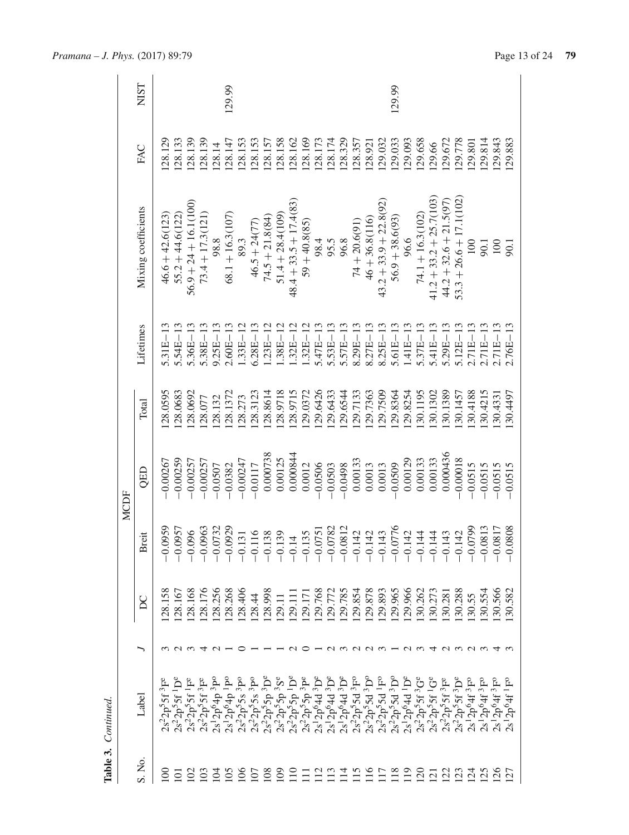|                       | Table 3. Continued.                                                                                                                                                                                                                                                                                 |                 |                 |                                    |             |         |              |                           |          |             |
|-----------------------|-----------------------------------------------------------------------------------------------------------------------------------------------------------------------------------------------------------------------------------------------------------------------------------------------------|-----------------|-----------------|------------------------------------|-------------|---------|--------------|---------------------------|----------|-------------|
|                       |                                                                                                                                                                                                                                                                                                     |                 |                 |                                    | <b>MCDF</b> |         |              |                           |          |             |
| S. No.                | Label                                                                                                                                                                                                                                                                                               |                 | $\overline{D}C$ | <b>Breit</b>                       | QED         | Total   | Lifetimes    | Mixing coefficients       | FAC      | <b>NIST</b> |
| $\Xi$                 | ř<br>ب<br>$2s^22p^55f$                                                                                                                                                                                                                                                                              |                 | 28.158          | 0959                               | $-0.00267$  | 28.0595 | $5.31E-13$   | $46.6 + 42.6(123)$        | 28.129   |             |
| ā                     | $2s^22p^55f^1D^e$                                                                                                                                                                                                                                                                                   |                 | 128.167         | .0957<br>$\bigcap$                 | $-0.00259$  | 28.0683 | $5.54E - 13$ | $55.2 + 44.6(122)$        | 128.133  |             |
| $\mathcal{S}$         | $2s^22p^55f$ <sup>1</sup> F <sup>e</sup>                                                                                                                                                                                                                                                            |                 | 28.168          | .096<br>$\bigcap$                  | $-0.00257$  | 28.0692 | $5.36E - 13$ | $56.9 + 24 + 16.1(100)$   | [28.139] |             |
| $\mathfrak{S}$        | $2s^22p^55f^3F^e$                                                                                                                                                                                                                                                                                   | 4               | 128.176         | .0963<br>$\frac{1}{2}$             | $-0.00257$  | 128.077 | $5.38E - 13$ | $73.4 + 17.3(121)$        | 128.139  |             |
| $\overline{5}$        |                                                                                                                                                                                                                                                                                                     | $\sim$ $-$      | .28.256         | .0732<br>$\overline{0}$            | $-0.0507$   | 128.132 | $9.25E - 13$ | 98.8                      | 128.14   |             |
| $\overline{5}$        |                                                                                                                                                                                                                                                                                                     |                 | 28.268          | 0929<br>$-9$                       | $-0.0382$   | 28.1372 | $2.60E - 13$ | $68.1 + 16.3(107)$        | 128.147  | 129.99      |
| $\overline{5}$        |                                                                                                                                                                                                                                                                                                     | ⊂               | 128.406         | 131<br>$\bigcap$                   | $-0.00247$  | 28.273  | $.33E - 12$  | 89.3                      | 128.153  |             |
| $\overline{5}$        |                                                                                                                                                                                                                                                                                                     |                 | 128.44          | .116<br>$\overline{\phantom{0}}$   | $-0.0117$   | 28.3123 | $6.28E - 13$ | $46.5 + 24(77)$           | 128.153  |             |
| $\overline{108}$      |                                                                                                                                                                                                                                                                                                     |                 | 128.998         | 138<br>$\bigcap$                   | 0.000738    | 28.8614 | $.23E - 12$  | $74.5 + 21.8(84)$         | 128.157  |             |
| $\overline{5}$        | $\begin{array}{l} 2s\,{}^{1}2p^{6}4p~^{3}P^{6}\\ 2s\,{}^{1}2p^{6}4p~^{1}P^{6}\\ 2s\,{}^{1}2p^{6}3p~^{3}P^{6}\\ 2s^{2}2p^{5}5s~^{3}P^{6}\\ 2s^{2}2p^{5}5p~^{3}P^{6}\\ 2s^{2}2p^{5}5p~^{3}P^{6}\\ 2s^{2}2p^{5}5p~^{3}P^{6}\\ 2s^{2}2p^{5}5p~^{3}P^{6}\\ 2s^{2}2p^{6}4d~^{3}P^{6}\\ 2s^{2}2p^{6}4d~^{$ |                 | 129.11          | .139<br>$\overline{\phantom{0}}$   | 0.00125     | 28.9718 | $.38E - 12$  | $51.4 + 28.4(109)$        | 128.158  |             |
| $\Xi$                 |                                                                                                                                                                                                                                                                                                     | $\sim$          | 129.111         | $\frac{1}{4}$<br>$\overline{0}$    | 0.000844    | 28.9715 | $.32E - 12$  | $48.4 + 33.5 + 17.4(83)$  | 128.162  |             |
| Ξ                     |                                                                                                                                                                                                                                                                                                     |                 | 129.171         | 135<br>$\bigcap$                   | 0.0012      | 29.0372 | $.32E - 12$  | $59 + 40.8(85)$           | 128.169  |             |
| $\Xi$                 |                                                                                                                                                                                                                                                                                                     |                 | 29.768          | .0751<br>$\overline{Q}$            | $-0.0506$   | 29.6426 | $5.47E - 13$ | 98.4                      | 128.173  |             |
| $\overline{113}$      |                                                                                                                                                                                                                                                                                                     | 23223-          | 129.772         | 1.0782<br>$\overline{\phantom{0}}$ | $-0.0503$   | 29.6433 | $5.53E - 13$ | 95.5                      | 128.174  |             |
| $\overline{14}$       |                                                                                                                                                                                                                                                                                                     |                 | .29.785         | .0812<br>$\overline{C}$            | $-0.0498$   | 29.6544 | $5.57E - 13$ | 96.8                      | 128.329  |             |
| 115                   | $\begin{array}{l} 2 s^1 2 p^6 4 d^3 D^e \\ 2 s^2 2 p^5 5 d^3 F^o \\ 2 s^2 2 p^5 5 d^3 D^o \\ 2 s^2 2 p^5 5 d^1 F^o \end{array}$                                                                                                                                                                     |                 | 129.854         | .142<br>$\overline{0}$             | 0.00133     | 29.7133 | $8.29E - 13$ | $74 + 20.6(91)$           | 128.357  |             |
| 116                   |                                                                                                                                                                                                                                                                                                     |                 | 129.878         | 142<br>$\overline{q}$              | 0.0013      | 29.7363 | $8.27E - 13$ | $46 + 36.8(116)$          | 128.921  |             |
| $\overline{17}$       |                                                                                                                                                                                                                                                                                                     |                 | 129.893         | .143<br>$\overline{0}$             | 0.0013      | 29.7509 | $8.25E - 13$ | $43.2 + 33.9 + 22.8(92)$  | 129.032  |             |
| 118                   | $2s^22p^55d^3D^0$                                                                                                                                                                                                                                                                                   |                 | 129.965         | 1.0776<br>$\overline{C}$           | $-0.0509$   | 29.8364 | $5.6IE-13$   | $56.9 + 38.6(93)$         | 129.033  | 129.99      |
| $\Xi$                 | $2s^12p^64d^1D^e$                                                                                                                                                                                                                                                                                   |                 | 129.966         | .142<br>$\overline{C}$             | 0.00129     | 29.8254 | $.41E - 13$  | 96.6                      | 129.093  |             |
| $\overline{20}$       | $2s^22p^55f^3G^e$                                                                                                                                                                                                                                                                                   |                 | 30.262          | $\overline{14}$<br>$\bigcap$       | 0.00133     | 30.1195 | $5.37E - 13$ | $74.1 + 16.3(102)$        | .29.658  |             |
| $\overline{2}$        | $2s^2 2p^5 5f^1 G^e$                                                                                                                                                                                                                                                                                |                 | 130.273         | $\overline{14}$<br>$\bigcap$       | 0.00133     | 30.1302 | $5.41E - 13$ | $41.2 + 33.2 + 25.7(103)$ | 129.66   |             |
| $\overline{2}$        | $2s^22p^55f^3F^e$                                                                                                                                                                                                                                                                                   | U W 4 U W U W 4 | 30.281          | .143<br>$\overline{P}$             | 0.000436    | 30.1389 | $5.29E - 13$ | $44.2 + 32.6 + 21.5(97)$  | .29.672  |             |
| $\frac{23}{24}$       | $2s^22p^55f^3D^e$                                                                                                                                                                                                                                                                                   |                 | 30.288          | 142<br>$\overline{0}$              | $-0.00018$  | 30.1457 | $5.12E - 13$ | $53.3 + 26.6 + 17.1(102)$ | 29.778   |             |
|                       | $2s^12p^64f^3F^0$                                                                                                                                                                                                                                                                                   |                 | 30.55           | 0799<br>$\overline{0}$             | $-0.0515$   | 30.4188 | $2.71E - 13$ | 100                       | 129.801  |             |
| $\overline{25}$       | $2s^{1}2p^{6}4f^{3}F^{0}$                                                                                                                                                                                                                                                                           |                 | 30.554          | 1.0813<br>$\bigcap$                | $-0.0515$   | 30.4215 | $2.71E-13$   | 90.1                      | .29.814  |             |
| 26                    | $2s^{1}2p^{6}4f^{3}F^{0}$                                                                                                                                                                                                                                                                           |                 | 30.566          | .0817<br>$\bigcap$                 | $-0.0515$   | 30.4331 | $2.71E - 13$ | 100                       | 29.843   |             |
| $\tilde{\mathcal{L}}$ | $2s^12p^64f^1F^0$                                                                                                                                                                                                                                                                                   |                 | 30.582          | .0808<br>$\bigcap$                 | $-0.0515$   | 30.4497 | $2.76E - 13$ | 50.1                      | 129.883  |             |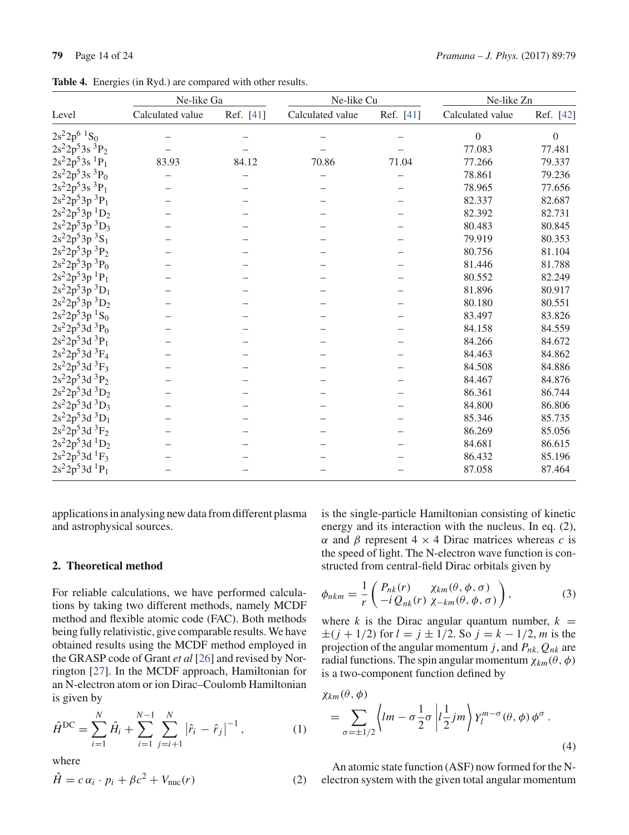|                                        | Ne-like Ga       |           | Ne-like Cu       |           | Ne-like Zn       |                  |
|----------------------------------------|------------------|-----------|------------------|-----------|------------------|------------------|
| Level                                  | Calculated value | Ref. [41] | Calculated value | Ref. [41] | Calculated value | Ref. [42]        |
| $2s^22p^6$ <sup>1</sup> S <sub>0</sub> |                  |           |                  |           | $\boldsymbol{0}$ | $\boldsymbol{0}$ |
| $2s^22p^53s^3P_2$                      |                  |           |                  |           | 77.083           | 77.481           |
| $2s^22p^53s$ <sup>1</sup> $P_1$        | 83.93            | 84.12     | 70.86            | 71.04     | 77.266           | 79.337           |
| $2s^22p^53s^3P_0$                      |                  |           |                  |           | 78.861           | 79.236           |
| $2s^22p^53s^3P_1$                      |                  |           |                  |           | 78.965           | 77.656           |
| $2s^22p^53p^3P_1$                      |                  |           |                  |           | 82.337           | 82.687           |
| $2s^22p^53p^1D_2$                      |                  |           |                  |           | 82.392           | 82.731           |
| $2s^22p^53p^3D_3$                      |                  |           |                  |           | 80.483           | 80.845           |
| $2s^22p^53p^3S_1$                      |                  |           |                  |           | 79.919           | 80.353           |
| $2s^22p^53p^3P_2$                      |                  |           |                  |           | 80.756           | 81.104           |
| $2s^22p^53p~^3\mathrm{P}_0$            |                  |           |                  |           | 81.446           | 81.788           |
| $2s^2 2p^5 3p^1 P_1$                   |                  |           |                  |           | 80.552           | 82.249           |
| $2s^22p^53p^3D_1$                      |                  |           |                  |           | 81.896           | 80.917           |
| $2s^22p^53p^3D_2$                      |                  |           |                  |           | 80.180           | 80.551           |
| $2s^22p^53p^1S_0$                      |                  |           |                  |           | 83.497           | 83.826           |
| $2s^22p^53d^3P_0$                      |                  |           |                  |           | 84.158           | 84.559           |
| $2s^22p^53d^3P_1$                      |                  |           |                  |           | 84.266           | 84.672           |
| $2s^22p^53d^3F_4$                      |                  |           |                  |           | 84.463           | 84.862           |
| $2s^22p^53d^3F_3$                      |                  |           |                  |           | 84.508           | 84.886           |
| $2s^22p^53d^3P_2$                      |                  |           |                  |           | 84.467           | 84.876           |
| $2s^22p^53d^3D_2$                      |                  |           |                  |           | 86.361           | 86.744           |
| $2s^22p^53d^3D_3$                      |                  |           |                  |           | 84.800           | 86.806           |
| $2s^22p^53d^3D_1$                      |                  |           |                  |           | 85.346           | 85.735           |
| $2s^22p^53d^3F_2$                      |                  |           |                  |           | 86.269           | 85.056           |
| $2s^22p^53d^1D_2$                      |                  |           |                  |           | 84.681           | 86.615           |
| $2s^22p^53d^1F_3$                      |                  |           |                  |           | 86.432           | 85.196           |
| $2s^22p^53d^1P_1$                      |                  |           |                  |           | 87.058           | 87.464           |

**Table 4.** Energies (in Ryd.) are compared with other results.

applications in analysing new data from different plasma and astrophysical sources.

# **2. Theoretical method**

For reliable calculations, we have performed calculations by taking two different methods, namely MCDF method and flexible atomic code (FAC). Both methods being fully relativistic, give comparable results. We have obtained results using the MCDF method employed in the GRASP code of Grant *et al* [26] and revised by Norrington [27]. In the MCDF approach, Hamiltonian for an N-electron atom or ion Dirac–Coulomb Hamiltonian is given by

$$
\hat{H}^{\rm DC} = \sum_{i=1}^{N} \hat{H}_i + \sum_{i=1}^{N-1} \sum_{j=i+1}^{N} |\hat{r}_i - \hat{r}_j|^{-1},
$$
(1)

where

$$
\hat{H} = c \alpha_i \cdot p_i + \beta c^2 + V_{\text{nuc}}(r) \tag{2}
$$

is the single-particle Hamiltonian consisting of kinetic energy and its interaction with the nucleus. In eq. (2), α and β represent 4 × 4 Dirac matrices whereas *c* is the speed of light. The N-electron wave function is constructed from central-field Dirac orbitals given by

$$
\phi_{nkm} = \frac{1}{r} \begin{pmatrix} P_{nk}(r) & \chi_{km}(\theta, \phi, \sigma) \\ -i \, Q_{nk}(r) & \chi_{-km}(\theta, \phi, \sigma) \end{pmatrix},\tag{3}
$$

where *k* is the Dirac angular quantum number,  $k =$  $\pm (j + 1/2)$  for  $l = j \pm 1/2$ . So  $j = k - 1/2$ , *m* is the projection of the angular momentum *j*, and *Pnk*,*Qnk* are radial functions. The spin angular momentum  $\chi_{km}(\theta, \phi)$ is a two-component function defined by

$$
\chi_{km}(\theta,\phi)
$$
  
=  $\sum_{\sigma=\pm 1/2} \left\langle lm - \sigma \frac{1}{2} \sigma \left| l \frac{1}{2} jm \right\rangle Y_l^{m-\sigma}(\theta,\phi) \phi^{\sigma}$ . (4)

An atomic state function (ASF) now formed for the Nelectron system with the given total angular momentum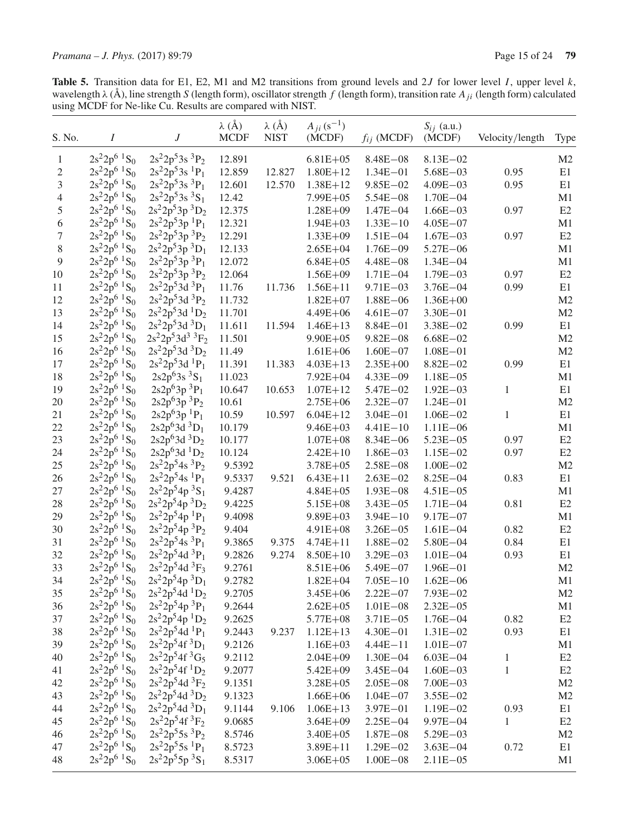**Table 5.** Transition data for E1, E2, M1 and M2 transitions from ground levels and 2J for lower level I, upper level k, wavelength  $\lambda$  (Å), line strength S (length form), oscillator strength f (length form), transition

| S. No.           | $\boldsymbol{I}$                       | J                                      | $\lambda$ (Å)<br><b>MCDF</b> | $\lambda$ (Å)<br><b>NIST</b> | $A_{ii} (s^{-1})$<br>(MCDF) | $f_{ij}$ (MCDF) | $S_{ij}$ (a.u.)<br>(MCDF) | Velocity/length | Type           |
|------------------|----------------------------------------|----------------------------------------|------------------------------|------------------------------|-----------------------------|-----------------|---------------------------|-----------------|----------------|
| $\mathbf{1}$     | $2s^22p^6$ ${}^1S_0$                   | $2s^22p^53s^3P_2$                      | 12.891                       |                              | $6.81E + 05$                | $8.48E - 08$    | $8.13E - 02$              |                 | M <sub>2</sub> |
| $\overline{c}$   | $2s^22p^6$ ${}^1S_0$                   | $2s^22p^53s^1P_1$                      | 12.859                       | 12.827                       | $1.80E + 12$                | $1.34E - 01$    | $5.68E - 03$              | 0.95            | E1             |
| $\mathfrak 3$    | $2s^22p^6$ ${}^1S_0$                   | $2s^22p^53s^3P_1$                      | 12.601                       | 12.570                       | $1.38E + 12$                | $9.85E - 02$    | $4.09E - 03$              | 0.95            | E1             |
| $\overline{4}$   | $2s^22p^6$ <sup>1</sup> S <sub>0</sub> | $2s^22p^53s^3S_1$                      | 12.42                        |                              | $7.99E + 05$                | $5.54E - 08$    | $1.70E - 04$              |                 | M1             |
| $\sqrt{5}$       | $2s^22p^6$ ${}^1S_0$                   | $2s^22p^53p^3D_2$                      | 12.375                       |                              | $1.28E + 09$                | $1.47E - 04$    | $1.66E - 03$              | 0.97            | E2             |
| 6                | $2s^22p^6$ ${}^1S_0$                   | $2s^22p^53p^1P_1$                      | 12.321                       |                              | $1.94E + 03$                | $1.33E - 10$    | $4.05E - 07$              |                 | M1             |
| $\boldsymbol{7}$ | $2s^22p^6$ <sup>1</sup> S <sub>0</sub> | $2s^22p^53p^3P_2$                      | 12.291                       |                              | $1.33E + 09$                | $1.51E - 04$    | $1.67E - 03$              | 0.97            | E2             |
| $\,8\,$          | $2s^22p^6$ ${}^1S_0$                   | $2s^22p^53p^3D_1$                      | 12.133                       |                              | $2.65E + 04$                | $1.76E - 09$    | 5.27E-06                  |                 | M1             |
| $\overline{9}$   | $2s^22p^6$ <sup>1</sup> S <sub>0</sub> | $2s^22p^53p^3P_1$                      | 12.072                       |                              | $6.84E + 05$                | $4.48E - 08$    | $1.34E - 04$              |                 | M1             |
| 10               | $2s^22p^6$ <sup>1</sup> S <sub>0</sub> | $2s^22p^53p^3P_2$                      | 12.064                       |                              | $1.56E + 09$                | $1.71E - 04$    | $1.79E - 03$              | 0.97            | E2             |
| 11               | $2s^22p^6$ ${}^1S_0$                   | $2s^22p^53d^3P_1$                      | 11.76                        | 11.736                       | $1.56E + 11$                | $9.71E - 03$    | $3.76E - 04$              | 0.99            | E1             |
| 12               | $2s^22p^6$ <sup>1</sup> S <sub>0</sub> | $2s^22p^53d^3P_2$                      | 11.732                       |                              | $1.82E + 07$                | $1.88E - 06$    | $1.36E + 00$              |                 | M <sub>2</sub> |
| 13               | $2s^22p^6$ <sup>1</sup> S <sub>0</sub> | $2s^22p^53d^1D_2$                      | 11.701                       |                              | $4.49E + 06$                | $4.61E - 07$    | $3.30E - 01$              |                 | M <sub>2</sub> |
| 14               | $2s^22p^6$ ${}^1S_0$                   | $2s^22p^53d^3D_1$                      | 11.611                       | 11.594                       | $1.46E + 13$                | $8.84E - 01$    | $3.38E - 02$              | 0.99            | E1             |
| 15               | $2s^22p^6$ <sup>1</sup> S <sub>0</sub> | $2s^22p^53d^3{}^3F_2$                  | 11.501                       |                              | $9.90E + 05$                | $9.82E - 08$    | $6.68E - 02$              |                 | M <sub>2</sub> |
|                  | $2s^22p^6$ ${}^1S_0$                   | $2s^22p^53d^3D_2$                      | 11.49                        |                              |                             |                 |                           |                 |                |
| 16               | $2s^22p^6$ ${}^1S_0$                   | $2s^22p^53d^1P_1$                      |                              |                              | $1.61E + 06$                | $1.60E - 07$    | $1.08E - 01$              |                 | M <sub>2</sub> |
| 17               |                                        |                                        | 11.391                       | 11.383                       | $4.03E + 13$                | $2.35E + 00$    | $8.82E - 02$              | 0.99            | E1             |
| 18               | $2s^22p^6$ ${}^1S_0$                   | $2s2p^63s^3S_1$                        | 11.023                       |                              | $7.92E + 04$                | $4.33E - 09$    | $1.18E - 05$              |                 | M1             |
| 19               | $2s^22p^6$ <sup>1</sup> S <sub>0</sub> | $2s2p63p3P1$                           | 10.647                       | 10.653                       | $1.07E + 12$                | $5.47E - 02$    | $1.92E - 03$              | 1               | E1             |
| 20               | $2s^22p^6$ <sup>1</sup> S <sub>0</sub> | $2s2p^63p^3P_2$                        | 10.61                        |                              | $2.75E + 06$                | $2.32E - 07$    | $1.24E - 01$              |                 | M <sub>2</sub> |
| 21               | $2s^22p^6$ <sup>1</sup> S <sub>0</sub> | $2s2p^63p^1P_1$                        | 10.59                        | 10.597                       | $6.04E + 12$                | $3.04E - 01$    | $1.06E - 02$              | 1               | E1             |
| 22               | $2s^22p^6$ ${}^1S_0$                   | $2s2p^63d^3D_1$                        | 10.179                       |                              | $9.46E + 03$                | $4.41E - 10$    | $1.11E - 06$              |                 | M1             |
| 23               | $2s^22p^6$ <sup>1</sup> S <sub>0</sub> | $2s2p^63d^3D_2$                        | 10.177                       |                              | $1.07E + 08$                | $8.34E - 06$    | $5.23E - 05$              | 0.97            | E2             |
| 24               | $2s^22p^6$ <sup>1</sup> S <sub>0</sub> | $2s2p^63d$ <sup>1</sup> D <sub>2</sub> | 10.124                       |                              | $2.42E+10$                  | $1.86E - 03$    | $1.15E - 02$              | 0.97            | E2             |
| 25               | $2s^22p^6$ <sup>1</sup> S <sub>0</sub> | $2s^22p^54s^3P_2$                      | 9.5392                       |                              | $3.78E + 05$                | $2.58E - 08$    | $1.00E - 02$              |                 | M <sub>2</sub> |
| 26               | $2s^22p^6$ ${}^1S_0$                   | $2s^22p^54s$ <sup>1</sup> $P_1$        | 9.5337                       | 9.521                        | $6.43E + 11$                | $2.63E - 02$    | $8.25E - 04$              | 0.83            | E1             |
| 27               | $2s^22p^6$ <sup>1</sup> S <sub>0</sub> | $2s^22p^54p^3S_1$                      | 9.4287                       |                              | $4.84E + 05$                | $1.93E - 08$    | $4.51E - 05$              |                 | M1             |
| 28               | $2s^22p^6$ <sup>1</sup> S <sub>0</sub> | $2s^22p^54p^3D_2$                      | 9.4225                       |                              | $5.15E + 08$                | $3.43E - 05$    | $1.71E - 04$              | 0.81            | E2             |
| 29               | $2s^22p^6$ ${}^1S_0$                   | $2s^22p^54p^1P_1$                      | 9.4098                       |                              | $9.89E + 03$                | $3.94E - 10$    | $9.17E - 07$              |                 | M1             |
| 30               | $2s^22p^6$ ${}^1S_0$                   | $2s^22p^54p^3P_2$                      | 9.404                        |                              | $4.91E + 08$                | $3.26E - 05$    | $1.61E - 04$              | 0.82            | E2             |
| 31               | $2s^22p^6$ ${}^1S_0$                   | $2s^22p^54s^3P_1$                      | 9.3865                       | 9.375                        | $4.74E + 11$                | $1.88E - 02$    | $5.80E - 04$              | 0.84            | E1             |
| 32               | $2s^22p^6$ ${}^1S_0$                   | $2s^22p^54d^3P_1$                      | 9.2826                       | 9.274                        | $8.50E + 10$                | $3.29E - 03$    | $1.01E - 04$              | 0.93            | E1             |
| 33               | $2s^22p^6$ ${}^1S_0$                   | $2s^22p^54d^3F_3$                      | 9.2761                       |                              | $8.51E + 06$                | $5.49E - 07$    | $1.96E - 01$              |                 | M <sub>2</sub> |
| 34               | $2s^22p^6$ ${}^1S_0$                   | $2s^22p^54p^3D_1$                      | 9.2782                       |                              | $1.82E + 04$                | $7.05E - 10$    | $1.62E - 06$              |                 | M1             |
| 35               | $2s^22p^6$ <sup>1</sup> S <sub>0</sub> | $2s^22p^54d^1D_2$                      | 9.2705                       |                              | $3.45E + 06$                | $2.22E - 07$    | $7.93E - 02$              |                 | M <sub>2</sub> |
| 36               | $2s^22p^6$ ${}^1S_0$                   | $2s^22p^54p^3P_1$                      | 9.2644                       |                              | $2.62E + 05$                | $1.01E - 08$    | $2.32E - 05$              |                 | M1             |
| 37               | $2s^2 2p^6$ ${}^1S_0$                  | $2s^22p^54p^1D_2$                      | 9.2625                       |                              | $5.77E + 08$                | $3.71E - 05$    | $1.76E - 04$              | 0.82            | E2             |
| 38               | $2s^22p^6$ ${}^1S_0$                   | $2s^22p^54d^1P_1$                      | 9.2443                       | 9.237                        | $1.12E+13$                  | $4.30E - 01$    | $1.31E - 02$              | 0.93            | E1             |
| 39               | $2s^22p^6$ ${}^1S_0$                   | $2s^22p^54f^3D_1$                      | 9.2126                       |                              | $1.16E + 03$                | $4.44E - 11$    | $1.01E - 07$              |                 | M1             |
| 40               | $2s^22p^6$ ${}^1S_0$                   | $2s^22p^54f^3G_5$                      | 9.2112                       |                              | $2.04E + 09$                | $1.30E - 04$    | $6.03E - 04$              | $\mathbf{1}$    | E2             |
| 41               | $2s^22p^6$ <sup>1</sup> S <sub>0</sub> | $2s^22p^54f^1D_2$                      | 9.2077                       |                              | $5.42E + 09$                | $3.45E - 04$    | $1.60E - 03$              | $\mathbf{1}$    | E2             |
| 42               | $2s^22p^6$ <sup>1</sup> S <sub>0</sub> | $2s^22p^54d^3F_2$                      | 9.1351                       |                              | $3.28E + 05$                | $2.05E - 08$    | $7.00E - 03$              |                 | M <sub>2</sub> |
| 43               | $2s^22p^6$ ${}^1S_0$                   | $2s^22p^54d^3D_2$                      | 9.1323                       |                              | $1.66E + 06$                | $1.04E - 07$    | $3.55E - 02$              |                 | M2             |
| 44               | $2s^22p^6$ ${}^1S_0$                   | $2s^22p^54d^3D_1$                      | 9.1144                       | 9.106                        | $1.06E + 13$                | $3.97E - 01$    | $1.19E - 02$              | 0.93            | E1             |
| 45               | $2s^22p^6$ ${}^1S_0$                   | $2s^22p^54f^3F_2$                      | 9.0685                       |                              | $3.64E + 09$                | $2.25E - 04$    | $9.97E - 04$              | $\mathbf{1}$    | E2             |
| 46               | $2s^22p^6$ ${}^1S_0$                   | $2s^22p^55s^3P_2$                      | 8.5746                       |                              | $3.40E + 05$                | $1.87E - 08$    | $5.29E - 03$              |                 | M <sub>2</sub> |
| 47               | $2s^22p^6$ ${}^1S_0$                   | $2s^22p^55s$ <sup>1</sup> $P_1$        | 8.5723                       |                              | $3.89E + 11$                | $1.29E - 02$    | $3.63E - 04$              | 0.72            | E1             |
| 48               | $2s^22p^6$ ${}^1S_0$                   | $2s^22p^55p^3S_1$                      | 8.5317                       |                              | $3.06E + 05$                | $1.00E - 08$    | $2.11E - 05$              |                 | M1             |
|                  |                                        |                                        |                              |                              |                             |                 |                           |                 |                |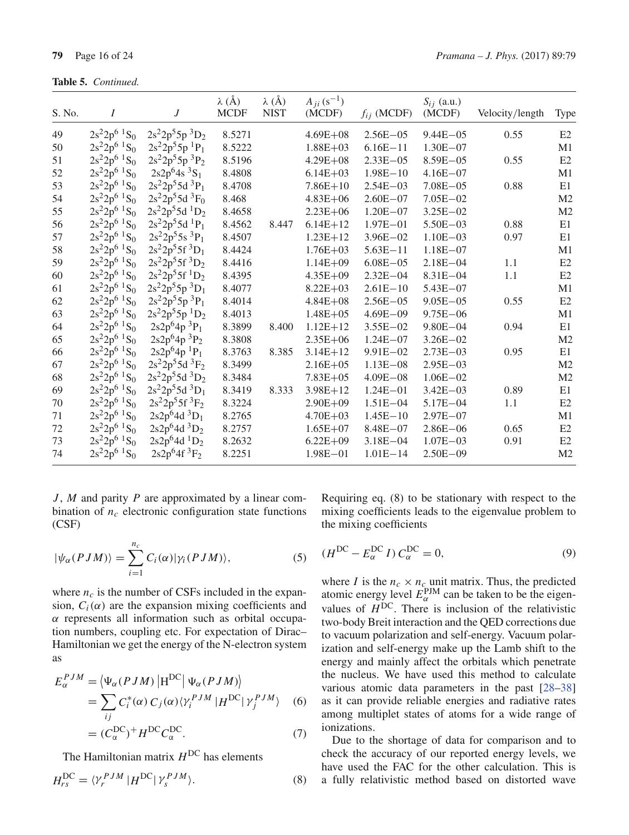| S. No. | I                                      | $\overline{J}$    | $\lambda$ (Å)<br><b>MCDF</b> | $\lambda$ (Å)<br><b>NIST</b> | $A_{ii} (s^{-1})$<br>(MCDF) | $f_{ij}$ (MCDF) | $S_{ij}$ (a.u.)<br>(MCDF) | Velocity/length | <b>Type</b>    |
|--------|----------------------------------------|-------------------|------------------------------|------------------------------|-----------------------------|-----------------|---------------------------|-----------------|----------------|
| 49     | $2s^22p^6$ ${}^1S_0$                   | $2s^22p^55p^3D_2$ | 8.5271                       |                              | $4.69E + 08$                | $2.56E - 05$    | $9.44E - 05$              | 0.55            | E2             |
| 50     | $2s^22p^6$ ${}^1S_0$                   | $2s^22p^55p^1P_1$ | 8.5222                       |                              | $1.88E + 03$                | $6.16E - 11$    | $1.30E - 07$              |                 | M1             |
| 51     | $2s^22p^6$ ${}^1S_0$                   | $2s^22p^55p^3P_2$ | 8.5196                       |                              | $4.29E + 08$                | $2.33E - 05$    | $8.59E - 05$              | 0.55            | E <sub>2</sub> |
| 52     | $2s^22p^6$ <sup>1</sup> S <sub>0</sub> | $2s2p^64s^3S_1$   | 8.4808                       |                              | $6.14E + 03$                | $1.98E - 10$    | $4.16E - 07$              |                 | M1             |
| 53     | $2s^22p^6$ ${}^1S_0$                   | $2s^22p^55d^3P_1$ | 8.4708                       |                              | $7.86E + 10$                | $2.54E - 03$    | $7.08E - 05$              | 0.88            | E1             |
| 54     | $2s^22p^6$ ${}^1S_0$                   | $2s^22p^55d^3F_0$ | 8.468                        |                              | $4.83E + 06$                | $2.60E - 07$    | $7.05E - 02$              |                 | M <sub>2</sub> |
| 55     | $2s^22p^6$ <sup>1</sup> S <sub>0</sub> | $2s^22p^55d^1D_2$ | 8.4658                       |                              | $2.23E + 06$                | $1.20E - 07$    | $3.25E - 02$              |                 | M <sub>2</sub> |
| 56     | $2s^22p^6$ ${}^1S_0$                   | $2s^22p^55d^1P_1$ | 8.4562                       | 8.447                        | $6.14E + 12$                | $1.97E - 01$    | $5.50E - 03$              | 0.88            | E1             |
| 57     | $2s^22p^6$ ${}^1S_0$                   | $2s^22p^55s^3P_1$ | 8.4507                       |                              | $1.23E+12$                  | $3.96E - 02$    | $1.10E - 03$              | 0.97            | E1             |
| 58     | $2s^22p^6$ ${}^1S_0$                   | $2s^22p^55f^3D_1$ | 8.4424                       |                              | $1.76E + 03$                | $5.63E - 11$    | $1.18E - 07$              |                 | M1             |
| 59     | $2s^22p^6$ ${}^1S_0$                   | $2s^22p^55f^3D_2$ | 8.4416                       |                              | $1.14E + 09$                | $6.08E - 05$    | $2.18E - 04$              | 1.1             | E <sub>2</sub> |
| 60     | $2s^22p^6$ ${}^1S_0$                   | $2s^22p^55f^1D_2$ | 8.4395                       |                              | $4.35E + 09$                | $2.32E - 04$    | $8.31E - 04$              | 1.1             | E <sub>2</sub> |
| 61     | $2s^22p^6$ ${}^1S_0$                   | $2s^22p^55p^3D_1$ | 8.4077                       |                              | $8.22E + 03$                | $2.61E - 10$    | $5.43E - 07$              |                 | M1             |
| 62     | $2s^22p^6$ ${}^1S_0$                   | $2s^22p^55p^3P_1$ | 8.4014                       |                              | $4.84E + 08$                | $2.56E - 05$    | $9.05E - 05$              | 0.55            | E2             |
| 63     | $2s^22p^6$ ${}^1S_0$                   | $2s^22p^55p^1D_2$ | 8.4013                       |                              | $1.48E + 05$                | $4.69E - 09$    | $9.75E - 06$              |                 | M1             |
| 64     | $2s^22p^6$ ${}^1S_0$                   | $2s2p^64p^3P_1$   | 8.3899                       | 8.400                        | $1.12E + 12$                | $3.55E - 02$    | $9.80E - 04$              | 0.94            | E1             |
| 65     | $2s^22p^6$ ${}^1S_0$                   | $2s2p^64p^3P_2$   | 8.3808                       |                              | $2.35E + 06$                | $1.24E - 07$    | $3.26E - 02$              |                 | M <sub>2</sub> |
| 66     | $2s^22p^6$ ${}^1S_0$                   | $2s2p^64p^1P_1$   | 8.3763                       | 8.385                        | $3.14E + 12$                | $9.91E - 02$    | $2.73E - 03$              | 0.95            | E1             |
| 67     | $2s^22p^6$ ${}^1S_0$                   | $2s^22p^55d^3F_2$ | 8.3499                       |                              | $2.16E + 05$                | $1.13E - 08$    | $2.95E - 03$              |                 | M <sub>2</sub> |
| 68     | $2s^22p^6$ ${}^1S_0$                   | $2s^22p^55d^3D_2$ | 8.3484                       |                              | $7.83E + 05$                | $4.09E - 08$    | $1.06E - 02$              |                 | M <sub>2</sub> |
| 69     | $2s^22p^6$ ${}^1S_0$                   | $2s^22p^55d^3D_1$ | 8.3419                       | 8.333                        | $3.98E + 12$                | $1.24E - 01$    | $3.42E - 03$              | 0.89            | E1             |
| 70     | $2s^22p^6$ ${}^1S_0$                   | $2s^22p^55f^3F_2$ | 8.3224                       |                              | $2.90E + 09$                | $1.51E - 04$    | $5.17E - 04$              | 1.1             | E2             |
| 71     | $2s^22p^6$ <sup>1</sup> S <sub>0</sub> | $2s2p^64d^3D_1$   | 8.2765                       |                              | $4.70E + 03$                | $1.45E - 10$    | $2.97E - 07$              |                 | M1             |
| $72\,$ | $2s^22p^6$ <sup>1</sup> S <sub>0</sub> | $2s2p^64d^3D_2$   | 8.2757                       |                              | $1.65E + 07$                | $8.48E - 07$    | $2.86E - 06$              | 0.65            | E <sub>2</sub> |
| 73     | $2s^22p^6$ ${}^1S_0$                   | $2s2p^64d^1D_2$   | 8.2632                       |                              | $6.22E + 09$                | $3.18E - 04$    | $1.07E - 03$              | 0.91            | E2             |
| 74     | $2s^22p^6$ ${}^1S_0$                   | $2s2p^64f^3F_2$   | 8.2251                       |                              | $1.98E - 01$                | $1.01E - 14$    | $2.50E - 09$              |                 | M <sub>2</sub> |

 $J, M$  and parity  $P$  are approximated by a linear combination of  $n_c$  electronic configuration state functions  $(CSF)$ 

$$
|\psi_{\alpha}(PJM)\rangle = \sum_{i=1}^{n_c} C_i(\alpha) |\gamma_i(PJM)\rangle, \qquad (5)
$$

where  $n_c$  is the number of CSFs included in the expansion,  $C_i(\alpha)$  are the expansion mixing coefficients and  $\alpha$  represents all information such as orbital occupation numbers, coupling etc. For expectation of Dirac-Hamiltonian we get the energy of the N-electron system as

$$
E_{\alpha}^{PJM} = \langle \Psi_{\alpha}(PJM) | H^{DC} | \Psi_{\alpha}(PJM) \rangle
$$
  
= 
$$
\sum_{ij} C_{i}^{*}(\alpha) C_{j}(\alpha) \langle \gamma_{i}^{PJM} | H^{DC} | \gamma_{j}^{PJM} \rangle
$$
 (6)

$$
= (C_{\alpha}^{DC})^{+} H^{DC} C_{\alpha}^{DC}.
$$
 (7)

The Hamiltonian matrix  $H^{DC}$  has elements

$$
H_{rs}^{\rm DC} = \langle \gamma_r^{PJM} | H^{\rm DC} | \gamma_s^{PJM} \rangle. \tag{8}
$$

Requiring eq.  $(8)$  to be stationary with respect to the mixing coefficients leads to the eigenvalue problem to the mixing coefficients

$$
(HDC - E\alphaDC I) C\alphaDC = 0,
$$
\n(9)

where *I* is the  $n_c \times n_c$  unit matrix. Thus, the predicted<br>atomic energy level  $E_{\alpha}^{\text{PJM}}$  can be taken to be the eigenvalues of  $H^{DC}$ . There is inclusion of the relativistic two-body Breit interaction and the QED corrections due to vacuum polarization and self-energy. Vacuum polarization and self-energy make up the Lamb shift to the energy and mainly affect the orbitals which penetrate the nucleus. We have used this method to calculate various atomic data parameters in the past [28–38] as it can provide reliable energies and radiative rates among multiplet states of atoms for a wide range of ionizations.

Due to the shortage of data for comparison and to check the accuracy of our reported energy levels, we have used the FAC for the other calculation. This is a fully relativistic method based on distorted wave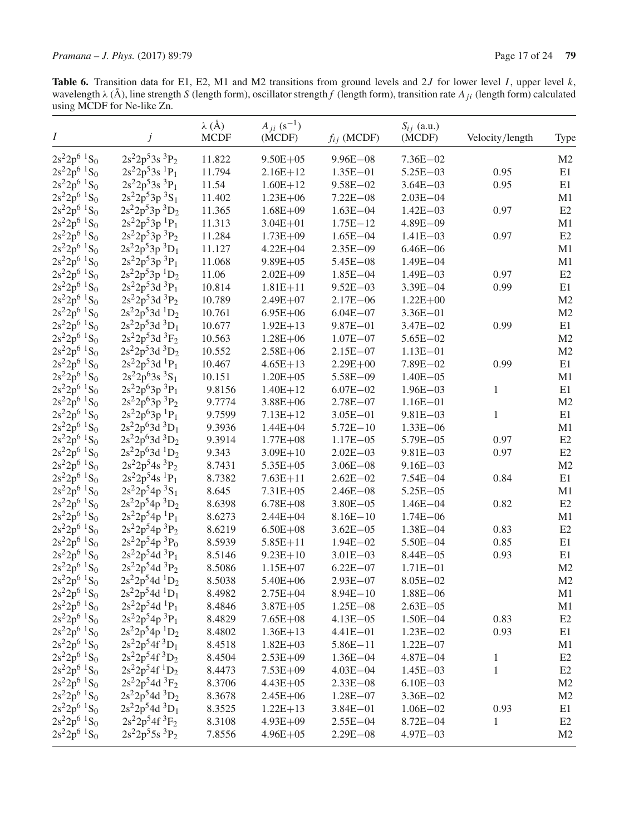Table 6. Transition data for E1, E2, M1 and M2 transitions from ground levels and 2J for lower level I, upper level  $k$ , wavelength  $\lambda$  (Å), line strength S (length form), oscillator strength f (length form), transition rate  $A_{ji}$  (length form) calculated using MCDF for Ne-like Zn.

| $\boldsymbol{I}$                       | j                                        | $\lambda$ (Å)<br><b>MCDF</b> | $A_{ii}$ (s <sup>-1</sup> )<br>(MCDF) | $f_{ij}$ (MCDF) | $S_{ij}$ (a.u.)<br>(MCDF) | Velocity/length | Type           |
|----------------------------------------|------------------------------------------|------------------------------|---------------------------------------|-----------------|---------------------------|-----------------|----------------|
| $2s^22p^6$ ${}^1S_0$                   | $2s^22p^53s^3P_2$                        | 11.822                       | $9.50E + 05$                          | $9.96E - 08$    | $7.36E - 02$              |                 | M <sub>2</sub> |
| $2s^22p^6$ <sup>1</sup> S <sub>0</sub> | $2s^22p^53s$ <sup>1</sup> $P_1$          | 11.794                       | $2.16E + 12$                          | $1.35E - 01$    | $5.25E - 03$              | 0.95            | E1             |
| $2s^22p^6$ <sup>1</sup> S <sub>0</sub> | $2s^22p^53s^3P_1$                        | 11.54                        | $1.60E + 12$                          | $9.58E - 02$    | $3.64E - 03$              | 0.95            | E1             |
| $2s^22p^6$ ${}^1S_0$                   | $2s^22p^53p^3S_1$                        | 11.402                       | $1.23E + 06$                          | $7.22E - 08$    | $2.03E - 04$              |                 | M1             |
| $2s^22p^6$ <sup>1</sup> S <sub>0</sub> | $2s^22p^53p^3D_2$                        | 11.365                       | $1.68E + 09$                          | $1.63E - 04$    | $1.42E - 03$              | 0.97            | E2             |
| $2s^22p^6$ <sup>1</sup> S <sub>0</sub> | $2s^22p^53p^1P_1$                        | 11.313                       | $3.04E + 01$                          | $1.75E - 12$    | $4.89E - 09$              |                 | M1             |
| $2s^22p^6$ <sup>1</sup> S <sub>0</sub> | $2s^22p^53p^3P_2$                        | 11.284                       | $1.73E + 09$                          | $1.65E - 04$    | $1.41E - 03$              | 0.97            | E2             |
| $2s^22p^6$ <sup>1</sup> S <sub>0</sub> | $2s^22p^53p^3D_1$                        | 11.127                       | $4.22E + 04$                          | $2.35E - 09$    | $6.46E - 06$              |                 | M1             |
| $2s^22p^6$ <sup>1</sup> S <sub>0</sub> | $2s^22p^53p^3P_1$                        | 11.068                       | $9.89E + 05$                          | $5.45E - 08$    | $1.49E - 04$              |                 | M1             |
| $2s^22p^6$ <sup>1</sup> S <sub>0</sub> | $2s^22p^53p^1D_2$                        | 11.06                        | $2.02E + 09$                          | $1.85E - 04$    | $1.49E - 03$              | 0.97            | E2             |
| $2s^22p^6$ <sup>1</sup> S <sub>0</sub> | $2s^22p^53d^3P_1$                        | 10.814                       | $1.81E + 11$                          | $9.52E - 03$    | $3.39E - 04$              | 0.99            | E1             |
| $2s^22p^6$ <sup>1</sup> S <sub>0</sub> | $2s^22p^53d^3P_2$                        | 10.789                       | $2.49E + 07$                          | $2.17E - 06$    | $1.22E + 00$              |                 | M <sub>2</sub> |
| $2s^22p^6$ <sup>1</sup> S <sub>0</sub> | $2s^22p^53d^1D_2$                        | 10.761                       | $6.95E + 06$                          | $6.04E - 07$    | $3.36E - 01$              |                 | M <sub>2</sub> |
| $2s^22p^6$ <sup>1</sup> S <sub>0</sub> | $2s^22p^53d^3D_1$                        | 10.677                       | $1.92E + 13$                          | $9.87E - 01$    | $3.47E - 02$              | 0.99            | E1             |
| $2s^22p^6$ ${}^1S_0$                   | $2s^22p^53d^3F_2$                        | 10.563                       | $1.28E + 06$                          | $1.07E - 07$    | $5.65E - 02$              |                 | M2             |
| $2s^22p^6$ <sup>1</sup> S <sub>0</sub> | $2s^22p^53d^3D_2$                        | 10.552                       | $2.58E + 06$                          | $2.15E - 07$    | $1.13E - 01$              |                 | M <sub>2</sub> |
| $2s^22p^6$ ${}^1S_0$                   | $2s^22p^53d^1P_1$                        | 10.467                       | $4.65E + 13$                          | $2.29E + 00$    | $7.89E - 02$              | 0.99            | E1             |
| $2s^22p^6$ ${}^1S_0$                   | $2s^22p^63s^3S_1$                        | 10.151                       | $1.20E + 05$                          | 5.58E-09        | $1.40E - 05$              |                 | M1             |
| $2s^22p^6$ ${}^1S_0$                   | $2s^22p^63p^3P_1$                        | 9.8156                       | $1.40E + 12$                          | $6.07E - 02$    | $1.96E - 03$              | 1               | E1             |
| $2s^22p^6$ <sup>1</sup> S <sub>0</sub> | $2s^22p^63p^3P_2$                        | 9.7774                       | $3.88E + 06$                          | $2.78E - 07$    | $1.16E - 01$              |                 | M <sub>2</sub> |
| $2s^22p^6$ ${}^1S_0$                   | $2s^22p^63p^1P_1$                        | 9.7599                       | $7.13E + 12$                          | $3.05E - 01$    | $9.81E - 03$              | $\mathbf{1}$    | E1             |
| $2s^22p^6$ ${}^1S_0$                   | $2s^22p^63d^3D_1$                        | 9.3936                       | $1.44E + 04$                          | $5.72E - 10$    | $1.33E - 06$              |                 | M1             |
| $2s^22p^6$ <sup>1</sup> S <sub>0</sub> | $2s^22p^63d^3D_2$                        | 9.3914                       | $1.77E + 08$                          | $1.17E - 05$    | $5.79E - 05$              | 0.97            | E2             |
| $2s^22p^6$ <sup>1</sup> S <sub>0</sub> | $2s^22p^63d$ <sup>1</sup> D <sub>2</sub> | 9.343                        | $3.09E + 10$                          | $2.02E - 03$    | $9.81E - 03$              | 0.97            | E2             |
| $2s^22p^6$ ${}^1S_0$                   | $2s^22p^54s^3P_2$                        | 8.7431                       | 5.35E+05                              | $3.06E - 08$    | $9.16E - 03$              |                 | M2             |
| $2s^22p^6$ ${}^1S_0$                   | $2s^22p^54s$ <sup>1</sup> $P_1$          | 8.7382                       | $7.63E + 11$                          | $2.62E - 02$    | $7.54E - 04$              | 0.84            | E1             |
| $2s^22p^6$ <sup>1</sup> S <sub>0</sub> | $2s^22p^54p^3S_1$                        | 8.645                        | $7.31E + 05$                          | $2.46E - 08$    | $5.25E - 05$              |                 | M1             |
| $2s^22p^6$ ${}^1S_0$                   | $2s^22p^54p^3D_2$                        | 8.6398                       | $6.78E + 08$                          | $3.80E - 05$    | $1.46E - 04$              | 0.82            | E2             |
| $2s^22p^6$ ${}^1S_0$                   | $2s^22p^54p^1P_1$                        | 8.6273                       | $2.44E + 04$                          | $8.16E - 10$    | $1.74E - 06$              |                 | M1             |
| $2s^22p^6$ <sup>1</sup> S <sub>0</sub> | $2s^22p^54p^3P_2$                        | 8.6219                       | $6.50E + 08$                          | $3.62E - 05$    | $1.38E - 04$              | 0.83            | E2             |
| $2s^22p^6$ <sup>1</sup> S <sub>0</sub> | $2s^22p^54p^3P_0$                        | 8.5939                       | $5.85E + 11$                          | $1.94E - 02$    | $5.50E - 04$              | 0.85            | E1             |
| $2s^22p^6$ ${}^1S_0$                   | $2s^22p^54d^3P_1$                        | 8.5146                       | $9.23E + 10$                          | $3.01E - 03$    | $8.44E - 05$              | 0.93            | E1             |
| $2s^22p^6$ ${}^1S_0$                   | $2s^22p^54d^3P_2$                        | 8.5086                       | $1.15E + 07$                          | $6.22E - 07$    | $1.71E - 01$              |                 | M2             |
| $2s^22p^6$ <sup>1</sup> S <sub>0</sub> | $2s^22p^54d^1D_2$                        | 8.5038                       | $5.40E + 06$                          | $2.93E - 07$    | $8.05E - 02$              |                 | M2             |
| $2s^22p^6$ ${}^1S_0$                   | $2s^22p^54d^1D_1$                        | 8.4982                       | $2.75E + 04$                          | $8.94E - 10$    | $1.88E - 06$              |                 | M1             |
| $2s^22p^6$ ${}^1S_0$                   | $2s^22p^54d^1P_1$                        | 8.4846                       | $3.87E + 05$                          | $1.25E - 08$    | $2.63E - 05$              |                 | M1             |
| $2s^22p^6$ <sup>1</sup> S <sub>0</sub> | $2s^22p^54p^3P_1$                        | 8.4829                       | $7.65E + 08$                          | $4.13E - 05$    | $1.50E - 04$              | 0.83            | E2             |
| $2s^22p^6$ <sup>1</sup> S <sub>0</sub> | $2s^22p^54p^1D_2$                        | 8.4802                       | $1.36E+13$                            | $4.41E - 01$    | $1.23E - 02$              | 0.93            | E1             |
| $2s^22p^6$ ${}^1S_0$                   | $2s^22p^54f^3D_1$                        | 8.4518                       | $1.82E + 03$                          | $5.86E - 11$    | $1.22E - 07$              |                 | M1             |
| $2s^22p^6$ <sup>1</sup> S <sub>0</sub> | $2s^22p^54f^3D_2$                        | 8.4504                       | $2.53E + 09$                          | $1.36E - 04$    | $4.87E - 04$              | 1               | E2             |
| $2s^22p^6$ <sup>1</sup> S <sub>0</sub> | $2s^22p^54f^1D_2$                        | 8.4473                       | $7.53E + 09$                          | $4.03E - 04$    | $1.45E - 03$              | 1               | E2             |
| $2s^22p^6$ <sup>1</sup> S <sub>0</sub> | $2s^22p^54d^3F_2$                        | 8.3706                       | $4.43E + 05$                          | $2.33E - 08$    | $6.10E - 03$              |                 | M <sub>2</sub> |
| $2s^22p^6$ <sup>1</sup> S <sub>0</sub> | $2s^22p^54d^3D_2$                        | 8.3678                       | $2.45E + 06$                          | $1.28E - 07$    | $3.36E - 02$              |                 | M <sub>2</sub> |
| $2s^22p^6$ <sup>1</sup> S <sub>0</sub> | $2s^22p^54d^3D_1$                        | 8.3525                       | $1.22E+13$                            | $3.84E - 01$    | $1.06E - 02$              | 0.93            | E1             |
| $2s^22p^6$ <sup>1</sup> S <sub>0</sub> | $2s^22p^54f^3F_2$                        | 8.3108                       | $4.93E + 09$                          | $2.55E - 04$    | $8.72E - 04$              | 1               | E2             |
| $2s^22p^6$ <sup>1</sup> S <sub>0</sub> | $2s^22p^55s^3P_2$                        | 7.8556                       | $4.96E + 05$                          | $2.29E - 08$    | $4.97E - 03$              |                 | M <sub>2</sub> |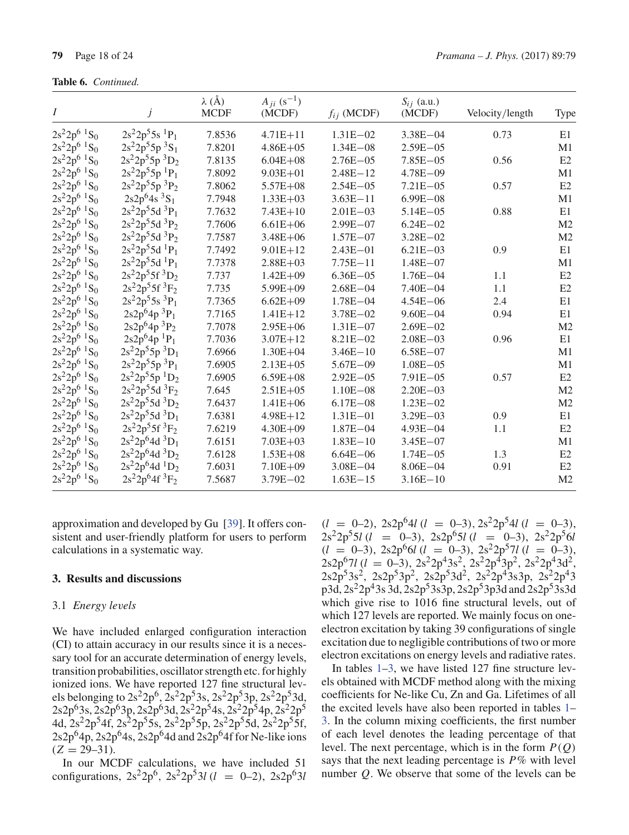Table 6. Continued.

| Ι                                      |                                 | $\lambda$ (Å)<br><b>MCDF</b> | $A_{ji}$ (s <sup>-1</sup> )<br>(MCDF) | $f_{ij}$ (MCDF) | $S_{ij}$ (a.u.)<br>(MCDF) | Velocity/length | Type           |
|----------------------------------------|---------------------------------|------------------------------|---------------------------------------|-----------------|---------------------------|-----------------|----------------|
| $2s^22p^6$ <sup>1</sup> S <sub>0</sub> | $2s^22p^55s$ <sup>1</sup> $P_1$ | 7.8536                       | $4.71E + 11$                          | $1.31E - 02$    | $3.38E - 04$              | 0.73            | E1             |
| $2s^22p^6$ <sup>1</sup> S <sub>0</sub> | $2s^22p^55p^3S_1$               | 7.8201                       | $4.86E + 05$                          | $1.34E - 08$    | $2.59E - 05$              |                 | M1             |
| $2s^22p^6$ <sup>1</sup> S <sub>0</sub> | $2s^22p^55p^3D_2$               | 7.8135                       | $6.04E + 08$                          | $2.76E - 05$    | $7.85E - 05$              | 0.56            | E2             |
| $2s^22p^6$ <sup>1</sup> S <sub>0</sub> | $2s^22p^55p^1P_1$               | 7.8092                       | $9.03E + 01$                          | $2.48E - 12$    | $4.78E - 09$              |                 | M1             |
| $2s^22p^6$ <sup>1</sup> S <sub>0</sub> | $2s^22p^55p^3P_2$               | 7.8062                       | $5.57E + 08$                          | $2.54E - 05$    | $7.21E - 05$              | 0.57            | E2             |
| $2s^22p^6$ <sup>1</sup> S <sub>0</sub> | $2s2p^64s^3S_1$                 | 7.7948                       | $1.33E + 03$                          | $3.63E - 11$    | $6.99E - 08$              |                 | M1             |
| $2s^22p^6$ <sup>1</sup> S <sub>0</sub> | $2s^22p^55d^3P_1$               | 7.7632                       | $7.43E + 10$                          | $2.01E - 03$    | $5.14E - 05$              | 0.88            | E1             |
| $2s^22p^6$ <sup>1</sup> S <sub>0</sub> | $2s^22p^55d^3P_2$               | 7.7606                       | $6.61E + 06$                          | $2.99E - 07$    | $6.24E - 02$              |                 | M <sub>2</sub> |
| $2s^22p^6$ <sup>1</sup> S <sub>0</sub> | $2s^22p^55d^3P_2$               | 7.7587                       | $3.48E + 06$                          | $1.57E - 07$    | $3.28E - 02$              |                 | M <sub>2</sub> |
| $2s^22p^6$ <sup>1</sup> S <sub>0</sub> | $2s^22p^55d^1P_1$               | 7.7492                       | $9.01E + 12$                          | $2.43E - 01$    | $6.21E - 03$              | 0.9             | E1             |
| $2s^22p^6$ <sup>1</sup> S <sub>0</sub> | $2s^22p^55d^1P_1$               | 7.7378                       | $2.88E + 03$                          | $7.75E - 11$    | $1.48E - 07$              |                 | M1             |
| $2s^22p^6$ <sup>1</sup> S <sub>0</sub> | $2s^22p^55f^3D_2$               | 7.737                        | $1.42E + 09$                          | $6.36E - 05$    | $1.76E - 04$              | 1.1             | E2             |
| $2s^22p^6$ <sup>1</sup> S <sub>0</sub> | $2s^22p^55f^3F_2$               | 7.735                        | $5.99E + 09$                          | $2.68E - 04$    | $7.40E - 04$              | 1.1             | E2             |
| $2s^22p^6$ <sup>1</sup> S <sub>0</sub> | $2s^22p^55s^3P_1$               | 7.7365                       | $6.62E + 09$                          | $1.78E - 04$    | $4.54E - 06$              | 2.4             | E1             |
| $2s^22p^6$ <sup>1</sup> S <sub>0</sub> | $2s2p64p3P1$                    | 7.7165                       | $1.41E + 12$                          | $3.78E - 02$    | $9.60E - 04$              | 0.94            | E1             |
| $2s^22p^6$ <sup>1</sup> S <sub>0</sub> | $2s2p^64p^3P_2$                 | 7.7078                       | $2.95E + 06$                          | $1.31E - 07$    | $2.69E - 02$              |                 | M <sub>2</sub> |
| $2s^22p^6$ <sup>1</sup> S <sub>0</sub> | $2s2p^64p^1P_1$                 | 7.7036                       | $3.07E + 12$                          | $8.21E - 02$    | $2.08E - 03$              | 0.96            | E1             |
| $2s^22p^6$ ${}^1S_0$                   | $2s^22p^55p^3D_1$               | 7.6966                       | $1.30E + 04$                          | $3.46E - 10$    | $6.58E - 07$              |                 | M1             |
| $2s^22p^6$ <sup>1</sup> S <sub>0</sub> | $2s^22p^55p^3P_1$               | 7.6905                       | $2.13E + 05$                          | $5.67E - 09$    | $1.08E - 05$              |                 | M1             |
| $2s^22p^6$ <sup>1</sup> S <sub>0</sub> | $2s^22p^55p^1D_2$               | 7.6905                       | $6.59E + 08$                          | $2.92E - 05$    | $7.91E - 05$              | 0.57            | E2             |
| $2s^22p^6$ <sup>1</sup> S <sub>0</sub> | $2s^22p^55d^3F_2$               | 7.645                        | $2.51E + 05$                          | $1.10E - 08$    | $2.20E - 03$              |                 | M <sub>2</sub> |
| $2s^22p^6$ <sup>1</sup> S <sub>0</sub> | $2s^22p^55d^3D_2$               | 7.6437                       | $1.41E + 06$                          | $6.17E - 08$    | $1.23E - 02$              |                 | M <sub>2</sub> |
| $2s^22p^6$ ${}^1S_0$                   | $2s^22p^55d^3D_1$               | 7.6381                       | $4.98E + 12$                          | $1.31E - 01$    | $3.29E - 03$              | 0.9             | E1             |
| $2s^22p^6$ <sup>1</sup> S <sub>0</sub> | $2s^22p^55f^3F_2$               | 7.6219                       | $4.30E + 09$                          | $1.87E - 04$    | $4.93E - 04$              | 1.1             | E <sub>2</sub> |
| $2s^22p^6$ ${}^1S_0$                   | $2s^22p^64d^3D_1$               | 7.6151                       | $7.03E + 03$                          | $1.83E - 10$    | $3.45E - 07$              |                 | M1             |
| $2s^22p^6$ <sup>1</sup> S <sub>0</sub> | $2s^22p^64d^3D_2$               | 7.6128                       | $1.53E + 08$                          | $6.64E - 06$    | $1.74E - 05$              | 1.3             | E2             |
| $2s^22p^6$ ${}^1S_0$                   | $2s^22p^64d^1D_2$               | 7.6031                       | $7.10E + 09$                          | $3.08E - 04$    | $8.06E - 04$              | 0.91            | E2             |
| $2s^22p^6$ ${}^1S_0$                   | $2s^22p^64f^3F_2$               | 7.5687                       | $3.79E - 02$                          | $1.63E - 15$    | $3.16E - 10$              |                 | M <sub>2</sub> |

approximation and developed by Gu [39]. It offers consistent and user-friendly platform for users to perform calculations in a systematic way.

#### 3. Results and discussions

#### 3.1 Energy levels

We have included enlarged configuration interaction (CI) to attain accuracy in our results since it is a necessary tool for an accurate determination of energy levels, transition probabilities, oscillator strength etc. for highly ionized ions. We have reported 127 fine structural levels belonging to  $2s^22p^6$ ,  $2s^22p^53s$ ,  $2s^22p^53p$ ,  $2s^22p^53d$ ,  $2s2p<sup>6</sup>3s, 2s2p<sup>6</sup>3p, 2s2p<sup>6</sup>3d, 2s<sup>2</sup>2p<sup>5</sup>4s, 2s<sup>2</sup>2p<sup>5</sup>4p, 2s<sup>2</sup>2p<sup>5</sup>$ 4d, 2s<sup>2</sup>2p<sup>5</sup>4f, 2s<sup>2</sup>2p<sup>5</sup>5s, 2s<sup>2</sup>2p<sup>5</sup>5p, 2s<sup>2</sup>2p<sup>5</sup>5d, 2s<sup>2</sup>2p<sup>5</sup>5f,  $2s2p<sup>6</sup>4p$ ,  $2s2p<sup>6</sup>4s$ ,  $2s2p<sup>6</sup>4d$  and  $2s2p<sup>6</sup>4f$  for Ne-like ions  $(Z = 29-31)$ .

In our MCDF calculations, we have included 51 configurations,  $2s^2 2p^6$ ,  $2s^2 2p^5 3l$  ( $l = 0-2$ ),  $2s2p^6 3l$ 

 $(l = 0-2)$ , 2s2p<sup>6</sup>4l  $(l = 0-3)$ , 2s<sup>2</sup>2p<sup>5</sup>4l  $(l = 0-3)$ ,  $2s^22p^55l$  (l = 0-3),  $2s2p^65l$  (l = 0-3),  $2s^22p^56l$  $(l = 0-3)$ ,  $2s2p^{6}G(l = 0-3)$ ,  $2s^{2}2p^{5}7l(l = 0-3)$ ,<br>  $2s2p^{6}7l(l = 0-3)$ ,  $2s^{2}2p^{4}3s^{2}$ ,  $2s^{2}2p^{4}3p^{2}$ ,  $2s^{2}2p^{4}3d^{2}$ ,  $2s2p<sup>5</sup>3s<sup>2</sup>$ ,  $2s2p<sup>5</sup>3p<sup>2</sup>$ ,  $2s2p<sup>5</sup>3d<sup>2</sup>$ ,  $2s<sup>2</sup>2p<sup>4</sup>3s3p$ ,  $2s<sup>2</sup>2p<sup>4</sup>3$ p3d, 2s<sup>2</sup>2p<sup>4</sup>3s 3d, 2s2p<sup>5</sup>3s3p, 2s2p<sup>5</sup>3p3d and 2s2p<sup>5</sup>3s3d which give rise to 1016 fine structural levels, out of which 127 levels are reported. We mainly focus on oneelectron excitation by taking 39 configurations of single excitation due to negligible contributions of two or more electron excitations on energy levels and radiative rates.

In tables  $1-3$ , we have listed 127 fine structure levels obtained with MCDF method along with the mixing coefficients for Ne-like Cu, Zn and Ga. Lifetimes of all the excited levels have also been reported in tables 1– 3. In the column mixing coefficients, the first number of each level denotes the leading percentage of that level. The next percentage, which is in the form  $P(Q)$ says that the next leading percentage is  $P\%$  with level number  $Q$ . We observe that some of the levels can be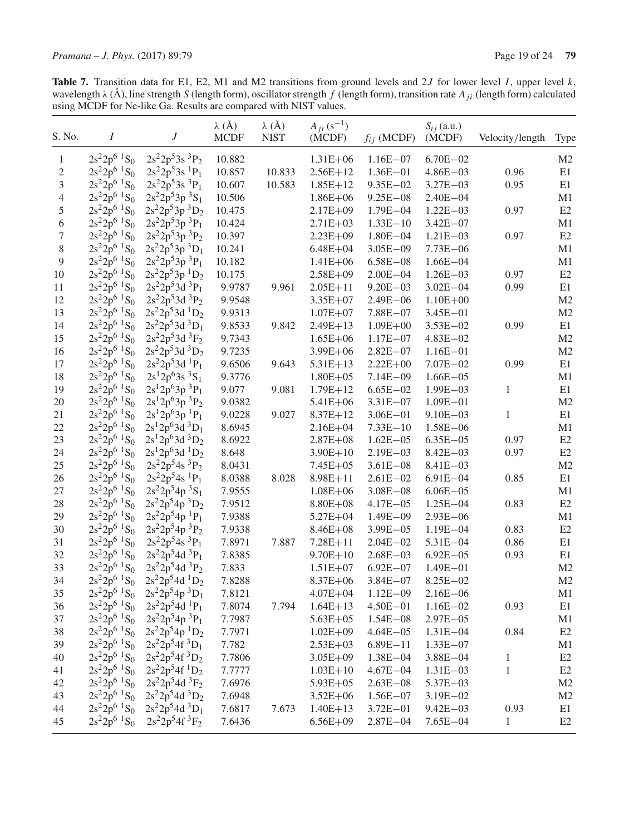**Table 7.** Transition data for E1, E2, M1 and M2 transitions from ground levels and 2J for lower level I, upper level k, wavelength  $\lambda$  (Å), line strength S (length form), oscillator strength f (length form), transition

| S. No.           | $\boldsymbol{I}$                       | $\boldsymbol{J}$                | $\lambda$ (Å)<br><b>MCDF</b> | $\lambda$ (Å)<br><b>NIST</b> | $A_{ii} (s^{-1})$<br>(MCDF) | $f_{ij}$ (MCDF) | $S_{ij}$ (a.u.)<br>(MCDF) | Velocity/length | Type           |
|------------------|----------------------------------------|---------------------------------|------------------------------|------------------------------|-----------------------------|-----------------|---------------------------|-----------------|----------------|
| $\mathbf{1}$     | $2s^22p^6$ ${}^1S_0$                   | $2s^22p^53s^3P_2$               | 10.882                       |                              | $1.31E + 06$                | $1.16E - 07$    | $6.70E - 02$              |                 | M <sub>2</sub> |
| $\boldsymbol{2}$ | $2s^22p^6$ ${}^1S_0$                   | $2s^22p^53s$ <sup>1</sup> $P_1$ | 10.857                       | 10.833                       | $2.56E+12$                  | $1.36E - 01$    | $4.86E - 03$              | 0.96            | E1             |
| 3                | $2s^22p^6$ ${}^1S_0$                   | $2s^22p^53s^3P_1$               | 10.607                       | 10.583                       | $1.85E + 12$                | $9.35E - 02$    | $3.27E - 03$              | 0.95            | E1             |
| $\overline{4}$   | $2s^22p^6$ <sup>1</sup> S <sub>0</sub> | $2s^22p^53p^3S_1$               | 10.506                       |                              | $1.86E + 06$                | $9.25E - 08$    | $2.40E - 04$              |                 | M1             |
| $\sqrt{5}$       | $2s^22p^6$ ${}^1S_0$                   | $2s^22p^53p^3D_2$               | 10.475                       |                              | $2.17E + 09$                | $1.79E - 04$    | $1.22E - 03$              | 0.97            | E2             |
| $\sqrt{6}$       | $2s^22p^6$ ${}^1S_0$                   | $2s^22p^53p^3P_1$               | 10.424                       |                              | $2.71E + 03$                | $1.33E - 10$    | $3.42E - 07$              |                 | M1             |
| $\boldsymbol{7}$ | $2s^22p^6$ <sup>1</sup> S <sub>0</sub> | $2s^22p^53p^3P_2$               | 10.397                       |                              | $2.23E + 09$                | $1.80E - 04$    | $1.21E - 03$              | 0.97            | E2             |
| $\,$ $\,$        | $2s^22p^6$ ${}^1S_0$                   | $2s^22p^53p^3D_1$               | 10.241                       |                              | $6.48E + 04$                | $3.05E - 09$    | $7.73E - 06$              |                 | M1             |
| 9                | $2s^22p^6$ <sup>1</sup> S <sub>0</sub> | $2s^22p^53p^3P_1$               | 10.182                       |                              | $1.41E + 06$                | $6.58E - 08$    | $1.66E - 04$              |                 | M1             |
| 10               | $2s^22p^6$ <sup>1</sup> S <sub>0</sub> | $2s^22p^53p^1D_2$               | 10.175                       |                              | $2.58E + 09$                | $2.00E - 04$    | $1.26E - 03$              | 0.97            | E2             |
| 11               | $2s^22p^6$ ${}^1S_0$                   | $2s^22p^53d^3P_1$               | 9.9787                       | 9.961                        | $2.05E + 11$                | $9.20E - 03$    | $3.02E - 04$              | 0.99            | E1             |
| 12               | $2s^22p^6$ <sup>1</sup> S <sub>0</sub> | $2s^22p^53d^3P_2$               | 9.9548                       |                              | $3.35E + 07$                | $2.49E - 06$    | $1.10E + 00$              |                 | M2             |
| 13               | $2s^22p^6$ <sup>1</sup> S <sub>0</sub> | $2s^22p^53d^1D_2$               | 9.9313                       |                              | $1.07E + 07$                | $7.88E - 07$    | $3.45E - 01$              |                 | M2             |
| 14               | $2s^22p^6$ <sup>1</sup> S <sub>0</sub> | $2s^22p^53d^3D_1$               | 9.8533                       | 9.842                        | $2.49E + 13$                | $1.09E + 00$    | $3.53E - 02$              | 0.99            | E1             |
| 15               | $2s^22p^6$ ${}^1S_0$                   | $2s^22p^53d^3F_2$               | 9.7343                       |                              | $1.65E + 06$                | $1.17E - 07$    | $4.83E - 02$              |                 | M2             |
| 16               | $2s^22p^6$ <sup>1</sup> S <sub>0</sub> | $2s^22p^53d^3D_2$               | 9.7235                       |                              | $3.99E + 06$                | $2.82E - 07$    | $1.16E - 01$              |                 | M2             |
| 17               | $2s^22p^6$ <sup>1</sup> S <sub>0</sub> | $2s^22p^53d^1P_1$               | 9.6506                       | 9.643                        | $5.31E + 13$                | $2.22E + 00$    | $7.07E - 02$              | 0.99            | E1             |
| 18               | $2s^22p^6$ <sup>1</sup> S <sub>0</sub> | $2s^12p^63s^3S_1$               | 9.3776                       |                              | $1.80E + 05$                | $7.14E - 09$    | $1.66E - 05$              |                 | M1             |
| 19               | $2s^22p^6$ <sup>1</sup> S <sub>0</sub> | $2s^12p^63p^3P_1$               | 9.077                        | 9.081                        | $1.79E + 12$                | $6.65E - 02$    | $1.99E - 03$              | 1               | E1             |
| 20               | $2s^22p^6$ <sup>1</sup> S <sub>0</sub> | $2s^12p^63p^3P_2$               | 9.0382                       |                              | 5.41E+06                    | $3.31E - 07$    | $1.09E - 01$              |                 | M2             |
| 21               | $2s^22p^6$ <sup>1</sup> S <sub>0</sub> | $2s^12p^63p^1P_1$               | 9.0228                       | 9.027                        | $8.37E + 12$                | $3.06E - 01$    | $9.10E - 03$              | 1               | E1             |
| $22\,$           | $2s^22p^6$ <sup>1</sup> S <sub>0</sub> | $2s^12p^63d^3D_1$               | 8.6945                       |                              | $2.16E + 04$                | $7.33E - 10$    | $1.58E - 06$              |                 | M1             |
| 23               | $2s^22p^6$ ${}^1S_0$                   | $2s^12p^63d^3D_2$               | 8.6922                       |                              | $2.87E + 08$                | $1.62E - 05$    | $6.35E - 05$              | 0.97            | E2             |
| 24               | $2s^22p^6$ <sup>1</sup> S <sub>0</sub> | $2s^12p^63d^1D_2$               | 8.648                        |                              | $3.90E + 10$                | $2.19E - 03$    | $8.42E - 03$              | 0.97            | E2             |
| $25\,$           | $2s^22p^6$ ${}^1S_0$                   | $2s^22p^54s^3P_2$               | 8.0431                       |                              | $7.45E + 05$                | $3.61E - 08$    | $8.41E - 03$              |                 | M2             |
| 26               | $2s^22p^6$ ${}^1S_0$                   | $2s^22p^54s$ <sup>1</sup> $P_1$ | 8.0388                       | 8.028                        | $8.98E + 11$                | $2.61E - 02$    | $6.91E - 04$              | 0.85            | E1             |
| $27\,$           | $2s^22p^6$ <sup>1</sup> S <sub>0</sub> | $2s^22p^54p^3S_1$               | 7.9555                       |                              | $1.08E + 06$                | $3.08E - 08$    | $6.06E - 05$              |                 | M1             |
| 28               | $2s^22p^6$ <sup>1</sup> S <sub>0</sub> | $2s^22p^54p^3D_2$               | 7.9512                       |                              | $8.80E + 08$                | $4.17E - 05$    | $1.25E - 04$              | 0.83            | E2             |
| 29               | $2s^22p^6$ ${}^1S_0$                   | $2s^22p^54p^1P_1$               | 7.9388                       |                              | $5.27E + 04$                | $1.49E - 09$    | $2.93E - 06$              |                 | M1             |
| 30               | $2s^22p^6$ <sup>1</sup> S <sub>0</sub> | $2s^22p^54p^3P_2$               | 7.9338                       |                              | $8.46E + 08$                | $3.99E - 05$    | $1.19E - 04$              | 0.83            | E2             |
| 31               | $2s^22p^6$ ${}^1S_0$                   | $2s^22p^54s^3P_1$               | 7.8971                       | 7.887                        | $7.28E + 11$                | $2.04E - 02$    | $5.31E - 04$              | 0.86            | E1             |
| 32               | $2s^22p^6$ ${}^1S_0$                   | $2s^22p^54d^3P_1$               | 7.8385                       |                              | $9.70E + 10$                | $2.68E - 03$    | $6.92E - 05$              | 0.93            | E1             |
| 33               | $2s^22p^6$ <sup>1</sup> S <sub>0</sub> | $2s^22p^54d^3P_2$               | 7.833                        |                              | $1.51E + 07$                | $6.92E - 07$    | $1.49E - 01$              |                 | M2             |
| 34               | $2s^22p^6$ <sup>1</sup> S <sub>0</sub> | $2s^22p^54d^1D_2$               | 7.8288                       |                              | $8.37E + 06$                | $3.84E - 07$    | $8.25E - 02$              |                 | M <sub>2</sub> |
| 35               | $2s^22p^6$ <sup>1</sup> S <sub>0</sub> | $2s^22p^34p^3D_1$               | 7.8121                       |                              | $4.07E + 04$                | $1.12E - 09$    | $2.16E - 06$              |                 | M1             |
| 36               | $2s^22p^6$ ${}^1S_0$                   | $2s^22p^54d^1P_1$               | 7.8074                       | 7.794                        | $1.64E + 13$                | $4.50E - 01$    | $1.16E - 02$              | 0.93            | E1             |
| 37               | $2s^22p^6$ <sup>1</sup> S <sub>0</sub> | $2s^22p^54p^3P_1$               | 7.7987                       |                              | $5.63E + 05$                | $1.54E - 08$    | $2.97E - 05$              |                 | M1             |
| 38               | $2s^22p^6$ ${}^1S_0$                   | $2s^22p^54p^1D_2$               | 7.7971                       |                              | $1.02E + 09$                | $4.64E - 05$    | $1.31E - 04$              | 0.84            | E2             |
| 39               | $2s^22p^6$ ${}^1S_0$                   | $2s^22p^54f^3D_1$               | 7.782                        |                              | $2.53E + 03$                | $6.89E - 11$    | $1.33E - 07$              |                 | M1             |
| 40               | $2s^22p^6$ ${}^1S_0$                   | $2s^22p^54f^3D_2$               | 7.7806                       |                              | $3.05E + 09$                | $1.38E - 04$    | $3.88E - 04$              | $\mathbf{1}$    | E2             |
| 41               | $2s^22p^6$ <sup>1</sup> S <sub>0</sub> | $2s^22p^54f^1D_2$               | 7.7777                       |                              | $1.03E + 10$                | $4.67E - 04$    | $1.31E - 03$              | $\mathbf{1}$    | E2             |
| 42               | $2s^22p^6$ <sup>1</sup> S <sub>0</sub> | $2s^22p^54d^3F_2$               | 7.6976                       |                              | $5.93E + 05$                | $2.63E - 08$    | 5.37E-03                  |                 | M2             |
| 43               | $2s^22p^6$ <sup>1</sup> S <sub>0</sub> | $2s^22p^54d^3D_2$               | 7.6948                       |                              | $3.52E + 06$                | $1.56E - 07$    | $3.19E - 02$              |                 | M2             |
| 44               | $2s^22p^6$ <sup>1</sup> S <sub>0</sub> | $2s^22p^54d^3D_1$               | 7.6817                       | 7.673                        | $1.40E + 13$                | $3.72E - 01$    | $9.42E - 03$              | 0.93            | E1             |
| 45               | $2s^22p^6$ ${}^1S_0$                   | $2s^22p^54f^3F_2$               | 7.6436                       |                              | $6.56E + 09$                | $2.87E - 04$    | $7.65E - 04$              | $\mathbf{1}$    | E2             |
|                  |                                        |                                 |                              |                              |                             |                 |                           |                 |                |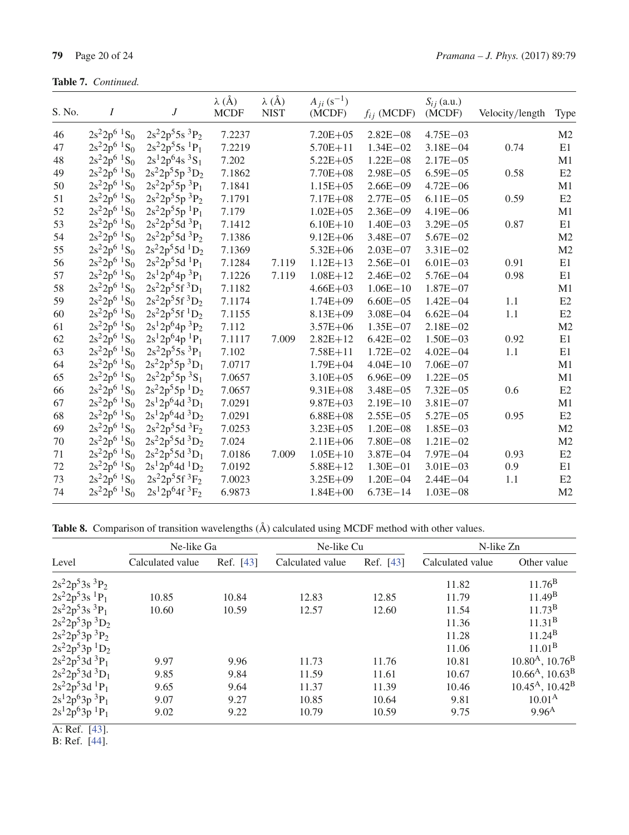| S. No. | $\boldsymbol{I}$                       | $\boldsymbol{J}$  | $\lambda$ (Å)<br><b>MCDF</b> | $\lambda$ (Å)<br><b>NIST</b> | $A_{ji} (s^{-1})$<br>(MCDF) | $f_{ij}$ (MCDF) | $S_{ij}$ (a.u.)<br>(MCDF) | Velocity/length | Type           |
|--------|----------------------------------------|-------------------|------------------------------|------------------------------|-----------------------------|-----------------|---------------------------|-----------------|----------------|
| 46     | $2s^22p^6$ <sup>1</sup> S <sub>0</sub> | $2s^22p^55s^3P_2$ | 7.2237                       |                              | $7.20E + 05$                | $2.82E - 08$    | $4.75E - 03$              |                 | M <sub>2</sub> |
| 47     | $2s^22p^6$ ${}^1S_0$                   | $2s^22p^55s^1P_1$ | 7.2219                       |                              | $5.70E + 11$                | $1.34E - 02$    | $3.18E - 04$              | 0.74            | E1             |
| 48     | $2s^22p^6~^1S_0$                       | $2s^12p^64s^3S_1$ | 7.202                        |                              | $5.22E + 05$                | $1.22E - 08$    | $2.17E - 05$              |                 | M1             |
| 49     | $2s^22p^6$ <sup>1</sup> S <sub>0</sub> | $2s^22p^55p^3D_2$ | 7.1862                       |                              | 7.70E+08                    | $2.98E - 05$    | $6.59E - 05$              | 0.58            | E2             |
| 50     | $2s^22p^6~^1S_0$                       | $2s^22p^55p^3P_1$ | 7.1841                       |                              | $1.15E + 05$                | $2.66E - 09$    | $4.72E - 06$              |                 | M1             |
| 51     | $2s^22p^6~^1S_0$                       | $2s^22p^55p^3P_2$ | 7.1791                       |                              | $7.17E + 08$                | $2.77E - 05$    | $6.11E - 05$              | 0.59            | E2             |
| 52     | $2s^22p^6$ <sup>1</sup> S <sub>0</sub> | $2s^22p^55p^1P_1$ | 7.179                        |                              | $1.02E + 05$                | $2.36E - 09$    | $4.19E - 06$              |                 | M1             |
| 53     | $2s^22p^6$ ${}^1S_0$                   | $2s^22p^55d^3P_1$ | 7.1412                       |                              | $6.10E + 10$                | $1.40E - 03$    | $3.29E - 05$              | 0.87            | E1             |
| 54     | $2s^22p^6$ <sup>1</sup> S <sub>0</sub> | $2s^22p^55d^3P_2$ | 7.1386                       |                              | $9.12E + 06$                | $3.48E - 07$    | $5.67E - 02$              |                 | M <sub>2</sub> |
| 55     | $2s^22p^6$ ${}^1S_0$                   | $2s^22p^55d^1D_2$ | 7.1369                       |                              | $5.32E + 06$                | $2.03E - 07$    | $3.31E - 02$              |                 | M <sub>2</sub> |
| 56     | $2s^22p^6$ ${}^1S_0$                   | $2s^22p^55d^1P_1$ | 7.1284                       | 7.119                        | $1.12E + 13$                | $2.56E - 01$    | $6.01E - 03$              | 0.91            | E1             |
| 57     | $2s^22p^6$ ${}^1S_0$                   | $2s^12p^64p^3P_1$ | 7.1226                       | 7.119                        | $1.08E + 12$                | $2.46E - 02$    | $5.76E - 04$              | 0.98            | E1             |
| 58     | $2s^22p^6~^1S_0$                       | $2s^22p^55f^3D_1$ | 7.1182                       |                              | $4.66E + 03$                | $1.06E - 10$    | $1.87E - 07$              |                 | M1             |
| 59     | $2s^22p^6$ ${}^1S_0$                   | $2s^22p^55f^3D_2$ | 7.1174                       |                              | $1.74E + 09$                | $6.60E - 05$    | $1.42E - 04$              | 1.1             | E <sub>2</sub> |
| 60     | $2s^22p^6$ <sup>1</sup> S <sub>0</sub> | $2s^22p^55f^1D_2$ | 7.1155                       |                              | $8.13E + 09$                | $3.08E - 04$    | $6.62E - 04$              | 1.1             | E2             |
| 61     | $2s^22p^6$ <sup>1</sup> S <sub>0</sub> | $2s^12p^64p^3P_2$ | 7.112                        |                              | $3.57E + 06$                | $1.35E - 07$    | $2.18E - 02$              |                 | M <sub>2</sub> |
| 62     | $2s^22p^6$ <sup>1</sup> S <sub>0</sub> | $2s^12p^64p^1P_1$ | 7.1117                       | 7.009                        | $2.82E+12$                  | $6.42E - 02$    | $1.50E - 03$              | 0.92            | E1             |
| 63     | $2s^22p^6$ ${}^1S_0$                   | $2s^22p^55s^3P_1$ | 7.102                        |                              | $7.58E + 11$                | $1.72E - 02$    | $4.02E - 04$              | 1.1             | E1             |
| 64     | $2s^22p^6$ ${}^1S_0$                   | $2s^22p^55p^3D_1$ | 7.0717                       |                              | $1.79E + 04$                | $4.04E - 10$    | $7.06E - 07$              |                 | M1             |
| 65     | $2s^22p^6$ <sup>1</sup> S <sub>0</sub> | $2s^22p^55p^3S_1$ | 7.0657                       |                              | $3.10E + 05$                | $6.96E - 09$    | $1.22E - 05$              |                 | M1             |
| 66     | $2s^22p^6~^1S_0$                       | $2s^22p^55p^1D_2$ | 7.0657                       |                              | $9.31E + 08$                | $3.48E - 05$    | $7.32E - 05$              | 0.6             | E2             |
| 67     | $2s^22p^6~^1S_0$                       | $2s^12p^64d^3D_1$ | 7.0291                       |                              | $9.87E + 03$                | $2.19E - 10$    | $3.81E - 07$              |                 | M1             |
| 68     | $2s^22p^6$ ${}^1S_0$                   | $2s^12p^64d^3D_2$ | 7.0291                       |                              | $6.88E + 08$                | $2.55E - 05$    | $5.27E - 05$              | 0.95            | E2             |
| 69     | $2s^22p^6$ ${}^1S_0$                   | $2s^22p^55d^3F_2$ | 7.0253                       |                              | $3.23E + 05$                | $1.20E - 08$    | $1.85E - 03$              |                 | M <sub>2</sub> |
| 70     | $2s^22p^6$ <sup>1</sup> S <sub>0</sub> | $2s^22p^55d^3D_2$ | 7.024                        |                              | $2.11E + 06$                | $7.80E - 08$    | $1.21E - 02$              |                 | M <sub>2</sub> |
| 71     | $2s^22p^6$ ${}^1S_0$                   | $2s^22p^55d^3D_1$ | 7.0186                       | 7.009                        | $1.05E + 10$                | $3.87E - 04$    | $7.97E - 04$              | 0.93            | E2             |
| 72     | $2s^22p^6$ <sup>1</sup> S <sub>0</sub> | $2s^12p^64d^1D_2$ | 7.0192                       |                              | $5.88E + 12$                | $1.30E - 01$    | $3.01E - 03$              | 0.9             | E1             |
| 73     | $2s^22p^6$ <sup>1</sup> S <sub>0</sub> | $2s^22p^55f^3F_2$ | 7.0023                       |                              | $3.25E + 09$                | $1.20E - 04$    | $2.44E - 04$              | 1.1             | E2             |
| 74     | $2s^22p^6$ <sup>1</sup> S <sub>0</sub> | $2s^12p^64f^3F_2$ | 6.9873                       |                              | $1.84E + 00$                | $6.73E - 14$    | $1.03E - 08$              |                 | M <sub>2</sub> |

Table 8. Comparison of transition wavelengths  $(\hat{A})$  calculated using MCDF method with other values.

|                                 | Ne-like Ga       |           | Ne-like Cu       |           | N-like Zn        |                                         |
|---------------------------------|------------------|-----------|------------------|-----------|------------------|-----------------------------------------|
| Level                           | Calculated value | Ref. [43] | Calculated value | Ref. [43] | Calculated value | Other value                             |
| $2s^22p^53s^3P_2$               |                  |           |                  |           | 11.82            | 11.76 <sup>B</sup>                      |
| $2s^22p^53s$ <sup>1</sup> $P_1$ | 10.85            | 10.84     | 12.83            | 12.85     | 11.79            | $11.49^{\rm B}$                         |
| $2s^22p^53s^3P_1$               | 10.60            | 10.59     | 12.57            | 12.60     | 11.54            | $11.73^{\rm B}$                         |
| $2s^22p^53p^3D_2$               |                  |           |                  |           | 11.36            | 11.31 <sup>B</sup>                      |
| $2s^22p^53p^3P_2$               |                  |           |                  |           | 11.28            | $11.24^{\rm B}$                         |
| $2s^22p^53p^1D_2$               |                  |           |                  |           | 11.06            | $11.01^{\rm B}$                         |
| $2s^22p^53d^3P_1$               | 9.97             | 9.96      | 11.73            | 11.76     | 10.81            | $10.80A$ , $10.76B$                     |
| $2s^22p^53d^3D_1$               | 9.85             | 9.84      | 11.59            | 11.61     | 10.67            | $10.66A$ , $10.63B$                     |
| $2s^22p^53d^1P_1$               | 9.65             | 9.64      | 11.37            | 11.39     | 10.46            | $10.45^{\text{A}}$ , $10.42^{\text{B}}$ |
| $2s^12p^63p^3P_1$               | 9.07             | 9.27      | 10.85            | 10.64     | 9.81             | $10.01^{A}$                             |
| $2s^12p^63p^1P_1$               | 9.02             | 9.22      | 10.79            | 10.59     | 9.75             | $9.96^{A}$                              |
| $A \cdot D \cdot C = 1421$      |                  |           |                  |           |                  |                                         |

A: Ref. [43].

B: Ref. [44].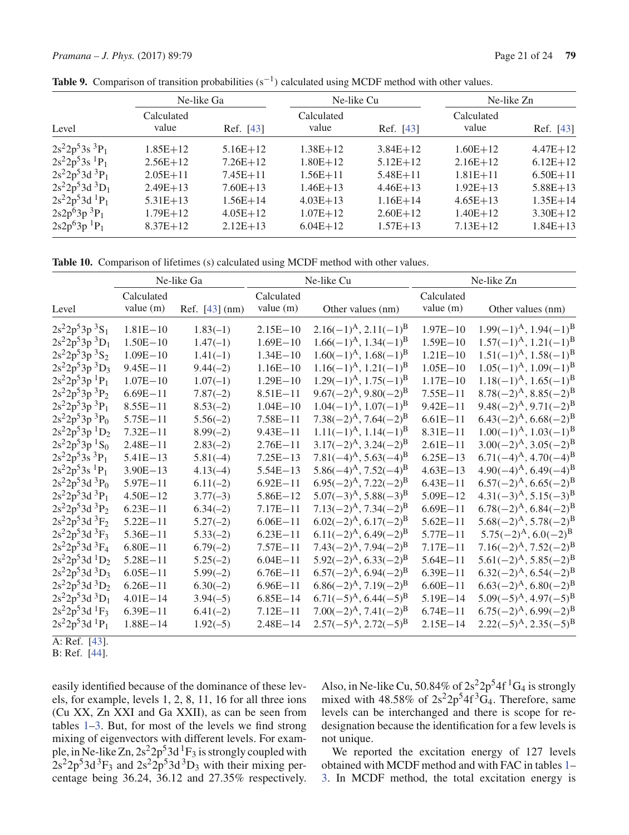|                   | Ne-like Ga          |              | Ne-like Cu          |              | Ne-like Zn          |              |
|-------------------|---------------------|--------------|---------------------|--------------|---------------------|--------------|
| Level             | Calculated<br>value | Ref. [43]    | Calculated<br>value | Ref. [43]    | Calculated<br>value | Ref. [43]    |
| $2s^22p^53s^3P_1$ | $1.85E+12$          | $5.16E+12$   | $1.38E + 12$        | $3.84E+12$   | $1.60E + 12$        | $4.47E + 12$ |
| $2s^22p^53s^1P_1$ | $2.56E+12$          | $7.26E+12$   | $1.80E + 12$        | $5.12E+12$   | $2.16E+12$          | $6.12E+12$   |
| $2s^22p^53d^3P_1$ | $2.05E + 11$        | $7.45E + 11$ | $1.56E + 11$        | $5.48E + 11$ | $1.81E + 11$        | $6.50E + 11$ |
| $2s^22p^53d^3D_1$ | $2.49E + 13$        | $7.60E + 13$ | $1.46E + 13$        | $4.46E+13$   | $1.92E+13$          | $5.88E + 13$ |
| $2s^22p^53d^1P_1$ | $5.31E+13$          | $1.56E + 14$ | $4.03E+13$          | $1.16E + 14$ | $4.65E+13$          | $1.35E + 14$ |
| $2s2p^63p^3P_1$   | $1.79E + 12$        | $4.05E+12$   | $1.07E + 12$        | $2.60E+12$   | $1.40E + 12$        | $3.30E + 12$ |
| $2s2p^63p^1P_1$   | $8.37E+12$          | $2.12E+13$   | $6.04E+12$          | $1.57E + 13$ | $7.13E+12$          | $1.84E + 13$ |

Table 9. Comparison of transition probabilities (s<sup>−1</sup>) calculated using MCDF method with other values.

**Table 10.** Comparison of lifetimes (s) calculated using MCDF method with other values.

|                                 |                           | Ne-like Ga     |                           | Ne-like Cu                                     |                           | Ne-like Zn                                        |
|---------------------------------|---------------------------|----------------|---------------------------|------------------------------------------------|---------------------------|---------------------------------------------------|
| Level                           | Calculated<br>value $(m)$ | Ref. [43] (nm) | Calculated<br>value $(m)$ | Other values (nm)                              | Calculated<br>value $(m)$ | Other values (nm)                                 |
| $2s^22p^53p^3S_1$               | $1.81E - 10$              | $1.83(-1)$     | $2.15E - 10$              | $2.16(-1)^{A}$ , $2.11(-1)^{B}$                | $1.97E - 10$              | $1.99(-1)^{\rm A}$ , $1.94(-1)^{\rm B}$           |
| $2s^22p^53p^3D_1$               | $1.50E - 10$              | $1.47(-1)$     | $1.69E - 10$              | $1.66(-1)^{\rm A}$ , $1.34(-1)^{\rm B}$        | $1.59E - 10$              | $1.57(-1)^{\mathrm{A}}, 1.21(-1)^{\mathrm{B}}$    |
| $2s^22p^53p^3S_2$               | $1.09E - 10$              | $1.41(-1)$     | $1.34E - 10$              | $1.60(-1)^{\mathrm{A}}, 1.68(-1)^{\mathrm{B}}$ | $1.21E - 10$              | $1.51(-1)^{\mathrm{A}}$ , $1.58(-1)^{\mathrm{B}}$ |
| $2s^22p^53p^3D_3$               | $9.45E - 11$              | $9.44(-2)$     | $1.16E - 10$              | $1.16(-1)^{A}$ , $1.21(-1)^{B}$                | $1.05E - 10$              | $1.05(-1)^{\mathrm{A}}, 1.09(-1)^{\mathrm{B}}$    |
| $2s^22p^53p^1P_1$               | $1.07E - 10$              | $1.07(-1)$     | $1.29E - 10$              | $1.29(-1)^{A}$ , $1.75(-1)^{B}$                | $1.17E - 10$              | $1.18(-1)^{\mathrm{A}}$ , $1.65(-1)^{\mathrm{B}}$ |
| $2s^22p^53p^3P_2$               | $6.69E - 11$              | $7.87(-2)$     | $8.51E - 11$              | $9.67(-2)^A$ , $9.80(-2)^B$                    | $7.55E - 11$              | $8.78(-2)^A$ , $8.85(-2)^B$                       |
| $2s^22p^53p^3P_1$               | $8.55E - 11$              | $8.53(-2)$     | $1.04E - 10$              | $1.04(-1)^{\rm A}$ , $1.07(-1)^{\rm B}$        | $9.42E - 11$              | $9.48(-2)^A$ , $9.71(-2)^B$                       |
| $2s^22p^53p^3P_0$               | $5.75E - 11$              | $5.56(-2)$     | $7.58E - 11$              | $7.38(-2)^A$ , $7.64(-2)^B$                    | $6.61E - 11$              | $6.43(-2)^A$ , $6.68(-2)^B$                       |
| $2s^22p^53p^1D_2$               | $7.32E - 11$              | $8.99(-2)$     | $9.43E - 11$              | $1.11(-1)^{A}$ , $1.14(-1)^{B}$                | $8.31E - 11$              | $1.00(-1)^{\rm A}$ , $1.03(-1)^{\rm B}$           |
| $2s^22p^53p^1S_0$               | $2.48E - 11$              | $2.83(-2)$     | $2.76E - 11$              | $3.17(-2)^{A}$ , $3.24(-2)^{B}$                | $2.61E - 11$              | $3.00(-2)^{\rm A}$ , $3.05(-2)^{\rm B}$           |
| $2s^22p^53s^3P_1$               | $5.41E - 13$              | $5.81(-4)$     | $7.25E - 13$              | $7.81(-4)^{\rm A}$ , 5.63 $(-4)^{\rm B}$       | $6.25E - 13$              | $6.71(-4)^A$ , $4.70(-4)^B$                       |
| $2s^22p^53s$ <sup>1</sup> $P_1$ | $3.90E - 13$              | $4.13(-4)$     | $5.54E - 13$              | $5.86(-4)^{\rm A}$ , $7.52(-4)^{\rm B}$        | $4.63E - 13$              | $4.90(-4)^{\rm A}$ , 6.49 $(-4)^{\rm B}$          |
| $2s^22p^53d^3P_0$               | $5.97E - 11$              | $6.11(-2)$     | $6.92E - 11$              | $6.95(-2)^A$ , $7.22(-2)^B$                    | $6.43E - 11$              | $6.57(-2)^A$ , $6.65(-2)^B$                       |
| $2s^22p^53d^3P_1$               | $4.50E - 12$              | $3.77(-3)$     | $5.86E - 12$              | $5.07(-3)^A$ , $5.88(-3)^B$                    | $5.09E - 12$              | $4.31(-3)^{\rm A}, 5.15(-3)^{\rm B}$              |
| $2s^22p^53d^3P_2$               | $6.23E - 11$              | $6.34(-2)$     | $7.17E - 11$              | $7.13(-2)^{A}$ , $7.34(-2)^{B}$                | $6.69E - 11$              | $6.78(-2)^A$ , $6.84(-2)^B$                       |
| $2s^22p^53d^3F_2$               | $5.22E - 11$              | $5.27(-2)$     | $6.06E - 11$              | $6.02(-2)^A$ , $6.17(-2)^B$                    | $5.62E - 11$              | $5.68(-2)^{\rm A}$ , $5.78(-2)^{\rm B}$           |
| $2s^22p^53d^3F_3$               | $5.36E - 11$              | $5.33(-2)$     | $6.23E - 11$              | $6.11(-2)^A$ , $6.49(-2)^B$                    | $5.77E - 11$              | $5.75(-2)^A$ , $6.0(-2)^B$                        |
| $2s^22p^53d^3F_4$               | $6.80E - 11$              | $6.79(-2)$     | $7.57E - 11$              | $7.43(-2)^{A}$ , $7.94(-2)^{B}$                | $7.17E - 11$              | $7.16(-2)^A$ , $7.52(-2)^B$                       |
| $2s^22p^53d^1D_2$               | $5.28E - 11$              | $5.25(-2)$     | $6.04E - 11$              | $5.92(-2)^A$ , $6.33(-2)^B$                    | $5.64E - 11$              | $5.61(-2)^A$ , $5.85(-2)^B$                       |
| $2s^22p^53d^3D_3$               | $6.05E - 11$              | $5.99(-2)$     | $6.76E - 11$              | $6.57(-2)^A$ , $6.94(-2)^B$                    | $6.39E - 11$              | $6.32(-2)^A$ , $6.54(-2)^B$                       |
| $2s^22p^53d^3D_2$               | $6.26E - 11$              | $6.30(-2)$     | $6.96E - 11$              | $6.86(-2)^A$ , $7.19(-2)^B$                    | $6.60E - 11$              | $6.63(-2)^A$ , $6.80(-2)^B$                       |
| $2s^22p^53d^3D_1$               | $4.01E - 14$              | $3.94(-5)$     | $6.85E - 14$              | $6.71(-5)^A$ , $6.44(-5)^B$                    | $5.19E - 14$              | $5.09(-5)^{\rm A}$ , 4.97 $(-5)^{\rm B}$          |
| $2s^22p^53d^1F_3$               | $6.39E - 11$              | $6.41(-2)$     | $7.12E - 11$              | $7.00(-2)^{\rm A}$ , $7.41(-2)^{\rm B}$        | $6.74E - 11$              | $6.75(-2)^A$ , $6.99(-2)^B$                       |
| $2s^22p^53d^1P_1$               | $1.88E - 14$              | $1.92(-5)$     | $2.48E - 14$              | $2.57(-5)^{\rm A}$ , $2.72(-5)^{\rm B}$        | $2.15E - 14$              | $2.22(-5)^{\rm A}$ , $2.35(-5)^{\rm B}$           |

A: Ref. [43].

B: Ref. [44].

easily identified because of the dominance of these levels, for example, levels 1, 2, 8, 11, 16 for all three ions (Cu XX, Zn XXI and Ga XXII), as can be seen from tables 1–3. But, for most of the levels we find strong mixing of eigenvectors with different levels. For example, in Ne-like Zn,  $2s^2 2p^5 3d \frac{1}{s}F_3$  is strongly coupled with  $2s^22p^53d^3F_3$  and  $2s^22p^53d^3D_3$  with their mixing percentage being 36.24, 36.12 and 27.35% respectively.

Also, in Ne-like Cu, 50.84% of  $2s^2 2p^5 4f^1 G_4$  is strongly mixed with 48.58% of  $2s^22p^54f^3G_4$ . Therefore, same levels can be interchanged and there is scope for redesignation because the identification for a few levels is not unique.

We reported the excitation energy of 127 levels obtained with MCDF method and with FAC in tables 1– 3. In MCDF method, the total excitation energy is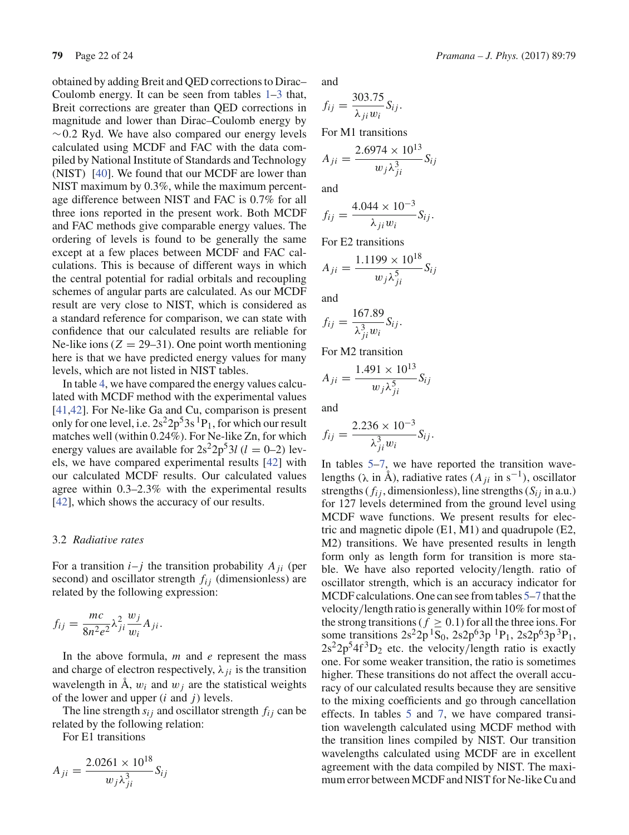obtained by adding Breit and QED corrections to Dirac– Coulomb energy. It can be seen from tables 1–3 that, Breit corrections are greater than QED corrections in magnitude and lower than Dirac–Coulomb energy by  $~0.2$  Ryd. We have also compared our energy levels calculated using MCDF and FAC with the data compiled by National Institute of Standards and Technology (NIST) [40]. We found that our MCDF are lower than NIST maximum by 0.3%, while the maximum percentage difference between NIST and FAC is 0.7% for all three ions reported in the present work. Both MCDF and FAC methods give comparable energy values. The ordering of levels is found to be generally the same except at a few places between MCDF and FAC calculations. This is because of different ways in which the central potential for radial orbitals and recoupling schemes of angular parts are calculated. As our MCDF result are very close to NIST, which is considered as a standard reference for comparison, we can state with confidence that our calculated results are reliable for Ne-like ions  $(Z = 29-31)$ . One point worth mentioning here is that we have predicted energy values for many levels, which are not listed in NIST tables.

In table 4, we have compared the energy values calculated with MCDF method with the experimental values [41,42]. For Ne-like Ga and Cu, comparison is present only for one level, i.e.  $2s^2 2p^5 3s^1 P_1$ , for which our result matches well (within 0.24%). For Ne-like Zn, for which energy values are available for  $2s^2 2p^5 3l$  ( $l = 0-2$ ) levels, we have compared experimental results [42] with our calculated MCDF results. Our calculated values agree within 0.3–2.3% with the experimental results [42], which shows the accuracy of our results.

#### 3.2 *Radiative rates*

For a transition  $i-j$  the transition probability  $A_{ji}$  (per second) and oscillator strength  $f_{ij}$  (dimensionless) are related by the following expression:

$$
f_{ij} = \frac{mc}{8n^2e^2} \lambda_{ji}^2 \frac{w_j}{w_i} A_{ji}.
$$

In the above formula, *m* and *e* represent the mass and charge of electron respectively,  $\lambda_{ji}$  is the transition wavelength in  $\dot{A}$ ,  $w_i$  and  $w_j$  are the statistical weights of the lower and upper (*i* and *j*) levels.

The line strength  $s_{ij}$  and oscillator strength  $f_{ij}$  can be related by the following relation:

For E1 transitions

$$
A_{ji} = \frac{2.0261 \times 10^{18}}{w_j \lambda_{ji}^3} S_{ij}
$$

and

$$
f_{ij} = \frac{303.75}{\lambda_{ji} w_i} S_{ij}.
$$

For M1 transitions

$$
A_{ji} = \frac{2.6974 \times 10^{13}}{w_j \lambda_{ji}^3} S_{ij}
$$

and

$$
f_{ij} = \frac{4.044 \times 10^{-3}}{\lambda_{ji} w_i} S_{ij}.
$$

For E2 transitions

$$
A_{ji} = \frac{1.1199 \times 10^{18}}{w_j \lambda_{ji}^5} S_{ij}
$$

and

$$
f_{ij} = \frac{167.89}{\lambda_{ji}^3 w_i} S_{ij}.
$$

For M2 transition

$$
A_{ji} = \frac{1.491 \times 10^{13}}{w_j \lambda_{ji}^5} S_{ij}
$$

and

$$
f_{ij} = \frac{2.236 \times 10^{-3}}{\lambda_{ji}^3 w_i} S_{ij}.
$$

In tables 5–7, we have reported the transition wavelengths (λ in Å), radiative rates (*Aji* in s−1), oscillator strengths ( $f_{ij}$ , dimensionless), line strengths ( $S_{ij}$  in a.u.) for 127 levels determined from the ground level using MCDF wave functions. We present results for electric and magnetic dipole (E1, M1) and quadrupole (E2, M2) transitions. We have presented results in length form only as length form for transition is more stable. We have also reported velocity/length. ratio of oscillator strength, which is an accuracy indicator for MCDF calculations. One can see from tables 5–7 that the velocity/length ratio is generally within 10% for most of the strong transitions ( $f \ge 0.1$ ) for all the three ions. For some transitions  $2s^22p^1S_0$ ,  $2s2p^63p^1P_1$ ,  $2s2p^63p^3P_1$ ,  $2s^22p^34f^3D_2$  etc. the velocity/length ratio is exactly one. For some weaker transition, the ratio is sometimes higher. These transitions do not affect the overall accuracy of our calculated results because they are sensitive to the mixing coefficients and go through cancellation effects. In tables 5 and 7, we have compared transition wavelength calculated using MCDF method with the transition lines compiled by NIST. Our transition wavelengths calculated using MCDF are in excellent agreement with the data compiled by NIST. The maximum error between MCDF and NIST for Ne-like Cu and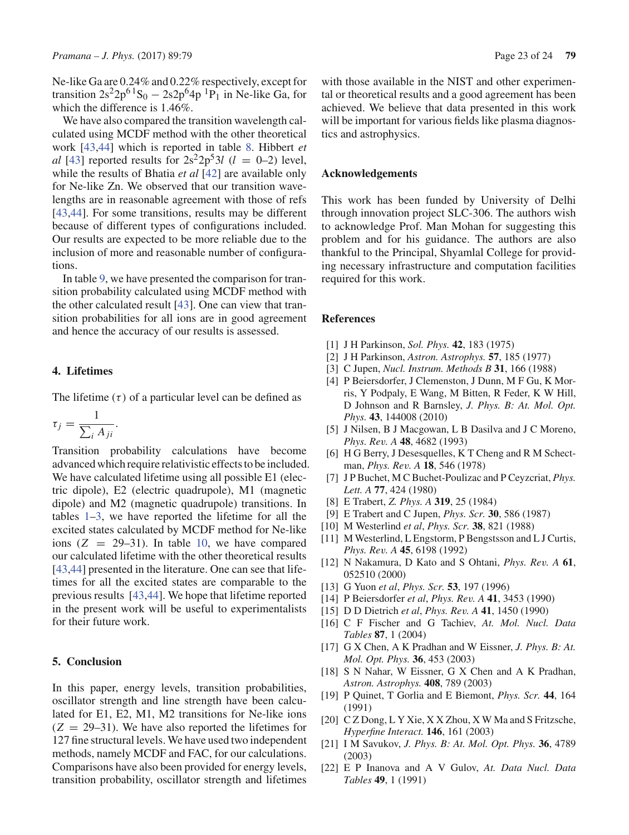Ne-like Ga are 0.24% and 0.22% respectively, except for transition  $2s^2 2p^{6} S_0 - 2s2p^6 4p^1 P_1$  in Ne-like Ga, for which the difference is 1.46%.

We have also compared the transition wavelength calculated using MCDF method with the other theoretical work [43,44] which is reported in table 8. Hibbert *et al* [43] reported results for  $2s^22p^53l$  (*l* = 0–2) level, while the results of Bhatia *et al* [42] are available only for Ne-like Zn. We observed that our transition wavelengths are in reasonable agreement with those of refs [43,44]. For some transitions, results may be different because of different types of configurations included. Our results are expected to be more reliable due to the inclusion of more and reasonable number of configurations.

In table 9, we have presented the comparison for transition probability calculated using MCDF method with the other calculated result [43]. One can view that transition probabilities for all ions are in good agreement and hence the accuracy of our results is assessed.

### **4. Lifetimes**

The lifetime  $(\tau)$  of a particular level can be defined as

$$
\tau_j = \frac{1}{\sum_i A_{ji}}.
$$

Transition probability calculations have become advanced which require relativistic effects to be included. We have calculated lifetime using all possible E1 (electric dipole), E2 (electric quadrupole), M1 (magnetic dipole) and M2 (magnetic quadrupole) transitions. In tables 1–3, we have reported the lifetime for all the excited states calculated by MCDF method for Ne-like ions  $(Z = 29-31)$ . In table 10, we have compared our calculated lifetime with the other theoretical results [43,44] presented in the literature. One can see that lifetimes for all the excited states are comparable to the previous results [43,44]. We hope that lifetime reported in the present work will be useful to experimentalists for their future work.

#### **5. Conclusion**

In this paper, energy levels, transition probabilities, oscillator strength and line strength have been calculated for E1, E2, M1, M2 transitions for Ne-like ions  $(Z = 29-31)$ . We have also reported the lifetimes for 127 fine structural levels. We have used two independent methods, namely MCDF and FAC, for our calculations. Comparisons have also been provided for energy levels, transition probability, oscillator strength and lifetimes with those available in the NIST and other experimental or theoretical results and a good agreement has been achieved. We believe that data presented in this work will be important for various fields like plasma diagnostics and astrophysics.

## **Acknowledgements**

This work has been funded by University of Delhi through innovation project SLC-306. The authors wish to acknowledge Prof. Man Mohan for suggesting this problem and for his guidance. The authors are also thankful to the Principal, Shyamlal College for providing necessary infrastructure and computation facilities required for this work.

#### **References**

- [1] J H Parkinson, *Sol. Phys.* **42**, 183 (1975)
- [2] J H Parkinson, *Astron. Astrophys.* **57**, 185 (1977)
- [3] C Jupen, *Nucl. Instrum. Methods B* **31**, 166 (1988)
- [4] P Beiersdorfer, J Clemenston, J Dunn, M F Gu, K Morris, Y Podpaly, E Wang, M Bitten, R Feder, K W Hill, D Johnson and R Barnsley, *J. Phys. B: At. Mol. Opt. Phys.* **43**, 144008 (2010)
- [5] J Nilsen, B J Macgowan, L B Dasilva and J C Moreno, *Phys. Rev. A* **48**, 4682 (1993)
- [6] H G Berry, J Desesquelles, K T Cheng and R M Schectman, *Phys. Rev. A* **18**, 546 (1978)
- [7] J P Buchet, M C Buchet-Poulizac and P Ceyzcriat, *Phys. Lett. A* **77**, 424 (1980)
- [8] E Trabert, *Z. Phys. A* **319**, 25 (1984)
- [9] E Trabert and C Jupen, *Phys. Scr.* **30**, 586 (1987)
- [10] M Westerlind *et al*, *Phys. Scr.* **38**, 821 (1988)
- [11] M Westerlind, L Engstorm, P Bengstsson and L J Curtis, *Phys. Rev. A* **45**, 6198 (1992)
- [12] N Nakamura, D Kato and S Ohtani, *Phys. Rev. A* **61**, 052510 (2000)
- [13] G Yuon *et al*, *Phys. Scr.* **53**, 197 (1996)
- [14] P Beiersdorfer *et al*, *Phys. Rev. A* **41**, 3453 (1990)
- [15] D D Dietrich *et al*, *Phys. Rev. A* **41**, 1450 (1990)
- [16] C F Fischer and G Tachiev, *At. Mol. Nucl. Data Tables* **87**, 1 (2004)
- [17] G X Chen, A K Pradhan and W Eissner, *J. Phys. B: At. Mol. Opt. Phys.* **36**, 453 (2003)
- [18] S N Nahar, W Eissner, G X Chen and A K Pradhan, *Astron. Astrophys.* **408**, 789 (2003)
- [19] P Quinet, T Gorlia and E Biemont, *Phys. Scr.* **44**, 164 (1991)
- [20] C Z Dong, L Y Xie, X X Zhou, X W Ma and S Fritzsche, *Hyperfine Interact.* **146**, 161 (2003)
- [21] I M Savukov, *J. Phys. B: At. Mol. Opt. Phys.* **36**, 4789 (2003)
- [22] E P Inanova and A V Gulov, *At. Data Nucl. Data Tables* **49**, 1 (1991)